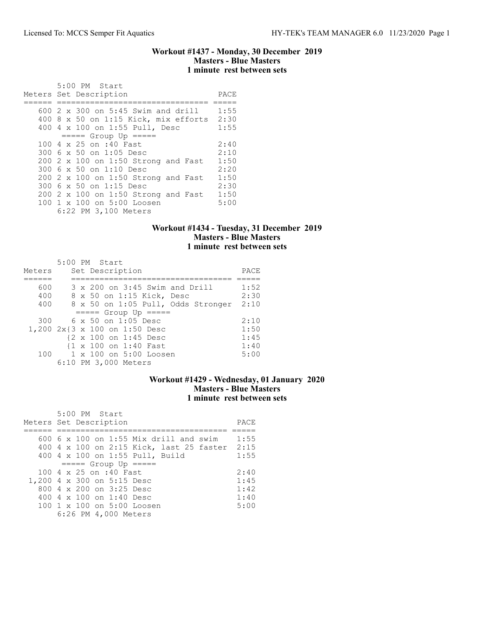### Workout #1437 - Monday, 30 December 2019 Masters - Blue Masters 1 minute rest between sets

| 5:00 PM Start                                 |      |
|-----------------------------------------------|------|
| Meters Set Description                        | PACE |
|                                               |      |
| $600\,$ 2 $\times$ 300 on 5:45 Swim and drill | 1:55 |
| $400$ 8 x 50 on 1:15 Kick, mix efforts        | 2:30 |
| 400 4 x 100 on 1:55 Pull, Desc                | 1:55 |
| $====$ Group Up $====$                        |      |
| 100 4 x 25 on :40 Fast                        | 2:40 |
| 300 6 x 50 on 1:05 Desc                       | 2:10 |
| 200 2 x 100 on 1:50 Strong and Fast           | 1:50 |
| 300 6 x 50 on 1:10 Desc                       | 2:20 |
| 200 2 x 100 on 1:50 Strong and Fast           | 1:50 |
| 300 6 x 50 on 1:15 Desc                       | 2:30 |
| 200 2 x 100 on 1:50 Strong and Fast           | 1:50 |
| 100 1 x 100 on 5:00 Loosen                    | 5:00 |
| 6:22 PM 3,100 Meters                          |      |

# Workout #1434 - Tuesday, 31 December 2019 Masters - Blue Masters 1 minute rest between sets

| Meters | 5:00 PM Start<br>Set Description   | PACE |
|--------|------------------------------------|------|
|        |                                    |      |
| 600    | 3 x 200 on 3:45 Swim and Drill     | 1:52 |
| 400    | 8 x 50 on 1:15 Kick, Desc          | 2:30 |
| 400    | 8 x 50 on 1:05 Pull, Odds Stronger | 2:10 |
|        | $====$ Group Up $====$             |      |
| 300    | $6 \times 50$ on 1:05 Desc         | 2:10 |
|        | 1,200 2x{3 x 100 on 1:50 Desc      | 1:50 |
|        | {2 x 100 on 1:45 Desc              | 1:45 |
|        | {1 x 100 on 1:40 Fast              | 1:40 |
|        | 100 1 x 100 on 5:00 Loosen         | 5:00 |
|        | 6:10 PM 3,000 Meters               |      |

# Workout #1429 - Wednesday, 01 January 2020 Masters - Blue Masters 1 minute rest between sets

| 5:00 PM Start<br>Meters Set Description       | PACE |
|-----------------------------------------------|------|
|                                               |      |
| $600\,$ 6 x 100 on 1:55 Mix drill and swim    | 1:55 |
| 400 4 x 100 on 2:15 Kick, last 25 faster 2:15 |      |
| 400 4 x 100 on 1:55 Pull, Build               | 1:55 |
| $====$ Group Up $====$                        |      |
| 100 4 x 25 on :40 Fast                        | 2:40 |
| 1,200 4 x 300 on 5:15 Desc                    | 1:45 |
| 800 $4 \times 200$ on $3:25$ Desc             | 1:42 |
| 400 $4 \times 100$ on 1:40 Desc               | 1:40 |
| $100 \t1 x 100$ on $5:00$ Loosen              | 5:00 |
| 6:26 PM 4,000 Meters                          |      |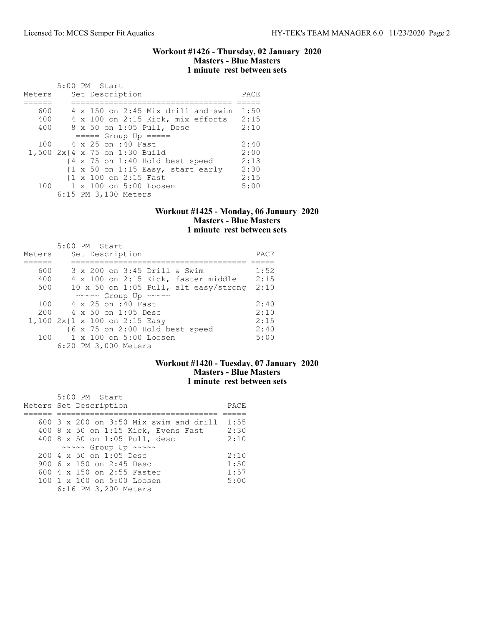### Workout #1426 - Thursday, 02 January 2020 Masters - Blue Masters 1 minute rest between sets

| Meters | $5:00$ PM Start<br>Set Description                                   | PACE |
|--------|----------------------------------------------------------------------|------|
|        |                                                                      |      |
| 600    | 4 x 150 on 2:45 Mix drill and swim                                   | 1:50 |
| 400    | 4 x 100 on 2:15 Kick, mix efforts                                    | 2:15 |
| 400    | 8 x 50 on 1:05 Pull, Desc                                            | 2:10 |
|        | $====$ Group Up $====$                                               |      |
| 100    | 4 x 25 on :40 Fast                                                   | 2:40 |
|        | 1,500 2x{4 x 75 on 1:30 Build                                        | 2:00 |
|        | $\{4 \times 75 \text{ on } 1:40 \text{ Hold best speed}\}$           | 2:13 |
|        | $\{1 \times 50 \text{ on } 1:15 \text{ Easy}, \text{ start early}\}$ | 2:30 |
|        | {1 x 100 on 2:15 Fast                                                | 2:15 |
| 100    | 1 x 100 on 5:00 Loosen                                               | 5:00 |
|        | 6:15 PM 3,100 Meters                                                 |      |

### Workout #1425 - Monday, 06 January 2020 Masters - Blue Masters 1 minute rest between sets

| Meters | 5:00 PM Start<br>Set Description                     | PACE |
|--------|------------------------------------------------------|------|
|        |                                                      |      |
| 600    | 3 x 200 on 3:45 Drill & Swim                         | 1:52 |
| 400    | 4 x 100 on 2:15 Kick, faster middle                  | 2:15 |
| 500    | 10 x 50 on 1:05 Pull, alt easy/strong                | 2:10 |
|        | $\sim \sim \sim \sim$ Group Up $\sim \sim \sim \sim$ |      |
| 100    | 4 x 25 on :40 Fast                                   | 2:40 |
| 200    | $4 \times 50$ on 1:05 Desc                           | 2:10 |
|        | 1,100 2x{1 x 100 on 2:15 Easy                        | 2:15 |
|        | {6 x 75 on 2:00 Hold best speed                      | 2:40 |
| 100    | $1 \times 100$ on $5:00$ Loosen                      | 5:00 |
|        | 6:20 PM 3,000 Meters                                 |      |

# Workout #1420 - Tuesday, 07 January 2020 Masters - Blue Masters 1 minute rest between sets

| 5:00 PM Start                                        |      |
|------------------------------------------------------|------|
| Meters Set Description                               | PACE |
|                                                      |      |
| 600 $3 \times 200$ on $3:50$ Mix swim and drill      | 1:55 |
| 400 8 x 50 on 1:15 Kick, Evens Fast                  | 2:30 |
| 400 8 x 50 on 1:05 Pull, desc                        | 2:10 |
| $\sim \sim \sim \sim$ Group Up $\sim \sim \sim \sim$ |      |
| $200 \text{ } 4 \text{ } \times 50$ on 1:05 Desc     | 2:10 |
| 900 6 x 150 on 2:45 Desc                             | 1:50 |
| 600 4 x 150 on 2:55 Faster                           | 1:57 |
| $100 \t1 x 100$ on $5:00$ Loosen                     | 5:00 |
| 6:16 PM 3,200 Meters                                 |      |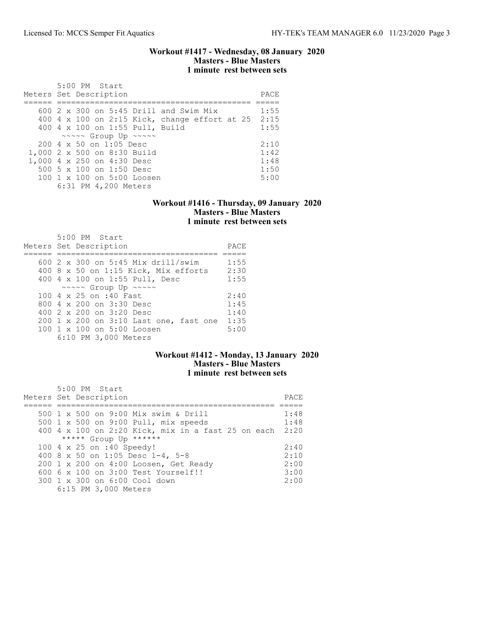### Workout #1417 - Wednesday, 08 January 2020 Masters - Blue Masters 1 minute rest between sets

| 5:00 PM Start<br>Meters Set Description              | PACE |
|------------------------------------------------------|------|
|                                                      |      |
| 600 $2 \times 300$ on 5:45 Drill and Swim Mix        | 1:55 |
| 400 4 x 100 on 2:15 Kick, change effort at 25        | 2:15 |
| 400 4 x 100 on 1:55 Pull, Build                      | 1:55 |
| $\sim \sim \sim \sim$ Group Up $\sim \sim \sim \sim$ |      |
| 200 4 x 50 on 1:05 Desc                              | 2:10 |
| 1,000 2 x 500 on 8:30 Build                          | 1:42 |
| 1,000 4 x 250 on 4:30 Desc                           | 1:48 |
| 500 5 x 100 on 1:50 Desc                             | 1:50 |
| $100 \t1 x 100$ on $5:00$ Loosen                     | 5:00 |
| 6:31 PM 4,200 Meters                                 |      |

### Workout #1416 - Thursday, 09 January 2020 Masters - Blue Masters 1 minute rest between sets

| $5:00$ PM Start<br>Meters Set Description | PACE |
|-------------------------------------------|------|
| 600 $2 \times 300$ on 5:45 Mix drill/swim | 1:55 |
| 400 8 x 50 on 1:15 Kick, Mix efforts      | 2:30 |
| 400 4 x 100 on 1:55 Pull, Desc            | 1:55 |
| ~~~~~ Group Up ~~~~~                      |      |
| 100 4 x 25 on :40 Fast                    | 2:40 |
| 800 $4 \times 200$ on $3:30$ Desc         | 1:45 |
| 400 2 x 200 on 3:20 Desc                  | 1:40 |
| 200 1 x 200 on 3:10 Last one, fast one    | 1:35 |
| 100 1 x 100 on 5:00 Loosen                | 5:00 |
| 6:10 PM 3,000 Meters                      |      |

# Workout #1412 - Monday, 13 January 2020 Masters - Blue Masters 1 minute rest between sets

| $5:00$ PM Start<br>Meters Set Description               | PACE. |
|---------------------------------------------------------|-------|
| 500 1 x 500 on 9:00 Mix swim & Drill                    | 1:48  |
| 500 1 x 500 on 9:00 Pull, mix speeds                    | 1:48  |
| 400 4 x 100 on 2:20 Kick, mix in a fast 25 on each 2:20 |       |
| ***** Group Up ******                                   |       |
| 100 4 x 25 on :40 Speedy!                               | 2:40  |
| 400 8 x 50 on 1:05 Desc 1-4, 5-8                        | 2:10  |
| 200 1 x 200 on 4:00 Loosen, Get Ready                   | 2:00  |
| $6006 \times 100$ on $3:00$ Test Yourself!!             | 3:00  |
| 300 1 x 300 on 6:00 Cool down                           | 2:00  |
| 6:15 PM 3,000 Meters                                    |       |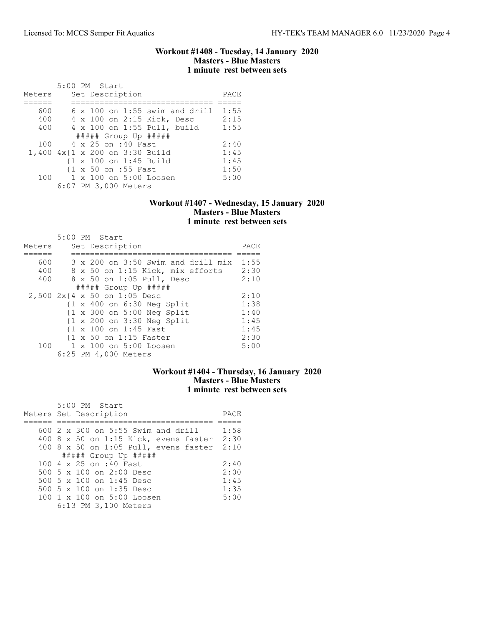### Workout #1408 - Tuesday, 14 January 2020 Masters - Blue Masters 1 minute rest between sets

|        | 5:00 PM Start                         |      |
|--------|---------------------------------------|------|
| Meters | Set Description                       | PACE |
|        |                                       |      |
| 600    | $6 \times 100$ on 1:55 swim and drill | 1:55 |
| 400    | 4 x 100 on 2:15 Kick, Desc            | 2:15 |
| 400    | 4 x 100 on 1:55 Pull, build           | 1:55 |
|        | $\#$ #### Group Up #####              |      |
| 100    | 4 x 25 on :40 Fast                    | 2:40 |
|        | 1,400 4x{1 x 200 on 3:30 Build        | 1:45 |
|        | {1 x 100 on 1:45 Build                | 1:45 |
|        | {1 x 50 on :55 Fast                   | 1:50 |
| 100    | 1 x 100 on 5:00 Loosen                | 5:00 |
|        | 6:07 PM 3,000 Meters                  |      |

## Workout #1407 - Wednesday, 15 January 2020 Masters - Blue Masters 1 minute rest between sets

|        | 5:00 PM Start                                         |      |
|--------|-------------------------------------------------------|------|
| Meters | Set Description                                       | PACE |
|        |                                                       |      |
| 600    | 3 x 200 on 3:50 Swim and drill mix                    | 1:55 |
| 400    | 8 x 50 on 1:15 Kick, mix efforts                      | 2:30 |
| 400    | 8 x 50 on 1:05 Pull, Desc                             | 2:10 |
|        | $\#$ #### Group Up $\#$ ####                          |      |
|        | 2,500 2x{4 x 50 on 1:05 Desc                          | 2:10 |
|        | $\{1 \times 400 \text{ on } 6:30 \text{ Neg Split}\}$ | 1:38 |
|        | {1 x 300 on 5:00 Neg Split                            | 1:40 |
|        | $\{1 \times 200 \text{ on } 3:30 \text{ Neg Split}\}$ | 1:45 |
|        | {1 x 100 on 1:45 Fast                                 | 1:45 |
|        | $\{1 \times 50 \text{ on } 1:15 \text{ faster}\}$     | 2:30 |
| 100    | 1 x 100 on 5:00 Loosen                                | 5:00 |
|        | 6:25 PM 4,000 Meters                                  |      |

## Workout #1404 - Thursday, 16 January 2020 Masters - Blue Masters 1 minute rest between sets

| 5:00 PM Start                              |      |
|--------------------------------------------|------|
| Meters Set Description                     | PACE |
|                                            |      |
| $600$ 2 x 300 on 5:55 Swim and drill       | 1:58 |
| 400 8 x 50 on 1:15 Kick, evens faster 2:30 |      |
| 400 8 x 50 on 1:05 Pull, evens faster 2:10 |      |
| $\#$ #### Group Up $\#$ ####               |      |
| 100 4 x 25 on :40 Fast                     | 2:40 |
| 500 5 x 100 on 2:00 Desc                   | 2:00 |
| 500 5 x 100 on 1:45 Desc                   | 1:45 |
| 500 5 $\times$ 100 on 1:35 Desc            | 1:35 |
| 100 1 x 100 on 5:00 Loosen                 | 5:00 |
| 6:13 PM 3,100 Meters                       |      |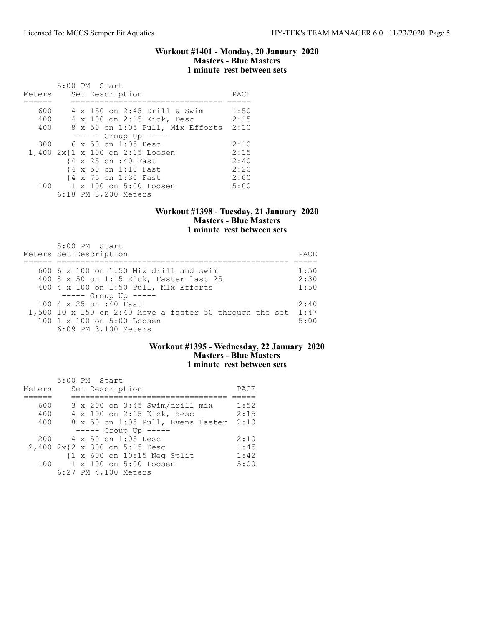### Workout #1401 - Monday, 20 January 2020 Masters - Blue Masters 1 minute rest between sets

|        |  | 5:00 PM Start                    |      |
|--------|--|----------------------------------|------|
| Meters |  | Set Description                  | PACE |
|        |  |                                  |      |
| 600    |  | 4 x 150 on 2:45 Drill & Swim     | 1:50 |
| 400    |  | 4 x 100 on 2:15 Kick, Desc       | 2:15 |
| 400    |  | 8 x 50 on 1:05 Pull, Mix Efforts | 2:10 |
|        |  | $--- -$ Group Up $---$           |      |
| 300    |  | $6 \times 50$ on 1:05 Desc       | 2:10 |
|        |  | 1,400 2x{1 x 100 on 2:15 Loosen  | 2:15 |
|        |  | {4 x 25 on :40 Fast              | 2:40 |
|        |  | {4 x 50 on 1:10 Fast             | 2:20 |
|        |  | {4 x 75 on 1:30 Fast             | 2:00 |
| 100    |  | 1 x 100 on 5:00 Loosen           | 5:00 |
|        |  | 6:18 PM 3,200 Meters             |      |

## Workout #1398 - Tuesday, 21 January 2020 Masters - Blue Masters 1 minute rest between sets

| 5:00 PM Start<br>Meters Set Description                                                                       | PACE         |
|---------------------------------------------------------------------------------------------------------------|--------------|
| 600 6 x 100 on 1:50 Mix drill and swim<br>400 8 x 50 on 1:15 Kick, Faster last 25                             | 1:50<br>2:30 |
| 400 4 x 100 on 1:50 Pull, MIx Efforts                                                                         | 1:50         |
| $--- -$ Group Up $---$<br>100 4 x 25 on :40 Fast                                                              | 2:40         |
| 1,500 10 x 150 on 2:40 Move a faster 50 through the set<br>100 1 x 100 on 5:00 Loosen<br>6:09 PM 3,100 Meters | 1:47<br>5:00 |

## Workout #1395 - Wednesday, 22 January 2020 Masters - Blue Masters 1 minute rest between sets

|        | 5:00 PM Start                         |      |
|--------|---------------------------------------|------|
| Meters | Set Description                       | PACE |
|        |                                       |      |
| 600    | 3 x 200 on 3:45 Swim/drill mix        | 1:52 |
| 400    | 4 x 100 on 2:15 Kick, desc            | 2:15 |
| 400    | 8 x 50 on 1:05 Pull, Evens Faster     | 2:10 |
|        | $--- $ Group Up $---$                 |      |
| 200    | 4 x 50 on 1:05 Desc                   | 2:10 |
|        | 2,400 2x{2 x 300 on 5:15 Desc         | 1:45 |
|        | $\{1 \times 600$ on $10:15$ Neg Split | 1:42 |
| 100    | 1 x 100 on 5:00 Loosen                | 5:00 |
|        | 6:27 PM 4,100 Meters                  |      |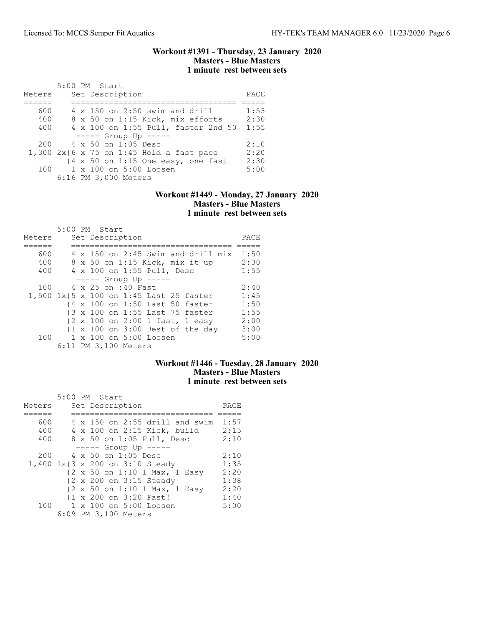### Workout #1391 - Thursday, 23 January 2020 Masters - Blue Masters 1 minute rest between sets

| Meters | $5:00$ PM Start |  | Set Description                                                       | PACE |
|--------|-----------------|--|-----------------------------------------------------------------------|------|
|        |                 |  |                                                                       |      |
| 600    |                 |  | $4 \times 150$ on 2:50 swim and drill                                 | 1:53 |
| 400    |                 |  | 8 x 50 on 1:15 Kick, mix efforts                                      | 2:30 |
| 400    |                 |  | 4 x 100 on 1:55 Pull, faster 2nd 50                                   | 1:55 |
|        |                 |  | $---$ Group Up $---$                                                  |      |
| 200    |                 |  | 4 x 50 on 1:05 Desc                                                   | 2:10 |
|        |                 |  | 1,300 $2x\{6 \times 75 \text{ on } 1:45 \text{ Hold a fast pace}\}$   | 2:20 |
|        |                 |  | $\{4 \times 50 \text{ on } 1:15 \text{ One easy}, \text{ one fast}\}$ | 2:30 |
| 100    |                 |  | 1 x 100 on 5:00 Loosen                                                | 5:00 |
|        |                 |  | 6:16 PM 3,000 Meters                                                  |      |

### Workout #1449 - Monday, 27 January 2020 Masters - Blue Masters 1 minute rest between sets

| Meters |  | $5:00$ PM Start<br>Set Description      | PACE |
|--------|--|-----------------------------------------|------|
| 600    |  | 4 x 150 on 2:45 Swim and drill mix      | 1:50 |
| 400    |  | 8 x 50 on 1:15 Kick, mix it up          | 2:30 |
| 400    |  | 4 x 100 on 1:55 Pull, Desc              | 1:55 |
|        |  |                                         |      |
|        |  | $--- -$ Group Up $---$                  |      |
| 100    |  | 4 x 25 on :40 Fast                      | 2:40 |
|        |  | 1,500 1x{5 x 100 on 1:45 Last 25 faster | 1:45 |
|        |  | {4 x 100 on 1:50 Last 50 faster         | 1:50 |
|        |  | {3 x 100 on 1:55 Last 75 faster         | 1:55 |
|        |  | {2 x 100 on 2:00 1 fast, 1 easy         | 2:00 |
|        |  | {1 x 100 on 3:00 Best of the day        | 3:00 |
|        |  | 100 1 x 100 on 5:00 Loosen              | 5:00 |
|        |  | 6:11 PM 3,100 Meters                    |      |

### Workout #1446 - Tuesday, 28 January 2020 Masters - Blue Masters 1 minute rest between sets

|        | 5:00 PM Start                         |      |
|--------|---------------------------------------|------|
| Meters | Set Description                       | PACE |
|        |                                       |      |
| 600    | $4 \times 150$ on 2:55 drill and swim | 1:57 |
| 400    | 4 x 100 on 2:15 Kick, build           | 2:15 |
| 400    | 8 x 50 on 1:05 Pull, Desc             | 2:10 |
|        | ----- Group Up -----                  |      |
| 200    | 4 x 50 on 1:05 Desc                   | 2:10 |
|        | 1,400 1x{3 x 200 on 3:10 Steady       | 1:35 |
|        | {2 x 50 on 1:10 1 Max, 1 Easy         | 2:20 |
|        | {2 x 200 on 3:15 Steady               | 1:38 |
|        | {2 x 50 on 1:10 1 Max, 1 Easy         | 2:20 |
|        | {1 x 200 on 3:20 Fast!                | 1:40 |
| 100    | 1 x 100 on 5:00 Loosen                | 5:00 |
|        | 6:09 PM 3,100 Meters                  |      |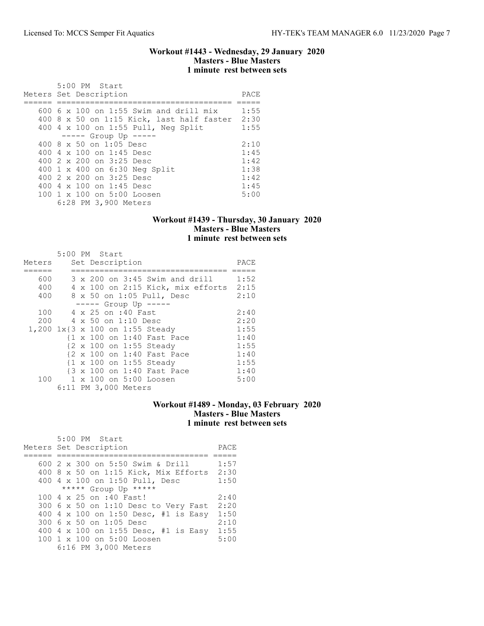### Workout #1443 - Wednesday, 29 January 2020 Masters - Blue Masters 1 minute rest between sets

| 5:00 PM Start                             |      |
|-------------------------------------------|------|
| Meters Set Description                    | PACE |
|                                           |      |
| 600 6 x 100 on 1:55 Swim and drill mix    | 1:55 |
| 400 8 x 50 on 1:15 Kick, last half faster | 2:30 |
| 400 4 x 100 on 1:55 Pull, Neg Split       | 1:55 |
| $--- -$ Group Up $---$                    |      |
| 400 $8 \times 50$ on 1:05 Desc            | 2:10 |
| 400 4 $\times$ 100 on 1:45 Desc           | 1:45 |
| 400 2 x 200 on 3:25 Desc                  | 1:42 |
| 400 1 x 400 on 6:30 Neg Split             | 1:38 |
| 400 2 x 200 on 3:25 Desc                  | 1:42 |
| 400 4 $\times$ 100 on 1:45 Desc           | 1:45 |
| 100 1 x 100 on 5:00 Loosen                | 5:00 |
| 6:28 PM 3,900 Meters                      |      |

## Workout #1439 - Thursday, 30 January 2020 Masters - Blue Masters 1 minute rest between sets

|            |  | 5:00 PM Start                                                            |      |
|------------|--|--------------------------------------------------------------------------|------|
| Meters     |  | Set Description                                                          | PACE |
| 600<br>400 |  | 3 x 200 on 3:45 Swim and drill<br>4 x 100 on 2:15 Kick, mix efforts 2:15 | 1:52 |
| 400        |  | 8 x 50 on 1:05 Pull, Desc                                                | 2:10 |
|            |  | ----- Group Up -----                                                     |      |
| 100        |  | 4 x 25 on :40 Fast                                                       | 2:40 |
| 200        |  | 4 x 50 on 1:10 Desc                                                      | 2:20 |
|            |  | 1,200 1x{3 x 100 on 1:55 Steady                                          | 1:55 |
|            |  | {1 x 100 on 1:40 Fast Pace                                               | 1:40 |
|            |  | {2 x 100 on 1:55 Steady                                                  | 1:55 |
|            |  | {2 x 100 on 1:40 Fast Pace                                               | 1:40 |
|            |  | {1 x 100 on 1:55 Steady                                                  | 1:55 |
|            |  | {3 x 100 on 1:40 Fast Pace                                               | 1:40 |
| 100        |  | 1 x 100 on 5:00 Loosen                                                   | 5:00 |
|            |  | 6:11 PM 3,000 Meters                                                     |      |

# Workout #1489 - Monday, 03 February 2020 Masters - Blue Masters 1 minute rest between sets

| 5:00 PM Start<br>Meters Set Description | PACE |
|-----------------------------------------|------|
| 600 2 x 300 on 5:50 Swim & Drill        | 1:57 |
| 400 8 x 50 on 1:15 Kick, Mix Efforts    | 2:30 |
| 400 4 x 100 on 1:50 Pull, Desc          | 1:50 |
| ***** Group Up *****                    |      |
| 100 4 x 25 on :40 Fast!                 | 2:40 |
| 300 6 x 50 on 1:10 Desc to Very Fast    | 2:20 |
| 400 4 x 100 on 1:50 Desc, #1 is Easy    | 1:50 |
| 300 6 x 50 on 1:05 Desc                 | 2:10 |
| 400 4 x 100 on 1:55 Desc, #1 is Easy    | 1:55 |
| $100 \t 1 \t x \t 100$ on $5:00$ Loosen | 5:00 |
| 6:16 PM 3,000 Meters                    |      |
|                                         |      |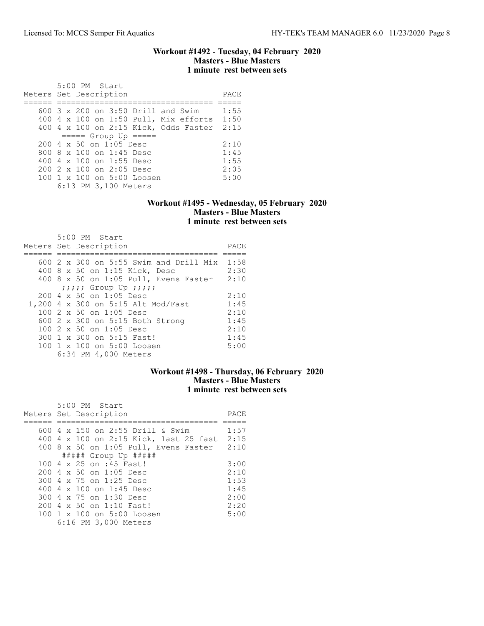### Workout #1492 - Tuesday, 04 February 2020 Masters - Blue Masters 1 minute rest between sets

 5:00 PM Start Meters Set Description **PACE** ====== ================================= ===== 600 3 x 200 on 3:50 Drill and Swim 1:55 400 4 x 100 on 1:50 Pull, Mix efforts 1:50 400 4 x 100 on 2:15 Kick, Odds Faster 2:15 ===== Group Up ===== 200 4 x 50 on 1:05 Desc 2:10<br>800 8 x 100 on 1:45 Desc 1:45 800 8 x 100 on 1:45 Desc 1:45 400 4 x 100 on 1:55 Desc 1:55 200 2 x 100 on 2:05 Desc 2:05 100 1 x 100 on 5:00 Loosen 5:00 6:13 PM 3,100 Meters

### Workout #1495 - Wednesday, 05 February 2020 Masters - Blue Masters 1 minute rest between sets

| 5:00 PM Start<br>Meters Set Description          | PACE |
|--------------------------------------------------|------|
|                                                  |      |
|                                                  |      |
| $600\,2\,$ x 300 on 5:55 Swim and Drill Mix      | 1:58 |
| 400 8 x 50 on 1:15 Kick, Desc                    | 2:30 |
| 400 8 x 50 on 1:05 Pull, Evens Faster            | 2:10 |
| $j$ ;;;;; Group Up ;;;;;                         |      |
| $200 \text{ } 4 \text{ } \times 50$ on 1:05 Desc | 2:10 |
| 1,200 4 x 300 on 5:15 Alt Mod/Fast               | 1:45 |
| $1002 \times 50$ on $1:05$ Desc                  | 2:10 |
| 600 2 x 300 on 5:15 Both Strong                  | 1:45 |
| $1002 \times 50$ on $1:05$ Desc                  | 2:10 |
| 300 1 x 300 on 5:15 Fast!                        | 1:45 |
| 100 1 x 100 on 5:00 Loosen                       | 5:00 |
| 6:34 PM 4,000 Meters                             |      |

### Workout #1498 - Thursday, 06 February 2020 Masters - Blue Masters 1 minute rest between sets

| 5:00 PM Start                                    |      |
|--------------------------------------------------|------|
| Meters Set Description                           | PACE |
|                                                  |      |
| 600 4 x 150 on 2:55 Drill & Swim                 | 1:57 |
| 400 4 x 100 on 2:15 Kick, last 25 fast           | 2:15 |
| 400 8 x 50 on 1:05 Pull, Evens Faster            | 2:10 |
| $\#$ #### Group Up $\#$ ####                     |      |
| 100 4 x 25 on :45 Fast!                          | 3:00 |
| $200 \text{ } 4 \text{ } \times 50$ on 1:05 Desc | 2:10 |
| 300 4 x 75 on 1:25 Desc                          | 1:53 |
| 400 4 x 100 on 1:45 Desc                         | 1:45 |
| 300 4 x 75 on 1:30 Desc                          | 2:00 |
| 200 4 x 50 on 1:10 Fast!                         | 2:20 |
| 100 1 x 100 on 5:00 Loosen                       | 5:00 |
| 6:16 PM 3,000 Meters                             |      |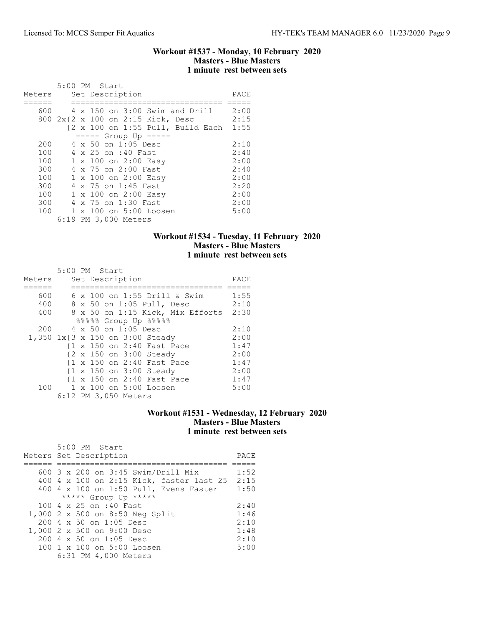### Workout #1537 - Monday, 10 February 2020 Masters - Blue Masters 1 minute rest between sets

|        | 5:00 PM Start                                                |      |
|--------|--------------------------------------------------------------|------|
| Meters | Set Description                                              | PACE |
|        |                                                              |      |
| 600    | 4 x 150 on 3:00 Swim and Drill                               | 2:00 |
|        | 800 2x{2 x 100 on 2:15 Kick, Desc                            | 2:15 |
|        | $\{2 \times 100 \text{ on } 1:55 \text{ Pull. Build Each}\}$ | 1:55 |
|        | $--- $ Group Up $--- $                                       |      |
| 200    | 4 x 50 on 1:05 Desc                                          | 2:10 |
| 100    | 4 x 25 on :40 Fast                                           | 2:40 |
| 100    | 1 x 100 on 2:00 Easy                                         | 2:00 |
| 300    | 4 x 75 on 2:00 Fast                                          | 2:40 |
| 100    | 1 x 100 on 2:00 Easy                                         | 2:00 |
| 300    | 4 x 75 on 1:45 Fast                                          | 2:20 |
| 100    | 1 x 100 on 2:00 Easy                                         | 2:00 |
| 300    | 4 x 75 on 1:30 Fast                                          | 2:00 |
| 100    | 1 x 100 on 5:00 Loosen                                       | 5:00 |
|        | 6:19 PM 3,000 Meters                                         |      |

## Workout #1534 - Tuesday, 11 February 2020 Masters - Blue Masters 1 minute rest between sets

|        | 5:00 PM Start                    |      |
|--------|----------------------------------|------|
| Meters | Set Description                  | PACE |
|        |                                  |      |
| 600    | 6 x 100 on 1:55 Drill & Swim     | 1:55 |
| 400    | 8 x 50 on 1:05 Pull, Desc        | 2:10 |
| 400    | 8 x 50 on 1:15 Kick, Mix Efforts | 2:30 |
|        | 88888 Group Up 88888             |      |
| 200    | 4 x 50 on 1:05 Desc              | 2:10 |
|        | 1,350 1x{3 x 150 on 3:00 Steady  | 2:00 |
|        | {1 x 150 on 2:40 Fast Pace       | 1:47 |
|        | {2 x 150 on 3:00 Steady          | 2:00 |
|        | {1 x 150 on 2:40 Fast Pace       | 1:47 |
|        | {1 x 150 on 3:00 Steady          | 2:00 |
|        | {1 x 150 on 2:40 Fast Pace       | 1:47 |
| 100    | 1 x 100 on 5:00 Loosen           | 5:00 |
|        | 6:12 PM 3,050 Meters             |      |

#### Workout #1531 - Wednesday, 12 February 2020 Masters - Blue Masters 1 minute rest between sets

| 5:00 PM Start<br>Meters Set Description          | PACE |
|--------------------------------------------------|------|
| 600 $3 \times 200$ on $3:45$ Swim/Drill Mix      | 1:52 |
| 400 4 x 100 on 2:15 Kick, faster last 25         | 2:15 |
| 400 4 x 100 on 1:50 Pull, Evens Faster           | 1:50 |
| ***** Group Up *****                             |      |
| 100 4 x 25 on :40 Fast                           | 2:40 |
| 1,000 2 x 500 on 8:50 Neg Split                  | 1:46 |
| $200 \text{ } 4 \text{ } \times 50$ on 1:05 Desc | 2:10 |
| 1,000 2 x 500 on 9:00 Desc                       | 1:48 |
| 200 4 x 50 on 1:05 Desc                          | 2:10 |
| $100 \t1 x 100$ on $5:00$ Loosen                 | 5:00 |
| 6:31 PM 4,000 Meters                             |      |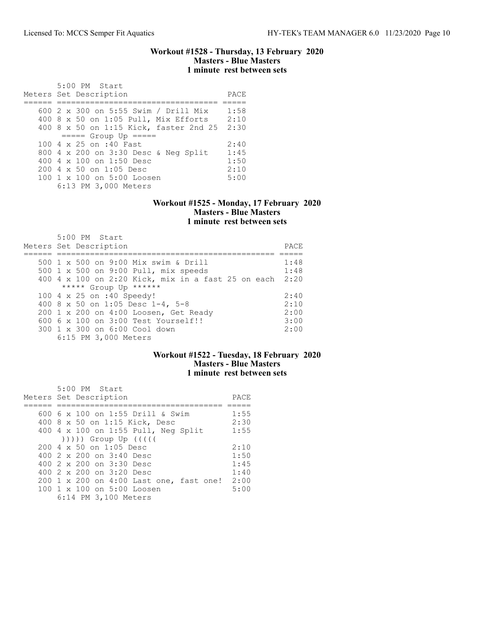### Workout #1528 - Thursday, 13 February 2020 Masters - Blue Masters 1 minute rest between sets

| 5:00 PM Start<br>Meters Set Description          | PACE |
|--------------------------------------------------|------|
|                                                  |      |
| 600 2 x 300 on 5:55 Swim / Drill Mix             | 1:58 |
| 400 8 x 50 on 1:05 Pull, Mix Efforts             | 2:10 |
| 400 8 x 50 on 1:15 Kick, faster 2nd 25           | 2:30 |
| $====$ Group Up $====$                           |      |
| 100 4 x 25 on :40 Fast                           | 2:40 |
| 800 4 x 200 on 3:30 Desc & Neg Split             | 1:45 |
| 400 $4 \times 100$ on 1:50 Desc                  | 1:50 |
| $200 \text{ } 4 \text{ } \times 50$ on 1:05 Desc | 2:10 |
| 100 1 x 100 on 5:00 Loosen                       | 5:00 |
| 6:13 PM 3,000 Meters                             |      |

#### Workout #1525 - Monday, 17 February 2020 Masters - Blue Masters 1 minute rest between sets

| $5:00$ PM Start<br>Meters Set Description          | PACE |
|----------------------------------------------------|------|
| 500 1 x 500 on 9:00 Mix swim & Drill               | 1:48 |
| 500 1 x 500 on 9:00 Pull, mix speeds               | 1:48 |
| 400 4 x 100 on 2:20 Kick, mix in a fast 25 on each | 2:20 |
| ***** Group Up ******                              |      |
| 100 4 x 25 on :40 Speedy!                          | 2:40 |
| 400 8 x 50 on 1:05 Desc 1-4, 5-8                   | 2:10 |
| 200 1 x 200 on 4:00 Loosen, Get Ready              | 2:00 |
| 600 6 x 100 on 3:00 Test Yourself!!                | 3:00 |
| 300 1 x 300 on 6:00 Cool down                      | 2:00 |
| 6:15 PM 3,000 Meters                               |      |

# Workout #1522 - Tuesday, 18 February 2020 Masters - Blue Masters 1 minute rest between sets

| 5:00 PM Start<br>Meters Set Description          | PACE |
|--------------------------------------------------|------|
| 600 6 x 100 on 1:55 Drill & Swim                 | 1:55 |
| 400 8 x 50 on 1:15 Kick, Desc                    | 2:30 |
| 400 4 x 100 on 1:55 Pull, Neg Split              | 1:55 |
| $( ) )$ ))) Group Up $( ( )$                     |      |
| $200 \text{ } 4 \text{ } \times 50$ on 1:05 Desc | 2:10 |
| 400 2 x 200 on 3:40 Desc                         | 1:50 |
| 400 2 x 200 on 3:30 Desc                         | 1:45 |
| 400 2 x 200 on 3:20 Desc                         | 1:40 |
| 200 1 x 200 on 4:00 Last one, fast one!          | 2:00 |
| 100 1 x 100 on 5:00 Loosen                       | 5:00 |
| 6:14 PM 3,100 Meters                             |      |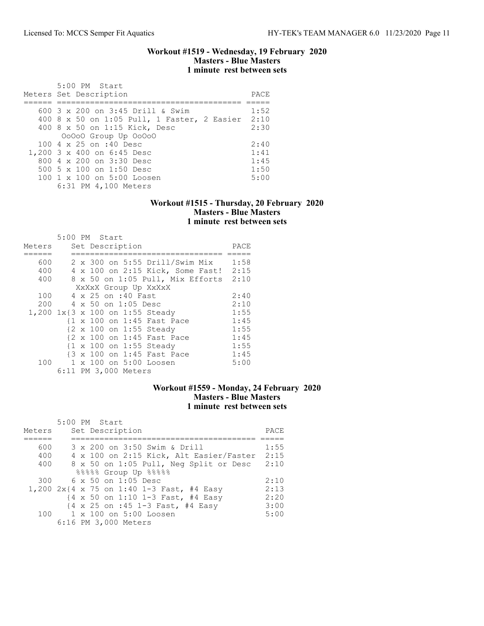Workout #1519 - Wednesday, 19 February 2020 Masters - Blue Masters 1 minute rest between sets

| 5:00 PM Start<br>Meters Set Description          | PACE |
|--------------------------------------------------|------|
|                                                  |      |
| 600 $3 \times 200$ on $3:45$ Drill & Swim        | 1:52 |
| 400 8 x 50 on 1:05 Pull, 1 Faster, 2 Easier 2:10 |      |
| 400 8 x 50 on 1:15 Kick, Desc                    | 2:30 |
| 00000 Group Up 00000                             |      |
| 100 4 x 25 on :40 Desc                           | 2:40 |
| 1,200 3 x 400 on 6:45 Desc                       | 1:41 |
| 800 4 x 200 on 3:30 Desc                         | 1:45 |
| 500 5 x 100 on 1:50 Desc                         | 1:50 |
| $100 \t1 x 100$ on $5:00$ Loosen                 | 5:00 |
| 6:31 PM 4,100 Meters                             |      |

### Workout #1515 - Thursday, 20 February 2020 Masters - Blue Masters 1 minute rest between sets

|        | 5:00 PM Start |  |                      |                                  |      |
|--------|---------------|--|----------------------|----------------------------------|------|
| Meters |               |  | Set Description      |                                  | PACE |
|        |               |  |                      |                                  |      |
| 600    |               |  |                      | 2 x 300 on 5:55 Drill/Swim Mix   | 1:58 |
| 400    |               |  |                      | 4 x 100 on 2:15 Kick, Some Fast! | 2:15 |
| 400    |               |  |                      | 8 x 50 on 1:05 Pull, Mix Efforts | 2:10 |
|        |               |  |                      | XxXxX Group Up XxXxX             |      |
| 100    |               |  | 4 x 25 on :40 Fast   |                                  | 2:40 |
| 200    |               |  | 4 x 50 on 1:05 Desc  |                                  | 2:10 |
|        |               |  |                      | 1,200 1x{3 x 100 on 1:55 Steady  | 1:55 |
|        |               |  |                      | {1 x 100 on 1:45 Fast Pace       | 1:45 |
|        |               |  |                      | {2 x 100 on 1:55 Steady          | 1:55 |
|        |               |  |                      | {2 x 100 on 1:45 Fast Pace       | 1:45 |
|        |               |  |                      | {1 x 100 on 1:55 Steady          | 1:55 |
|        |               |  |                      | {3 x 100 on 1:45 Fast Pace       | 1:45 |
| 100    |               |  |                      | 1 x 100 on 5:00 Loosen           | 5:00 |
|        |               |  | 6:11 PM 3,000 Meters |                                  |      |

# Workout #1559 - Monday, 24 February 2020 Masters - Blue Masters 1 minute rest between sets

| Meters | $5:00$ PM Start<br>Set Description                                              | PACE |
|--------|---------------------------------------------------------------------------------|------|
|        |                                                                                 |      |
| 600    | 3 x 200 on 3:50 Swim & Drill                                                    | 1:55 |
| 400    | 4 x 100 on 2:15 Kick, Alt Easier/Faster                                         | 2:15 |
| 400    | 8 x 50 on 1:05 Pull, Neg Split or Desc                                          | 2:10 |
|        | 88888 Group Up 88888                                                            |      |
| 300    | $6 \times 50$ on 1:05 Desc                                                      | 2:10 |
|        | 1,200 2x{4 x 75 on 1:40 1-3 Fast, #4 Easy                                       | 2:13 |
|        | $\{4 \times 50 \text{ on } 1:10 \text{ } 1-3 \text{ Fast}, \# 4 \text{ Easy}\}$ | 2:20 |
|        | {4 x 25 on :45 1-3 Fast, #4 Easy                                                | 3:00 |
|        | 100 1 x 100 on 5:00 Loosen                                                      | 5:00 |
|        | 6:16 PM 3,000 Meters                                                            |      |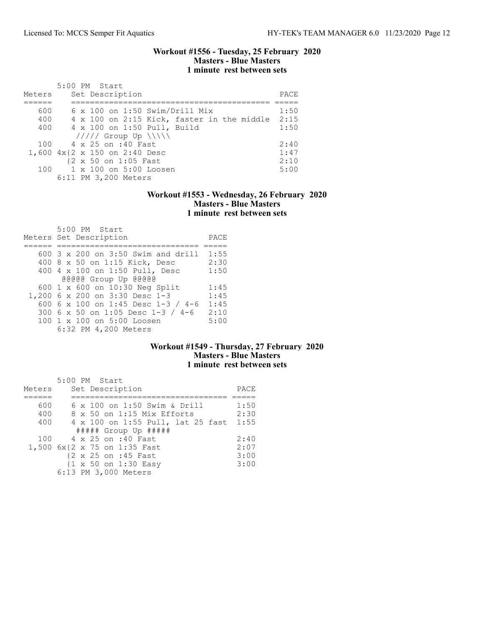### Workout #1556 - Tuesday, 25 February 2020 Masters - Blue Masters 1 minute rest between sets

|        | 5:00 PM Start                                   |      |
|--------|-------------------------------------------------|------|
| Meters | Set Description                                 | PACE |
|        |                                                 |      |
| 600    | $6 \times 100$ on 1:50 Swim/Drill Mix           | 1:50 |
| 400    | 4 x 100 on 2:15 Kick, faster in the middle 2:15 |      |
| 400    | 4 x 100 on 1:50 Pull, Build                     | 1:50 |
|        | $11111$ Group Up $\{\{\}\}\$                    |      |
|        | 100 4 x 25 on :40 Fast                          | 2:40 |
|        | 1,600 4x{2 x 150 on 2:40 Desc                   | 1:47 |
|        | {2 x 50 on 1:05 Fast                            | 2:10 |
|        | 100 1 x 100 on 5:00 Loosen                      | 5:00 |
|        | 6:11 PM 3,200 Meters                            |      |

## Workout #1553 - Wednesday, 26 February 2020 Masters - Blue Masters 1 minute rest between sets

| 5:00 PM Start<br>Meters Set Description | PACE |
|-----------------------------------------|------|
| $600$ 3 x 200 on 3:50 Swim and drill    | 1:55 |
| 400 8 x 50 on 1:15 Kick, Desc           | 2:30 |
| 400 4 x 100 on 1:50 Pull, Desc          | 1:50 |
| @@@@@ Group Up @@@@@                    |      |
| 600 1 x 600 on 10:30 Neg Split          | 1:45 |
| 1,200 6 x 200 on 3:30 Desc 1-3          | 1:45 |
| 600 6 x 100 on 1:45 Desc 1-3 / 4-6      | 1:45 |
| 300 6 x 50 on 1:05 Desc 1-3 / 4-6       | 2:10 |
| $100 \t1 x 100$ on $5:00$ Loosen        | 5:00 |
| 6:32 PM 4,200 Meters                    |      |

# Workout #1549 - Thursday, 27 February 2020 Masters - Blue Masters 1 minute rest between sets

|        | 5:00 PM Start                     |      |
|--------|-----------------------------------|------|
| Meters | Set Description                   | PACE |
|        |                                   |      |
| 600    | 6 x 100 on 1:50 Swim & Drill      | 1:50 |
| 400    | 8 x 50 on 1:15 Mix Efforts        | 2:30 |
| 400    | 4 x 100 on 1:55 Pull, lat 25 fast | 1:55 |
|        | $\#$ #### Group Up $\#$ ####      |      |
| 100    | 4 x 25 on :40 Fast                | 2:40 |
|        | 1,500 6x{2 x 75 on 1:35 Fast      | 2:07 |
|        | {2 x 25 on :45 Fast               | 3:00 |
|        | {1 x 50 on 1:30 Easy              | 3:00 |
|        | 6:13 PM 3,000 Meters              |      |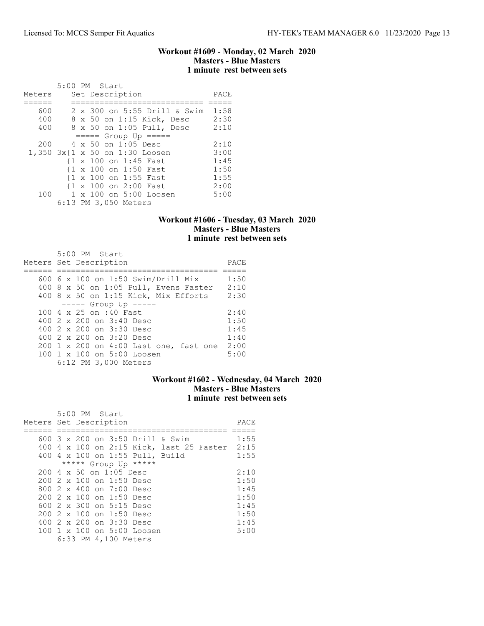### Workout #1609 - Monday, 02 March 2020 Masters - Blue Masters 1 minute rest between sets

|        | 5:00 PM Start                  |      |
|--------|--------------------------------|------|
| Meters | Set Description                | PACE |
|        |                                |      |
| 600    | 2 x 300 on 5:55 Drill & Swim   | 1:58 |
| 400    | 8 x 50 on 1:15 Kick, Desc      | 2:30 |
| 400    | 8 x 50 on 1:05 Pull, Desc      | 2:10 |
|        | $====$ Group Up $====$         |      |
| 200    | $4 \times 50$ on 1:05 Desc     | 2:10 |
|        | 1,350 3x{1 x 50 on 1:30 Loosen | 3:00 |
|        | {1 x 100 on 1:45 Fast          | 1:45 |
|        | {1 x 100 on 1:50 Fast          | 1:50 |
|        | {1 x 100 on 1:55 Fast          | 1:55 |
|        | {1 x 100 on 2:00 Fast          | 2:00 |
| 100    | 1 x 100 on 5:00 Loosen         | 5:00 |
|        | 6:13 PM 3,050 Meters           |      |

# Workout #1606 - Tuesday, 03 March 2020 Masters - Blue Masters 1 minute rest between sets

| 5:00 PM Start                          |      |
|----------------------------------------|------|
| Meters Set Description                 | PACE |
|                                        |      |
| 600 6 x 100 on 1:50 Swim/Drill Mix     | 1:50 |
| 400 8 x 50 on 1:05 Pull, Evens Faster  | 2:10 |
| $400$ 8 x 50 on 1:15 Kick, Mix Efforts | 2:30 |
| $--- -$ Group Up $--- -$               |      |
| 100 4 x 25 on :40 Fast                 | 2:40 |
| 400 2 x 200 on 3:40 Desc               | 1:50 |
| 400 2 x 200 on 3:30 Desc               | 1:45 |
| 400 2 x 200 on 3:20 Desc               | 1:40 |
| 200 1 x 200 on 4:00 Last one, fast one | 2:00 |
| 100 1 x 100 on 5:00 Loosen             | 5:00 |
| 6:12 PM 3,000 Meters                   |      |

# Workout #1602 - Wednesday, 04 March 2020 Masters - Blue Masters 1 minute rest between sets

| 5:00 PM Start                                    |      |
|--------------------------------------------------|------|
| Meters Set Description                           | PACE |
|                                                  |      |
| 600 $3 \times 200$ on $3:50$ Drill & Swim        | 1:55 |
| 400 4 x 100 on 2:15 Kick, last 25 Faster 2:15    |      |
| 400 4 x 100 on 1:55 Pull, Build                  | 1:55 |
| ***** Group Up *****                             |      |
| $200 \text{ } 4 \text{ } \times 50$ on 1:05 Desc | 2:10 |
| $2002 \times 100$ on 1:50 Desc                   | 1:50 |
| 800 2 x 400 on 7:00 Desc                         | 1:45 |
| 200 2 x 100 on 1:50 Desc                         | 1:50 |
| 600 $2 \times 300$ on $5:15$ Desc                | 1:45 |
| 200 2 x 100 on 1:50 Desc                         | 1:50 |
| 400 2 x 200 on 3:30 Desc                         | 1:45 |
| 100 1 x 100 on 5:00 Loosen                       | 5:00 |
| 6:33 PM 4,100 Meters                             |      |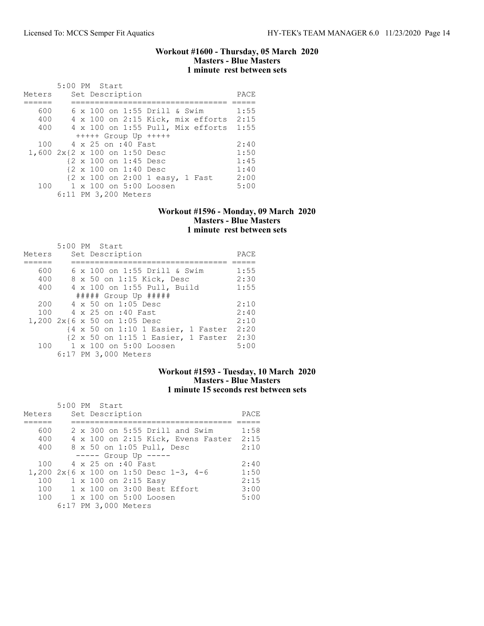## Workout #1600 - Thursday, 05 March 2020 Masters - Blue Masters 1 minute rest between sets

 5:00 PM Start Meters Set Description **PACE** ====== ================================= ===== 600 6 x 100 on 1:55 Drill & Swim 1:55 400 4 x 100 on 2:15 Kick, mix efforts 2:15 400 4 x 100 on 1:55 Pull, Mix efforts 1:55 +++++ Group Up +++++ 100 4 x 25 on :40 Fast 2:40<br>600 2x {2 x 100 on 1:50 Desc 1:50 1,600 2x{2 x 100 on 1:50 Desc 1:50<br>{2 x 100 on 1:45 Desc 1:45 {2 x 100 on 1:45 Desc 1:45 {2 x 100 on 1:40 Desc 1:40 {2 x 100 on 2:00 1 easy, 1 Fast 2:00<br>100 1 x 100 on 5:00 Loosen 5:00  $1 \times 100$  on  $5:00$  Loosen 6:11 PM 3,200 Meters

### Workout #1596 - Monday, 09 March 2020 Masters - Blue Masters 1 minute rest between sets

|        | 5:00 PM Start                      |      |
|--------|------------------------------------|------|
| Meters | Set Description                    | PACE |
|        |                                    |      |
| 600    | 6 x 100 on 1:55 Drill & Swim       | 1:55 |
| 400    | 8 x 50 on 1:15 Kick, Desc          | 2:30 |
| 400    | 4 x 100 on 1:55 Pull, Build        | 1:55 |
|        | $\#$ #### Group Up $\#$ ####       |      |
| 200    | 4 x 50 on 1:05 Desc                | 2:10 |
| 100    | 4 x 25 on :40 Fast                 | 2:40 |
|        | 1,200 2x{6 x 50 on 1:05 Desc       | 2:10 |
|        | {4 x 50 on 1:10 1 Easier, 1 Faster | 2:20 |
|        | {2 x 50 on 1:15 1 Easier, 1 Faster | 2:30 |
| 100    | 1 x 100 on 5:00 Loosen             | 5:00 |
|        | 6:17 PM 3,000 Meters               |      |

### Workout #1593 - Tuesday, 10 March 2020 Masters - Blue Masters 1 minute 15 seconds rest between sets

|        |  | 5:00 PM Start                          |      |
|--------|--|----------------------------------------|------|
| Meters |  | Set Description                        | PACE |
|        |  |                                        |      |
| 600    |  | 2 x 300 on 5:55 Drill and Swim         | 1:58 |
| 400    |  | 4 x 100 on 2:15 Kick, Evens Faster     | 2:15 |
| 400    |  | 8 x 50 on 1:05 Pull, Desc              | 2:10 |
|        |  | $--- $ Group Up $---$                  |      |
| 100    |  | 4 x 25 on :40 Fast                     | 2:40 |
|        |  | 1,200 2x{6 x 100 on 1:50 Desc 1-3, 4-6 | 1:50 |
| 100    |  | 1 x 100 on 2:15 Easy                   | 2:15 |
| 100    |  | 1 x 100 on 3:00 Best Effort            | 3:00 |
| 100    |  | 1 x 100 on 5:00 Loosen                 | 5:00 |
|        |  | 6:17 PM 3,000 Meters                   |      |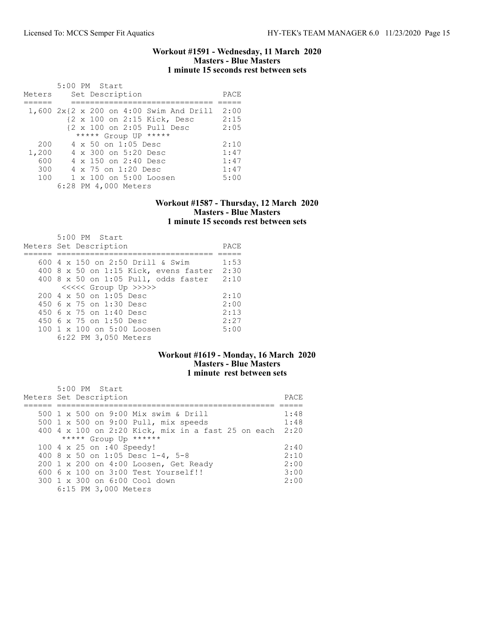### Workout #1591 - Wednesday, 11 March 2020 Masters - Blue Masters 1 minute 15 seconds rest between sets

|        | 5:00 PM Start                                |      |
|--------|----------------------------------------------|------|
| Meters | Set Description                              | PACE |
|        |                                              |      |
|        | 1,600 2x{2 x 200 on 4:00 Swim And Drill 2:00 |      |
|        | {2 x 100 on 2:15 Kick, Desc                  | 2:15 |
|        | {2 x 100 on 2:05 Pull Desc                   | 2:05 |
|        | ***** Group UP *****                         |      |
| 200    | 4 x 50 on 1:05 Desc                          | 2:10 |
| 1,200  | $4 \times 300$ on $5:20$ Desc                | 1:47 |
| 600    | $4 \times 150$ on 2:40 Desc                  | 1:47 |
| 300    | 4 x 75 on 1:20 Desc                          | 1:47 |
| 100    | 1 x 100 on 5:00 Loosen                       | 5:00 |
|        | 6:28 PM 4,000 Meters                         |      |

### Workout #1587 - Thursday, 12 March 2020 Masters - Blue Masters 1 minute 15 seconds rest between sets

| $5:00$ PM Start<br>Meters Set Description | PACE |
|-------------------------------------------|------|
| 600 $4 \times 150$ on 2:50 Drill & Swim   | 1:53 |
| 400 8 x 50 on 1:15 Kick, evens faster     | 2:30 |
| 400 8 x 50 on 1:05 Pull, odds faster      | 2:10 |
| <<<<<< Group Up >>>>>                     |      |
| $200.4 \times 50$ on 1:05 Desc            | 2:10 |
| 450 6 x 75 on 1:30 Desc                   | 2:00 |
| $450.6 \times 75$ on 1:40 Desc            | 2:13 |
| 450 6 x 75 on 1:50 Desc                   | 2:27 |
| 100 1 x 100 on 5:00 Loosen                | 5:00 |
| 6:22 PM 3,050 Meters                      |      |

# Workout #1619 - Monday, 16 March 2020 Masters - Blue Masters 1 minute rest between sets

| 5:00 PM Start<br>Meters Set Description                 | PACE. |
|---------------------------------------------------------|-------|
| 500 1 x 500 on 9:00 Mix swim & Drill                    | 1:48  |
| 500 1 x 500 on 9:00 Pull, mix speeds                    | 1:48  |
| 400 4 x 100 on 2:20 Kick, mix in a fast 25 on each 2:20 |       |
| ***** Group Up ******                                   |       |
| 100 4 x 25 on :40 Speedy!                               | 2:40  |
| 400 8 x 50 on 1:05 Desc 1-4, 5-8                        | 2:10  |
| 200 1 x 200 on 4:00 Loosen, Get Ready                   | 2:00  |
| $6006 \times 100$ on $3:00$ Test Yourself!!             | 3:00  |
| 300 1 x 300 on 6:00 Cool down                           | 2:00  |
| 6:15 PM 3,000 Meters                                    |       |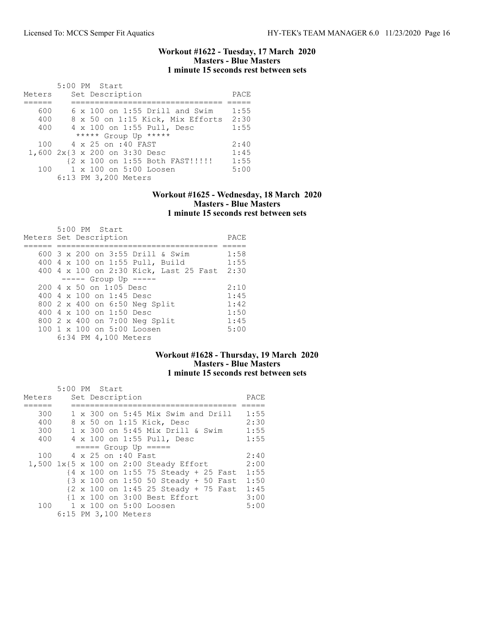### Workout #1622 - Tuesday, 17 March 2020 Masters - Blue Masters 1 minute 15 seconds rest between sets

|        |  | 5:00 PM Start                         |      |
|--------|--|---------------------------------------|------|
| Meters |  | Set Description                       | PACE |
|        |  |                                       |      |
| 600    |  | $6 \times 100$ on 1:55 Drill and Swim | 1:55 |
| 400    |  | 8 x 50 on 1:15 Kick, Mix Efforts 2:30 |      |
| 400    |  | 4 x 100 on 1:55 Pull, Desc            | 1:55 |
|        |  | ***** Group Up *****                  |      |
|        |  | 100 4 x 25 on :40 FAST                | 2:40 |
|        |  | 1,600 2x{3 x 200 on 3:30 Desc         | 1:45 |
|        |  | {2 x 100 on 1:55 Both FAST!!!!!       | 1:55 |
| 100    |  | 1 x 100 on 5:00 Loosen                | 5:00 |
|        |  | 6:13 PM 3,200 Meters                  |      |

## Workout #1625 - Wednesday, 18 March 2020 Masters - Blue Masters 1 minute 15 seconds rest between sets

| 5:00 PM Start                                    |      |
|--------------------------------------------------|------|
| Meters Set Description                           | PACE |
|                                                  |      |
| 600 3 x 200 on 3:55 Drill & Swim                 | 1:58 |
| 400 4 x 100 on 1:55 Pull, Build                  | 1:55 |
| 400 4 x 100 on 2:30 Kick, Last 25 Fast           | 2:30 |
| $--- $ Group Up $---$                            |      |
| $200 \text{ } 4 \text{ } \times 50$ on 1:05 Desc | 2:10 |
| 400 4 $\times$ 100 on 1:45 Desc                  | 1:45 |
| 800 2 x 400 on 6:50 Neg Split                    | 1:42 |
| 400 $4 \times 100$ on 1:50 Desc                  | 1:50 |
| 800 2 x 400 on 7:00 Neg Split                    | 1:45 |
| 100 1 x 100 on 5:00 Loosen                       | 5:00 |
| 6:34 PM 4,100 Meters                             |      |

# Workout #1628 - Thursday, 19 March 2020 Masters - Blue Masters 1 minute 15 seconds rest between sets

|        | 5:00 PM Start |  |                      |                                                         |      |
|--------|---------------|--|----------------------|---------------------------------------------------------|------|
| Meters |               |  | Set Description      |                                                         | PACE |
|        |               |  |                      |                                                         |      |
| 300    |               |  |                      | 1 x 300 on 5:45 Mix Swim and Drill                      | 1:55 |
| 400    |               |  |                      | 8 x 50 on 1:15 Kick, Desc                               | 2:30 |
| 300    |               |  |                      | 1 x 300 on 5:45 Mix Drill & Swim                        | 1:55 |
| 400    |               |  |                      | 4 x 100 on 1:55 Pull, Desc                              | 1:55 |
|        |               |  |                      | $====$ Group Up $====$                                  |      |
| 100    |               |  | 4 x 25 on :40 Fast   |                                                         | 2:40 |
|        |               |  |                      | 1,500 1x{5 x 100 on 2:00 Steady Effort                  | 2:00 |
|        |               |  |                      | $\{4 \times 100 \text{ on } 1:55\}$ 75 Steady + 25 Fast | 1:55 |
|        |               |  |                      | {3 x 100 on 1:50 50 Steady + 50 Fast                    | 1:50 |
|        |               |  |                      | {2 x 100 on 1:45 25 Steady + 75 Fast                    | 1:45 |
|        |               |  |                      | {1 x 100 on 3:00 Best Effort                            | 3:00 |
|        |               |  |                      | 100 1 x 100 on 5:00 Loosen                              | 5:00 |
|        |               |  | 6:15 PM 3,100 Meters |                                                         |      |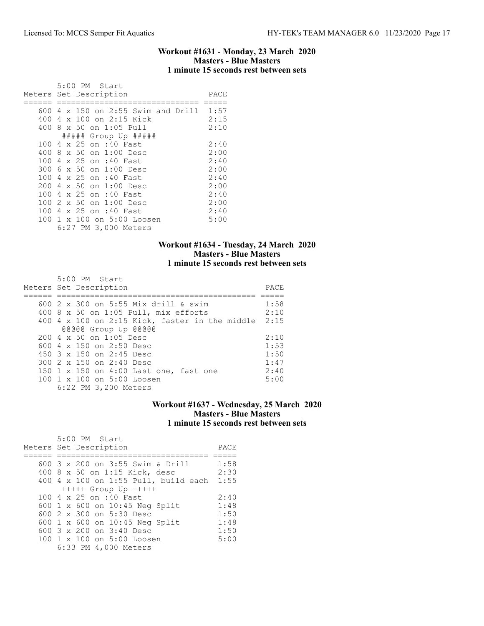### Workout #1631 - Monday, 23 March 2020 Masters - Blue Masters 1 minute 15 seconds rest between sets

|     | 5:00 PM Start                           |      |
|-----|-----------------------------------------|------|
|     | Meters Set Description                  | PACE |
|     |                                         |      |
|     | 600 4 x 150 on 2:55 Swim and Drill 1:57 |      |
|     | 400 4 x 100 on 2:15 Kick                | 2:15 |
|     | 400 8 x 50 on 1:05 Pull                 | 2:10 |
|     | $\#$ #### Group Up $\#$ ####            |      |
|     | 100 4 x 25 on :40 Fast                  | 2:40 |
| 400 | 8 x 50 on 1:00 Desc                     | 2:00 |
|     | 100 4 x 25 on :40 Fast                  | 2:40 |
|     | 300 6 x 50 on 1:00 Desc                 | 2:00 |
|     | 100 4 x 25 on :40 Fast                  | 2:40 |
| 200 | 4 x 50 on 1:00 Desc                     | 2:00 |
| 100 | 4 x 25 on :40 Fast                      | 2:40 |
|     | 100 2 x 50 on 1:00 Desc                 | 2:00 |
|     | 100 4 x 25 on :40 Fast                  | 2:40 |
|     | 100 1 x 100 on 5:00 Loosen              | 5:00 |
|     | 6:27 PM 3,000 Meters                    |      |

## Workout #1634 - Tuesday, 24 March 2020 Masters - Blue Masters 1 minute 15 seconds rest between sets

| 5:00 PM Start                                    |      |
|--------------------------------------------------|------|
| Meters Set Description                           | PACE |
|                                                  |      |
| 600 2 x 300 on 5:55 Mix drill & swim             | 1:58 |
| 400 8 x 50 on 1:05 Pull, mix efforts             | 2:10 |
| 400 4 x 100 on 2:15 Kick, faster in the middle   | 2:15 |
| @@@@@ Group Up @@@@@                             |      |
| $200 \text{ } 4 \text{ } \times 50$ on 1:05 Desc | 2:10 |
| 600 $4 \times 150$ on 2:50 Desc                  | 1:53 |
| 450 3 x 150 on 2:45 Desc                         | 1:50 |
| 300 2 x 150 on 2:40 Desc                         | 1:47 |
| 150 1 x 150 on 4:00 Last one, fast one           | 2:40 |
| $100 \t1 x 100$ on $5:00$ Loosen                 | 5:00 |
| 6:22 PM 3,200 Meters                             |      |

# Workout #1637 - Wednesday, 25 March 2020 Masters - Blue Masters 1 minute 15 seconds rest between sets

| $5:00$ PM Start<br>Meters Set Description | PACE |
|-------------------------------------------|------|
| 600 3 x 200 on 3:55 Swim & Drill          | 1:58 |
| 400 8 x 50 on 1:15 Kick, desc             | 2:30 |
| 400 4 x 100 on 1:55 Pull, build each      | 1:55 |
| $++++$ Group Up $++++$                    |      |
| 100 4 x 25 on :40 Fast                    | 2:40 |
| 600 1 x 600 on 10:45 Neg Split            | 1:48 |
| 600 2 x 300 on 5:30 Desc                  | 1:50 |
| 600 1 x 600 on 10:45 Neg Split            | 1:48 |
| 600 3 x 200 on 3:40 Desc                  | 1:50 |
| 100 1 x 100 on 5:00 Loosen                | 5:00 |
| 6:33 PM 4,000 Meters                      |      |
|                                           |      |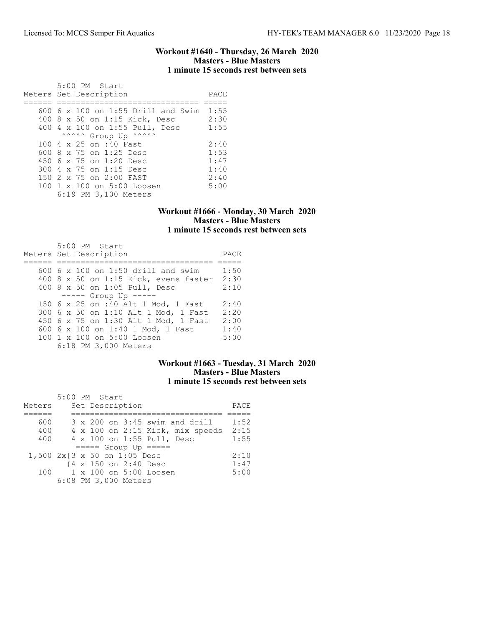### Workout #1640 - Thursday, 26 March 2020 Masters - Blue Masters 1 minute 15 seconds rest between sets

| 5:00 PM Start<br>Meters Set Description | PACE |
|-----------------------------------------|------|
| $600$ 6 x 100 on 1:55 Drill and Swim    | 1:55 |
|                                         |      |
| 400 8 x 50 on 1:15 Kick, Desc           | 2:30 |
| 400 4 x 100 on 1:55 Pull, Desc          | 1:55 |
| ^^^^^ Group Up ^^^^^^                   |      |
| 100 4 x 25 on :40 Fast                  | 2:40 |
| 600 8 x 75 on 1:25 Desc                 | 1:53 |
| 450 6 x 75 on 1:20 Desc                 | 1:47 |
| 300 4 x 75 on 1:15 Desc                 | 1:40 |
| 150 2 x 75 on 2:00 FAST                 | 2:40 |
| 100 1 x 100 on 5:00 Loosen              | 5:00 |
| 6:19 PM 3,100 Meters                    |      |

## Workout #1666 - Monday, 30 March 2020 Masters - Blue Masters 1 minute 15 seconds rest between sets

| 5:00 PM Start<br>Meters Set Description | PACE |
|-----------------------------------------|------|
| 600 6 x 100 on 1:50 drill and swim      | 1:50 |
| 400 8 x 50 on 1:15 Kick, evens faster   | 2:30 |
| 400 8 x 50 on 1:05 Pull, Desc           | 2:10 |
| $--- $ Group Up $---$                   |      |
| 150 6 x 25 on :40 Alt 1 Mod, 1 Fast     | 2:40 |
| 300 6 x 50 on 1:10 Alt 1 Mod, 1 Fast    | 2:20 |
| 450 6 x 75 on 1:30 Alt 1 Mod, 1 Fast    | 2:00 |
| 600 6 x 100 on 1:40 1 Mod, 1 Fast       | 1:40 |
| 100 1 x 100 on 5:00 Loosen              | 5:00 |
| 6:18 PM 3,000 Meters                    |      |

# Workout #1663 - Tuesday, 31 March 2020 Masters - Blue Masters 1 minute 15 seconds rest between sets

|                              | 5:00 PM Start |  |                       |                            |                                  |      |
|------------------------------|---------------|--|-----------------------|----------------------------|----------------------------------|------|
| Meters                       |               |  | Set Description       |                            |                                  | PACE |
|                              |               |  |                       |                            |                                  |      |
| 600                          |               |  |                       |                            | 3 x 200 on 3:45 swim and drill   | 1:52 |
| 400                          |               |  |                       |                            | 4 x 100 on 2:15 Kick, mix speeds | 2:15 |
| 400                          |               |  |                       | 4 x 100 on 1:55 Pull, Desc |                                  | 1:55 |
|                              |               |  |                       | $====$ Group Up $====$     |                                  |      |
| 1,500 2x{3 x 50 on 1:05 Desc |               |  |                       |                            |                                  | 2:10 |
|                              |               |  | {4 x 150 on 2:40 Desc |                            |                                  | 1:47 |
| 100                          |               |  |                       | 1 x 100 on 5:00 Loosen     |                                  | 5:00 |
|                              |               |  | 6:08 PM 3,000 Meters  |                            |                                  |      |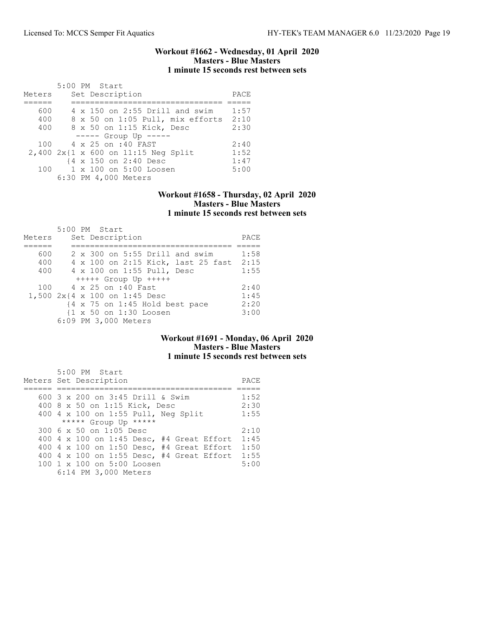### Workout #1662 - Wednesday, 01 April 2020 Masters - Blue Masters 1 minute 15 seconds rest between sets

|        | $5:00$ PM Start                                                |      |
|--------|----------------------------------------------------------------|------|
| Meters | Set Description                                                | PACE |
|        |                                                                |      |
| 600    | $4 \times 150$ on 2:55 Drill and swim                          | 1:57 |
| 400    | 8 x 50 on 1:05 Pull, mix efforts                               | 2:10 |
| 400    | 8 x 50 on 1:15 Kick, Desc                                      | 2:30 |
|        | $--- -$ Group Up $---$                                         |      |
| 100    | 4 x 25 on :40 FAST                                             | 2:40 |
|        | $2,400$ $2x\{1 \times 600 \text{ on } 11:15 \text{ Neg Split}$ | 1:52 |
|        | {4 x 150 on 2:40 Desc                                          | 1:47 |
| 100    | 1 x 100 on 5:00 Loosen                                         | 5:00 |
|        | 6:30 PM 4,000 Meters                                           |      |

## Workout #1658 - Thursday, 02 April 2020 Masters - Blue Masters 1 minute 15 seconds rest between sets

|                               | 5:00 PM Start        |  |                 |                            |                                                           |      |
|-------------------------------|----------------------|--|-----------------|----------------------------|-----------------------------------------------------------|------|
| Meters                        |                      |  | Set Description |                            |                                                           | PACE |
|                               |                      |  |                 |                            |                                                           |      |
| 600                           |                      |  |                 |                            | $2 \times 300$ on 5:55 Drill and swim                     | 1:58 |
| 400                           |                      |  |                 |                            | 4 x 100 on 2:15 Kick, last 25 fast                        | 2:15 |
| 400                           |                      |  |                 | 4 x 100 on 1:55 Pull, Desc |                                                           | 1:55 |
|                               |                      |  |                 | $++++$ Group Up $++++$     |                                                           |      |
| 100                           | 4 x 25 on :40 Fast   |  |                 |                            |                                                           | 2:40 |
| 1,500 2x{4 x 100 on 1:45 Desc |                      |  |                 |                            |                                                           | 1:45 |
|                               |                      |  |                 |                            | $\{4 \times 75 \text{ on } 1:45 \text{ Hold best pace}\}$ | 2:20 |
|                               |                      |  |                 | {1 x 50 on 1:30 Loosen     |                                                           | 3:00 |
|                               | 6:09 PM 3,000 Meters |  |                 |                            |                                                           |      |

# Workout #1691 - Monday, 06 April 2020 Masters - Blue Masters 1 minute 15 seconds rest between sets

| 5:00 PM Start                             |      |
|-------------------------------------------|------|
| Meters Set Description                    | PACE |
|                                           |      |
| 600 3 x 200 on 3:45 Drill & Swim          | 1:52 |
| 400 8 x 50 on 1:15 Kick, Desc             | 2:30 |
| 400 4 x 100 on 1:55 Pull, Neg Split       | 1:55 |
| ***** Group Up *****                      |      |
| 300 6 x 50 on 1:05 Desc                   | 2:10 |
| 400 4 x 100 on 1:45 Desc, #4 Great Effort | 1:45 |
| 400 4 x 100 on 1:50 Desc, #4 Great Effort | 1:50 |
| 400 4 x 100 on 1:55 Desc, #4 Great Effort | 1:55 |
| 100 1 x 100 on 5:00 Loosen                | 5:00 |
| 6:14 PM 3,000 Meters                      |      |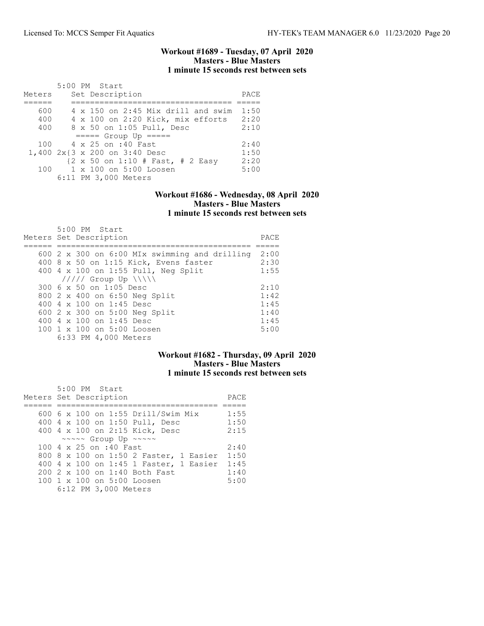### Workout #1689 - Tuesday, 07 April 2020 Masters - Blue Masters 1 minute 15 seconds rest between sets

|        |  | $5:00$ PM Start                           |      |
|--------|--|-------------------------------------------|------|
| Meters |  | Set Description                           | PACE |
|        |  |                                           |      |
| 600    |  | $4 \times 150$ on 2:45 Mix drill and swim | 1:50 |
| 400    |  | 4 x 100 on 2:20 Kick, mix efforts         | 2:20 |
| 400    |  | 8 x 50 on 1:05 Pull, Desc                 | 2:10 |
|        |  | $====$ Group Up $====$                    |      |
|        |  | 100 4 x 25 on :40 Fast                    | 2:40 |
|        |  | 1,400 2x{3 x 200 on 3:40 Desc             | 1:50 |
|        |  | {2 x 50 on 1:10 # Fast, # 2 Easy          | 2:20 |
| 100    |  | 1 x 100 on 5:00 Loosen                    | 5:00 |
|        |  | 6:11 PM 3,000 Meters                      |      |

## Workout #1686 - Wednesday, 08 April 2020 Masters - Blue Masters 1 minute 15 seconds rest between sets

| 5:00 PM Start<br>Meters Set Description              | PACE |
|------------------------------------------------------|------|
| 600 $2 \times 300$ on 6:00 MIx swimming and drilling | 2:00 |
| 400 8 x 50 on 1:15 Kick, Evens faster                | 2:30 |
| 400 4 x 100 on 1:55 Pull, Neg Split                  | 1:55 |
| $11111$ Group Up $\{\{\}\}\$                         |      |
| 300 6 x 50 on 1:05 Desc                              | 2:10 |
| 800 2 x 400 on 6:50 Neg Split                        | 1:42 |
| 400 $4 \times 100$ on 1:45 Desc                      | 1:45 |
| 600 2 x 300 on 5:00 Neg Split                        | 1:40 |
| 400 $4 \times 100$ on 1:45 Desc                      | 1:45 |
| 100 1 x 100 on 5:00 Loosen                           | 5:00 |
| 6:33 PM 4,000 Meters                                 |      |

# Workout #1682 - Thursday, 09 April 2020 Masters - Blue Masters 1 minute 15 seconds rest between sets

| $5:00$ PM Start<br>Meters Set Description | PACE |
|-------------------------------------------|------|
| 600 6 x 100 on 1:55 Drill/Swim Mix        | 1:55 |
| 400 4 x 100 on 1:50 Pull, Desc            | 1:50 |
| 400 4 x 100 on 2:15 Kick, Desc            | 2:15 |
| ~~~~~ Group Up ~~~~~                      |      |
| 100 4 x 25 on :40 Fast                    | 2:40 |
| 800 8 x 100 on 1:50 2 Faster, 1 Easier    | 1:50 |
| 400 4 x 100 on 1:45 1 Faster, 1 Easier    | 1:45 |
| 200 2 x 100 on 1:40 Both Fast             | 1:40 |
| 100 1 x 100 on 5:00 Loosen                | 5:00 |
| 6:12 PM 3,000 Meters                      |      |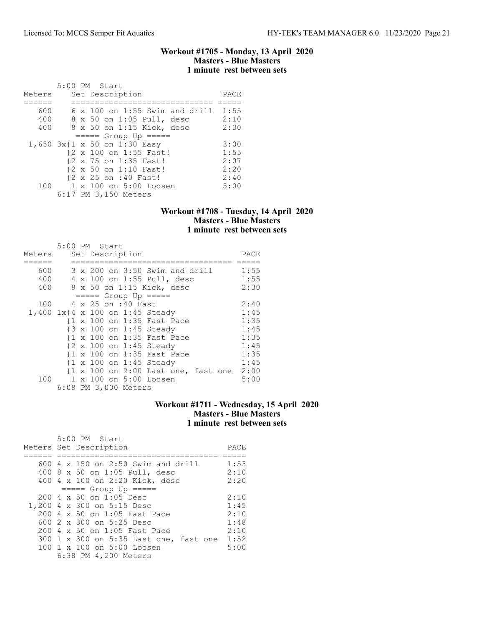### Workout #1705 - Monday, 13 April 2020 Masters - Blue Masters 1 minute rest between sets

|        | 5:00 PM Start                         |      |
|--------|---------------------------------------|------|
| Meters | Set Description                       | PACE |
|        |                                       |      |
| 600    | $6 \times 100$ on 1:55 Swim and drill | 1:55 |
| 400    | 8 x 50 on 1:05 Pull, desc             | 2:10 |
| 400    | 8 x 50 on 1:15 Kick, desc             | 2:30 |
|        | $====$ Group Up $====$                |      |
|        | 1,650 3x{1 x 50 on 1:30 Easy          | 3:00 |
|        | {2 x 100 on 1:55 Fast!                | 1:55 |
|        | {2 x 75 on 1:35 Fast!                 | 2:07 |
|        | {2 x 50 on 1:10 Fast!                 | 2:20 |
|        | {2 x 25 on :40 Fast!                  | 2:40 |
| 100    | 1 x 100 on 5:00 Loosen                | 5:00 |
|        | 6:17 PM 3,150 Meters                  |      |

## Workout #1708 - Tuesday, 14 April 2020 Masters - Blue Masters 1 minute rest between sets

|        | 5:00 PM Start |  |                      |                                          |      |
|--------|---------------|--|----------------------|------------------------------------------|------|
| Meters |               |  | Set Description      |                                          | PACE |
|        |               |  |                      |                                          |      |
| 600    |               |  |                      | 3 x 200 on 3:50 Swim and drill           | 1:55 |
| 400    |               |  |                      | 4 x 100 on 1:55 Pull, desc               | 1:55 |
| 400    |               |  |                      | 8 x 50 on 1:15 Kick, desc                | 2:30 |
|        |               |  |                      | $== == $ Group Up $== == $               |      |
| 100    |               |  | 4 x 25 on :40 Fast   |                                          | 2:40 |
|        |               |  |                      | 1,400 1x{4 x 100 on 1:45 Steady          | 1:45 |
|        |               |  |                      | {1 x 100 on 1:35 Fast Pace               | 1:35 |
|        |               |  |                      | {3 x 100 on 1:45 Steady                  | 1:45 |
|        |               |  |                      | {1 x 100 on 1:35 Fast Pace               | 1:35 |
|        |               |  |                      | {2 x 100 on 1:45 Steady                  | 1:45 |
|        |               |  |                      | {1 x 100 on 1:35 Fast Pace               | 1:35 |
|        |               |  |                      | {1 x 100 on 1:45 Steady                  | 1:45 |
|        |               |  |                      | {1 x 100 on 2:00 Last one, fast one 2:00 |      |
| 100    |               |  |                      | 1 x 100 on 5:00 Loosen                   | 5:00 |
|        |               |  | 6:08 PM 3,000 Meters |                                          |      |

# Workout #1711 - Wednesday, 15 April 2020 Masters - Blue Masters 1 minute rest between sets

| 5:00 PM Start<br>Meters Set Description          | PACE |
|--------------------------------------------------|------|
| 600 4 x 150 on 2:50 Swim and drill               | 1:53 |
| 400 8 x 50 on 1:05 Pull, desc                    | 2:10 |
| 400 4 x 100 on 2:20 Kick, desc                   | 2:20 |
| $====$ Group Up $====$                           |      |
| $200 \text{ } 4 \text{ } \times 50$ on 1:05 Desc | 2:10 |
| 1,200 4 x 300 on 5:15 Desc                       | 1:45 |
| 200 4 x 50 on 1:05 Fast Pace                     | 2:10 |
| 600 2 x 300 on 5:25 Desc                         | 1:48 |
| 200 4 x 50 on 1:05 Fast Pace                     | 2:10 |
| 300 1 x 300 on 5:35 Last one, fast one           | 1:52 |
| 100 1 x 100 on 5:00 Loosen                       | 5:00 |
| 6:38 PM 4,200 Meters                             |      |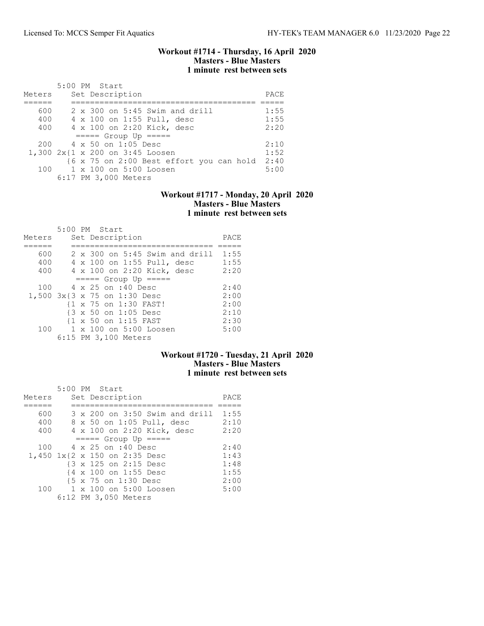### Workout #1714 - Thursday, 16 April 2020 Masters - Blue Masters 1 minute rest between sets

| Meters | 5:00 PM Start<br>Set Description         | PACE |
|--------|------------------------------------------|------|
| 600    | $2 \times 300$ on 5:45 Swim and drill    | 1:55 |
|        |                                          |      |
| 400    | 4 x 100 on 1:55 Pull, desc               | 1:55 |
| 400    | 4 x 100 on 2:20 Kick, desc               | 2:20 |
|        | $====$ Group Up $====$                   |      |
|        | $200 \t 4 \times 50$ on 1:05 Desc        | 2:10 |
|        | 1,300 2x{1 x 200 on 3:45 Loosen          | 1:52 |
|        | {6 x 75 on 2:00 Best effort you can hold | 2:40 |
| 100 -  | 1 x 100 on 5:00 Loosen                   | 5:00 |
|        | 6:17 PM 3,000 Meters                     |      |

## Workout #1717 - Monday, 20 April 2020 Masters - Blue Masters 1 minute rest between sets

|        | 5:00 PM Start                |                                         |      |
|--------|------------------------------|-----------------------------------------|------|
| Meters | Set Description              |                                         | PACE |
|        |                              |                                         |      |
| 600    |                              | $2 \times 300$ on $5:45$ Swim and drill | 1:55 |
| 400    |                              | 4 x 100 on 1:55 Pull, desc              | 1:55 |
| 400    |                              | 4 x 100 on 2:20 Kick, desc              | 2:20 |
|        | $====$ Group Up $====$       |                                         |      |
| 100    | 4 x 25 on :40 Desc           |                                         | 2:40 |
|        | 1,500 3x{3 x 75 on 1:30 Desc |                                         | 2:00 |
|        | {1 x 75 on 1:30 FAST!        |                                         | 2:00 |
|        | {3 x 50 on 1:05 Desc         |                                         | 2:10 |
|        | {1 x 50 on 1:15 FAST         |                                         | 2:30 |
| 100    | 1 x 100 on 5:00 Loosen       |                                         | 5:00 |
|        | 6:15 PM 3,100 Meters         |                                         |      |

# Workout #1720 - Tuesday, 21 April 2020 Masters - Blue Masters 1 minute rest between sets

| Meters |  | $5:00$ PM Start<br>Set Description | PACE |
|--------|--|------------------------------------|------|
|        |  |                                    |      |
| 600    |  | 3 x 200 on 3:50 Swim and drill     | 1:55 |
| 400    |  | 8 x 50 on 1:05 Pull, desc          | 2:10 |
| 400    |  | 4 x 100 on 2:20 Kick, desc         | 2:20 |
|        |  | $====$ Group Up $====$             |      |
| 100    |  | 4 x 25 on :40 Desc                 | 2:40 |
|        |  | 1,450 1x{2 x 150 on 2:35 Desc      | 1:43 |
|        |  | {3 x 125 on 2:15 Desc              | 1:48 |
|        |  | {4 x 100 on 1:55 Desc              | 1:55 |
|        |  | {5 x 75 on 1:30 Desc               | 2:00 |
| 100    |  | 1 x 100 on 5:00 Loosen             | 5:00 |
|        |  | 6:12 PM 3,050 Meters               |      |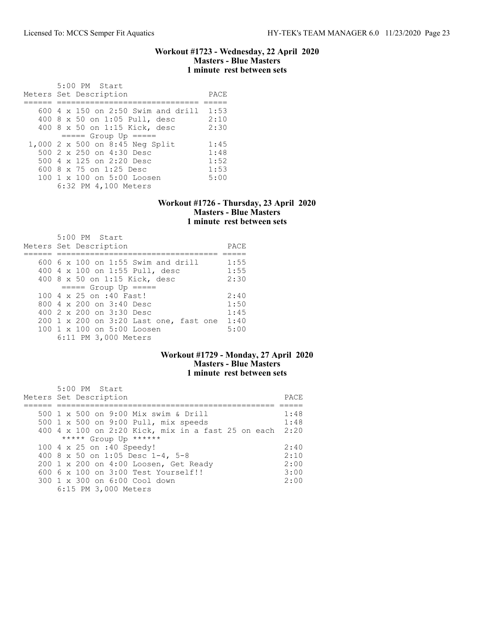### Workout #1723 - Wednesday, 22 April 2020 Masters - Blue Masters 1 minute rest between sets

| 5:00 PM Start                        |      |
|--------------------------------------|------|
| Meters Set Description               | PACE |
|                                      |      |
| $600$ 4 x 150 on 2:50 Swim and drill | 1:53 |
| 400 8 x 50 on 1:05 Pull, desc        | 2:10 |
| 400 8 x 50 on 1:15 Kick, desc        | 2:30 |
| $====$ Group Up $====$               |      |
| 1,000 2 x 500 on 8:45 Neg Split      | 1:45 |
| 500 2 x 250 on 4:30 Desc             | 1:48 |
| 500 4 x 125 on 2:20 Desc             | 1:52 |
| 600 8 $\times$ 75 on 1:25 Desc       | 1:53 |
| 100 1 x 100 on 5:00 Loosen           | 5:00 |
| 6:32 PM 4,100 Meters                 |      |

### Workout #1726 - Thursday, 23 April 2020 Masters - Blue Masters 1 minute rest between sets

| $5:00$ PM Start<br>Meters Set Description | PACE |
|-------------------------------------------|------|
| $600\,$ 6 x 100 on 1:55 Swim and drill    | 1:55 |
| 400 4 x 100 on 1:55 Pull, desc            | 1:55 |
| 400 8 x 50 on 1:15 Kick, desc             | 2:30 |
| $====$ Group Up $====$                    |      |
| 100 4 x 25 on :40 Fast!                   | 2:40 |
| 800 $4 \times 200$ on $3:40$ Desc         | 1:50 |
| 400 $2 \times 200$ on $3:30$ Desc         | 1:45 |
| 200 1 x 200 on 3:20 Last one, fast one    | 1:40 |
| 100 1 x 100 on 5:00 Loosen                | 5:00 |
| 6:11 PM 3,000 Meters                      |      |

# Workout #1729 - Monday, 27 April 2020 Masters - Blue Masters 1 minute rest between sets

| 5:00 PM Start<br>Meters Set Description                 | PACE. |
|---------------------------------------------------------|-------|
| 500 1 x 500 on 9:00 Mix swim & Drill                    | 1:48  |
| 500 1 x 500 on 9:00 Pull, mix speeds                    | 1:48  |
| 400 4 x 100 on 2:20 Kick, mix in a fast 25 on each 2:20 |       |
| ***** Group Up ******                                   |       |
| 100 4 x 25 on :40 Speedy!                               | 2:40  |
| 400 8 x 50 on 1:05 Desc 1-4, 5-8                        | 2:10  |
| 200 1 x 200 on 4:00 Loosen, Get Ready                   | 2:00  |
| $6006 \times 100$ on $3:00$ Test Yourself!!             | 3:00  |
| 300 1 x 300 on 6:00 Cool down                           | 2:00  |
| 6:15 PM 3,000 Meters                                    |       |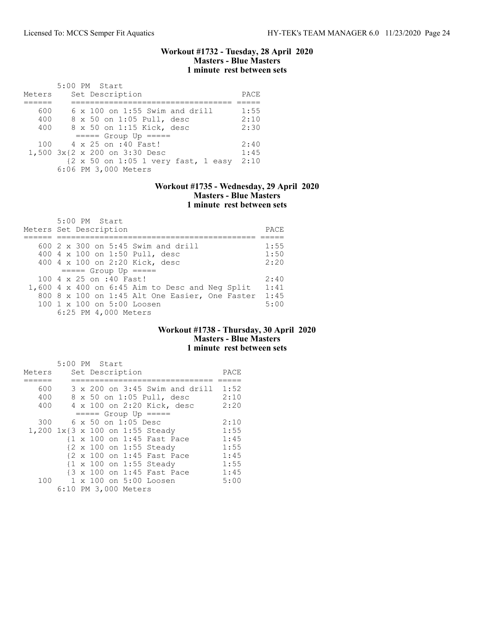### Workout #1732 - Tuesday, 28 April 2020 Masters - Blue Masters 1 minute rest between sets

|        | 5:00 PM Start                         |      |
|--------|---------------------------------------|------|
| Meters | Set Description                       | PACE |
|        |                                       |      |
| 600    | $6 \times 100$ on 1:55 Swim and drill | 1:55 |
| 400    | 8 x 50 on 1:05 Pull, desc             | 2:10 |
| 400    | 8 x 50 on 1:15 Kick, desc             | 2:30 |
|        | $====$ Group Up $====$                |      |
| 100    | 4 x 25 on :40 Fast!                   | 2:40 |
|        | 1,500 3x{2 x 200 on 3:30 Desc         | 1:45 |
|        | {2 x 50 on 1:05 1 very fast, 1 easy   | 2:10 |
|        | 6:06 PM 3,000 Meters                  |      |

## Workout #1735 - Wednesday, 29 April 2020 Masters - Blue Masters 1 minute rest between sets

| 5:00 PM Start<br>Meters Set Description                                                                                                                                                                            | PACE                         |
|--------------------------------------------------------------------------------------------------------------------------------------------------------------------------------------------------------------------|------------------------------|
| 600 2 x 300 on 5:45 Swim and drill<br>400 4 x 100 on 1:50 Pull, desc<br>400 4 x 100 on 2:20 Kick, desc                                                                                                             | 1:55<br>1:50<br>2:20         |
| $====$ Group Up $====$<br>100 4 x 25 on :40 Fast!<br>1,600 4 x 400 on 6:45 Aim to Desc and Neg Split<br>800 8 x 100 on 1:45 Alt One Easier, One Faster<br>$100 \t1 x 100$ on $5:00$ Loosen<br>6:25 PM 4,000 Meters | 2:40<br>1:41<br>1:45<br>5:00 |

### Workout #1738 - Thursday, 30 April 2020 Masters - Blue Masters 1 minute rest between sets

|        | 5:00 PM Start                   |      |
|--------|---------------------------------|------|
| Meters | Set Description                 | PACE |
|        |                                 |      |
| 600    | 3 x 200 on 3:45 Swim and drill  | 1:52 |
| 400    | 8 x 50 on 1:05 Pull, desc       | 2:10 |
| 400    | 4 x 100 on 2:20 Kick, desc      | 2:20 |
|        | $== == $ Group Up $== == $      |      |
| 300    | 6 x 50 on 1:05 Desc             | 2:10 |
|        | 1,200 1x{3 x 100 on 1:55 Steady | 1:55 |
|        | {1 x 100 on 1:45 Fast Pace      | 1:45 |
|        | {2 x 100 on 1:55 Steady         | 1:55 |
|        | {2 x 100 on 1:45 Fast Pace      | 1:45 |
|        | {1 x 100 on 1:55 Steady         | 1:55 |
|        | {3 x 100 on 1:45 Fast Pace      | 1:45 |
| 100    | 1 x 100 on 5:00 Loosen          | 5:00 |
|        | 6:10 PM 3,000 Meters            |      |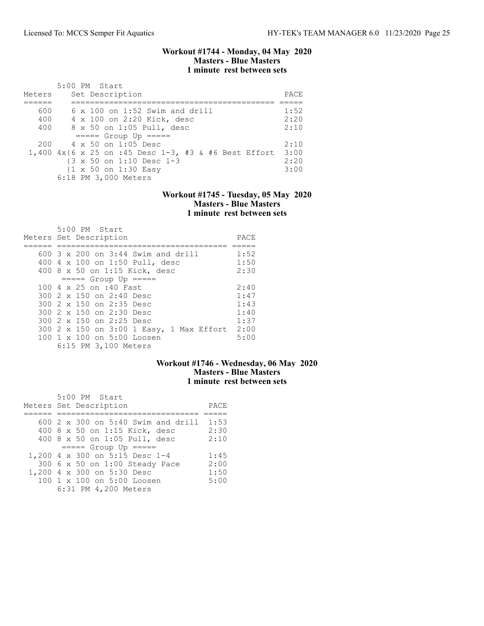### Workout #1744 - Monday, 04 May 2020 Masters - Blue Masters 1 minute rest between sets

| Meters | $5:00$ PM Start<br>Set Description                 |                                                         | PACE |
|--------|----------------------------------------------------|---------------------------------------------------------|------|
| 600    |                                                    | $6 \times 100$ on 1:52 Swim and drill                   | 1:52 |
|        |                                                    |                                                         |      |
| 400    | 4 x 100 on 2:20 Kick, desc                         |                                                         | 2:20 |
| 400    | 8 x 50 on 1:05 Pull, desc                          |                                                         | 2:10 |
|        | $====$ Group Up $====$                             |                                                         |      |
| 200    | $4 \times 50$ on 1:05 Desc                         |                                                         | 2:10 |
|        |                                                    | 1,400 $4x$ {6 x 25 on :45 Desc 1-3, #3 & #6 Best Effort | 3:00 |
|        | $\{3 \times 50 \text{ on } 1:10 \text{ Desc } 1-3$ |                                                         | 2:20 |
|        | $\{1 \times 50 \text{ on } 1:30 \text{ Easy}\}$    |                                                         | 3:00 |
|        | 6:18 PM 3,000 Meters                               |                                                         |      |

## Workout #1745 - Tuesday, 05 May 2020 Masters - Blue Masters 1 minute rest between sets

| 5:00 PM Start<br>Meters Set Description     | PACE |
|---------------------------------------------|------|
| 600 $3 \times 200$ on $3:44$ Swim and drill | 1:52 |
| 400 4 x 100 on 1:50 Pull, desc              | 1:50 |
| 400 8 x 50 on 1:15 Kick, desc               | 2:30 |
| $====$ Group Up $====$                      |      |
| 100 4 x 25 on :40 Fast                      | 2:40 |
| 300 2 x 150 on 2:40 Desc                    | 1:47 |
| 300 2 x 150 on 2:35 Desc                    | 1:43 |
| 300 2 x 150 on 2:30 Desc                    | 1:40 |
| 300 2 x 150 on 2:25 Desc                    | 1:37 |
| 300 2 x 150 on 3:00 1 Easy, 1 Max Effort    | 2:00 |
| 100 1 x 100 on 5:00 Loosen                  | 5:00 |
| 6:15 PM 3,100 Meters                        |      |

### Workout #1746 - Wednesday, 06 May 2020 Masters - Blue Masters 1 minute rest between sets

| 5:00 PM Start                           |      |
|-----------------------------------------|------|
| Meters Set Description                  | PACE |
|                                         |      |
| 600 2 x 300 on 5:40 Swim and drill 1:53 |      |
| 400 8 x 50 on 1:15 Kick, desc           | 2:30 |
| 400 8 x 50 on 1:05 Pull, desc           | 2:10 |
| $====$ Group Up $====$                  |      |
| 1,200 4 x 300 on 5:15 Desc 1-4          | 1:45 |
| 300 6 x 50 on 1:00 Steady Pace          | 2:00 |
| 1,200 4 x 300 on 5:30 Desc              | 1:50 |
| 100 1 x 100 on 5:00 Loosen              | 5:00 |
| 6:31 PM 4,200 Meters                    |      |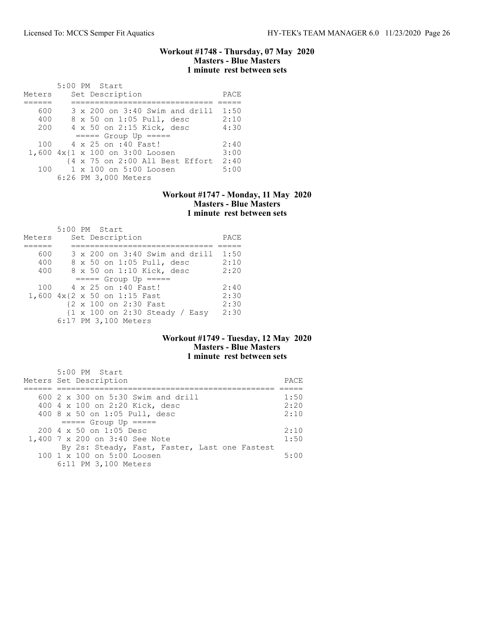### Workout #1748 - Thursday, 07 May 2020 Masters - Blue Masters 1 minute rest between sets

| Meters |  | 5:00 PM Start<br>Set Description | PACE |
|--------|--|----------------------------------|------|
|        |  |                                  |      |
| 600    |  | 3 x 200 on 3:40 Swim and drill   | 1:50 |
| 400    |  | 8 x 50 on 1:05 Pull, desc        | 2:10 |
| 200    |  | 4 x 50 on 2:15 Kick, desc        | 4:30 |
|        |  | $====$ Group Up $====$           |      |
| 100    |  | 4 x 25 on :40 Fast!              | 2:40 |
|        |  | 1,600 4x{1 x 100 on 3:00 Loosen  | 3:00 |
|        |  | {4 x 75 on 2:00 All Best Effort  | 2:40 |
| 100    |  | $1 \times 100$ on $5:00$ Loosen  | 5:00 |
|        |  | 6:26 PM 3,000 Meters             |      |

### Workout #1747 - Monday, 11 May 2020 Masters - Blue Masters 1 minute rest between sets

|        |  | 5:00 PM Start                                                     |      |
|--------|--|-------------------------------------------------------------------|------|
| Meters |  | Set Description                                                   | PACE |
|        |  |                                                                   |      |
| 600    |  | 3 x 200 on 3:40 Swim and drill                                    | 1:50 |
| 400    |  | 8 x 50 on 1:05 Pull, desc                                         | 2:10 |
| 400    |  | 8 x 50 on 1:10 Kick, desc                                         | 2:20 |
|        |  | $== == $ Group Up $== == $                                        |      |
| 100    |  | 4 x 25 on :40 Fast!                                               | 2:40 |
|        |  | 1,600 4x{2 x 50 on 1:15 Fast                                      | 2:30 |
|        |  | {2 x 100 on 2:30 Fast                                             | 2:30 |
|        |  | $\{1 \times 100 \text{ on } 2:30 \text{ Steady } / \text{Easy}\}$ | 2:30 |
|        |  | 6:17 PM 3,100 Meters                                              |      |

## Workout #1749 - Tuesday, 12 May 2020 Masters - Blue Masters 1 minute rest between sets

| 5:00 PM Start<br>Meters Set Description       | PACE. |
|-----------------------------------------------|-------|
| 600 2 x 300 on 5:30 Swim and drill            | 1:50  |
| 400 4 x 100 on 2:20 Kick, desc                | 2:20  |
| 400 8 x 50 on 1:05 Pull, desc                 | 2:10  |
| $====$ Group Up $====$                        |       |
| 200 4 x 50 on 1:05 Desc                       | 2:10  |
| 1,400 7 x 200 on 3:40 See Note                | 1:50  |
| By 2s: Steady, Fast, Faster, Last one Fastest |       |
| 100 1 x 100 on 5:00 Loosen                    | 5:00  |
| 6:11 PM 3,100 Meters                          |       |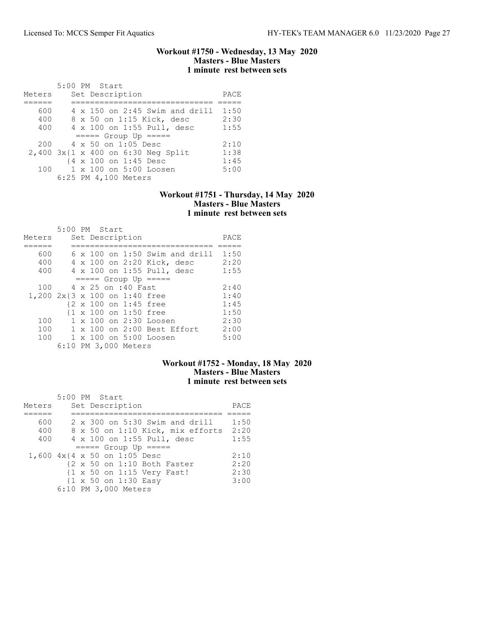### Workout #1750 - Wednesday, 13 May 2020 Masters - Blue Masters 1 minute rest between sets

|        | 5:00 PM Start                           |      |
|--------|-----------------------------------------|------|
| Meters | Set Description                         | PACE |
|        |                                         |      |
| 600    | $4 \times 150$ on 2:45 Swim and drill   | 1:50 |
| 400    | 8 x 50 on 1:15 Kick, desc               | 2:30 |
| 400    | 4 x 100 on 1:55 Pull, desc              | 1:55 |
|        | $====$ Group Up $====$                  |      |
| 200    | 4 x 50 on 1:05 Desc                     | 2:10 |
|        | $2,400$ $3x$ {1 x 400 on 6:30 Neq Split | 1:38 |
|        | {4 x 100 on 1:45 Desc                   | 1:45 |
| 100    | 1 x 100 on 5:00 Loosen                  | 5:00 |
|        | 6:25 PM 4,100 Meters                    |      |

### Workout #1751 - Thursday, 14 May 2020 Masters - Blue Masters 1 minute rest between sets

|        | 5:00 PM Start                         |      |
|--------|---------------------------------------|------|
| Meters | Set Description                       | PACE |
|        |                                       |      |
| 600    | $6 \times 100$ on 1:50 Swim and drill | 1:50 |
| 400    | 4 x 100 on 2:20 Kick, desc            | 2:20 |
| 400    | 4 x 100 on 1:55 Pull, desc            | 1:55 |
|        | $== == $ Group Up $== == $            |      |
| 100    | 4 x 25 on :40 Fast                    | 2:40 |
|        | 1,200 2x{3 x 100 on 1:40 free         | 1:40 |
|        | {2 x 100 on 1:45 free                 | 1:45 |
|        | {1 x 100 on 1:50 free                 | 1:50 |
| 100    | 1 x 100 on 2:30 Loosen                | 2:30 |
| 100    | $1 \times 100$ on 2:00 Best Effort    | 2:00 |
| 100    | 1 x 100 on 5:00 Loosen                | 5:00 |
|        | 6:10 PM 3,000 Meters                  |      |

# Workout #1752 - Monday, 18 May 2020 Masters - Blue Masters 1 minute rest between sets

|                              | 5:00 PM Start |  |                      |                                                 |                                                        |      |
|------------------------------|---------------|--|----------------------|-------------------------------------------------|--------------------------------------------------------|------|
| Meters                       |               |  | Set Description      |                                                 |                                                        | PACE |
|                              |               |  |                      |                                                 |                                                        |      |
| 600                          |               |  |                      |                                                 | $2 \times 300$ on 5:30 Swim and drill                  | 1:50 |
| 400                          |               |  |                      |                                                 | 8 x 50 on 1:10 Kick, mix efforts                       | 2:20 |
| 400                          |               |  |                      |                                                 | 4 x 100 on 1:55 Pull, desc                             | 1:55 |
|                              |               |  |                      | $====$ Group Up $====$                          |                                                        |      |
| 1,600 4x{4 x 50 on 1:05 Desc |               |  |                      |                                                 |                                                        | 2:10 |
|                              |               |  |                      |                                                 | $\{2 \times 50 \text{ on } 1:10 \text{ Both faster}\}$ | 2:20 |
|                              |               |  |                      |                                                 | {1 x 50 on 1:15 Very Fast!                             | 2:30 |
|                              |               |  |                      | $\{1 \times 50 \text{ on } 1:30 \text{ Easy}\}$ |                                                        | 3:00 |
|                              |               |  | 6:10 PM 3,000 Meters |                                                 |                                                        |      |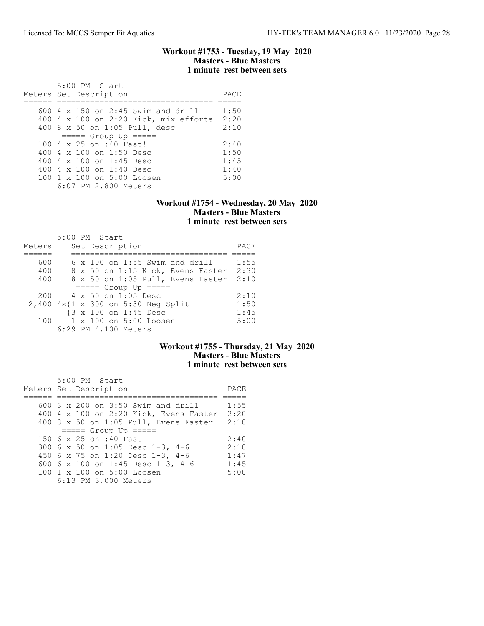### Workout #1753 - Tuesday, 19 May 2020 Masters - Blue Masters 1 minute rest between sets

| 5:00 PM Start<br>Meters Set Description | PACE |
|-----------------------------------------|------|
| $600$ 4 x 150 on 2:45 Swim and drill    | 1:50 |
| $400$ 4 x 100 on 2:20 Kick, mix efforts | 2:20 |
| 400 8 x 50 on 1:05 Pull, desc           | 2:10 |
| $====$ Group Up $====$                  |      |
| $100.4 \times 25$ on :40 Fast!          | 2:40 |
| 400 $4 \times 100$ on 1:50 Desc         | 1:50 |
| 400 4 $\times$ 100 on 1:45 Desc         | 1:45 |
| 400 4 x 100 on 1:40 Desc                | 1:40 |
| $100 \t1 x 100$ on $5:00$ Loosen        | 5:00 |
| 6:07 PM 2,800 Meters                    |      |

### Workout #1754 - Wednesday, 20 May 2020 Masters - Blue Masters 1 minute rest between sets

|        |  | 5:00 PM Start                         |      |
|--------|--|---------------------------------------|------|
| Meters |  | Set Description                       | PACE |
|        |  |                                       |      |
| 600    |  | $6 \times 100$ on 1:55 Swim and drill | 1:55 |
| 400    |  | 8 x 50 on 1:15 Kick, Evens Faster     | 2:30 |
| 400    |  | 8 x 50 on 1:05 Pull, Evens Faster     | 2:10 |
|        |  | $====$ Group Up $====$                |      |
| 200    |  | $4 \times 50$ on 1:05 Desc            | 2:10 |
|        |  | 2,400 4x{1 x 300 on 5:30 Neg Split    | 1:50 |
|        |  | {3 x 100 on 1:45 Desc                 | 1:45 |
| 100    |  | 1 x 100 on 5:00 Loosen                | 5:00 |
|        |  | 6:29 PM 4,100 Meters                  |      |

# Workout #1755 - Thursday, 21 May 2020 Masters - Blue Masters 1 minute rest between sets

| 5:00 PM Start                               |      |
|---------------------------------------------|------|
| Meters Set Description                      | PACE |
|                                             |      |
| 600 $3 \times 200$ on $3:50$ Swim and drill | 1:55 |
| 400 4 x 100 on 2:20 Kick, Evens Faster      | 2:20 |
| 400 8 x 50 on 1:05 Pull, Evens Faster       | 2:10 |
| $====$ Group Up $====$                      |      |
| 150 6 x 25 on :40 Fast                      | 2:40 |
| 300 6 x 50 on 1:05 Desc 1-3, 4-6            | 2:10 |
| 450 6 x 75 on 1:20 Desc 1-3, 4-6            | 1:47 |
| 600 6 x 100 on 1:45 Desc 1-3, 4-6           | 1:45 |
| 100 1 x 100 on 5:00 Loosen                  | 5:00 |
| 6:13 PM 3,000 Meters                        |      |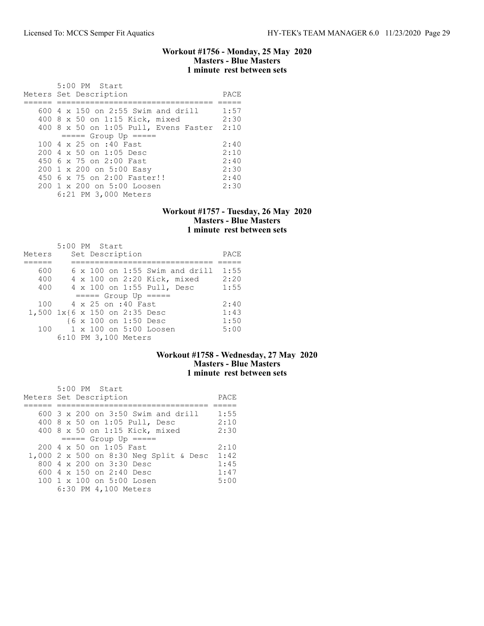### Workout #1756 - Monday, 25 May 2020 Masters - Blue Masters 1 minute rest between sets

| $5:00$ PM Start<br>Meters Set Description          | PACE |
|----------------------------------------------------|------|
| $600\,4\,$ x 150 on 2:55 Swim and drill            | 1:57 |
| 400 8 x 50 on 1:15 Kick, mixed                     | 2:30 |
| 400 8 x 50 on 1:05 Pull, Evens Faster              | 2:10 |
| $====$ Group Up $====$                             |      |
| 100 4 x 25 on :40 Fast                             | 2:40 |
| $200 \text{ } 4 \text{ } \times 50$ on 1:05 Desc   | 2:10 |
| 450 6 x 75 on 2:00 Fast                            | 2:40 |
| 200 1 x 200 on 5:00 Easy                           | 2:30 |
| 450 6 x 75 on 2:00 Faster!!                        | 2:40 |
| 200 1 x 200 on 5:00 Loosen<br>6:21 PM 3,000 Meters | 2:30 |
|                                                    |      |

### Workout #1757 - Tuesday, 26 May 2020 Masters - Blue Masters 1 minute rest between sets

|                               | $5:00$ PM Start |  |                       |                             |                                       |      |
|-------------------------------|-----------------|--|-----------------------|-----------------------------|---------------------------------------|------|
| Meters                        |                 |  | Set Description       |                             |                                       | PACE |
|                               |                 |  |                       |                             |                                       |      |
| 600                           |                 |  |                       |                             | $6 \times 100$ on 1:55 Swim and drill | 1:55 |
| 400                           |                 |  |                       | 4 x 100 on 2:20 Kick, mixed |                                       | 2:20 |
| 400                           |                 |  |                       | 4 x 100 on 1:55 Pull, Desc  |                                       | 1:55 |
|                               |                 |  |                       | $====$ Group Up $====$      |                                       |      |
| 100                           |                 |  | 4 x 25 on :40 Fast    |                             |                                       | 2:40 |
| 1,500 1x{6 x 150 on 2:35 Desc |                 |  |                       |                             |                                       | 1:43 |
|                               |                 |  | {6 x 100 on 1:50 Desc |                             |                                       | 1:50 |
| 100                           |                 |  |                       | 1 x 100 on 5:00 Loosen      |                                       | 5:00 |
|                               |                 |  | 6:10 PM 3,100 Meters  |                             |                                       |      |

# Workout #1758 - Wednesday, 27 May 2020 Masters - Blue Masters 1 minute rest between sets

| 5:00 PM Start<br>Meters Set Description     | PACE  |
|---------------------------------------------|-------|
| $600-3 \times 200$ on $3:50$ Swim and drill | 1:55  |
|                                             |       |
| 400 8 x 50 on 1:05 Pull, Desc               | 2:10  |
| 400 8 x 50 on 1:15 Kick, mixed              | 2:30  |
| $== == $ Group Up $== == $                  |       |
| $200 \, 4 \times 50$ on 1:05 Fast           | 2:10  |
| 1,000 2 x 500 on 8:30 Neg Split & Desc      | 1:42  |
| 800 4 x 200 on 3:30 Desc                    | 1:4.5 |
| 600 4 x 150 on 2:40 Desc                    | 1:47  |
| 100 1 x 100 on 5:00 Losen                   | 5:00  |
| 6:30 PM 4,100 Meters                        |       |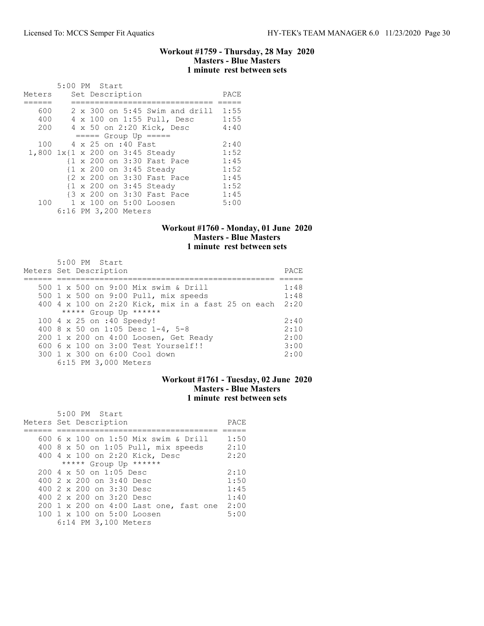### Workout #1759 - Thursday, 28 May 2020 Masters - Blue Masters 1 minute rest between sets

| Meters | 5:00 PM Start |  | Set Description      |                                         | PACE |
|--------|---------------|--|----------------------|-----------------------------------------|------|
|        |               |  |                      |                                         |      |
| 600    |               |  |                      | $2 \times 300$ on $5:45$ Swim and drill | 1:55 |
| 400    |               |  |                      | 4 x 100 on 1:55 Pull, Desc              | 1:55 |
| 200    |               |  |                      | 4 x 50 on 2:20 Kick, Desc               | 4:40 |
|        |               |  |                      | $====$ Group Up =====                   |      |
| 100    |               |  | 4 x 25 on :40 Fast   |                                         | 2:40 |
|        |               |  |                      | 1,800 1x{1 x 200 on 3:45 Steady         | 1:52 |
|        |               |  |                      | {1 x 200 on 3:30 Fast Pace              | 1:45 |
|        |               |  |                      | {1 x 200 on 3:45 Steady                 | 1:52 |
|        |               |  |                      | {2 x 200 on 3:30 Fast Pace              | 1:45 |
|        |               |  |                      | {1 x 200 on 3:45 Steady                 | 1:52 |
|        |               |  |                      | {3 x 200 on 3:30 Fast Pace              | 1:45 |
| 100    |               |  |                      | 1 x 100 on 5:00 Loosen                  | 5:00 |
|        |               |  | 6:16 PM 3,200 Meters |                                         |      |

## Workout #1760 - Monday, 01 June 2020 Masters - Blue Masters 1 minute rest between sets

| $5:00$ PM Start<br>Meters Set Description          | PACE |
|----------------------------------------------------|------|
| 500 1 x 500 on 9:00 Mix swim & Drill               | 1:48 |
| 500 1 x 500 on 9:00 Pull, mix speeds               | 1:48 |
| 400 4 x 100 on 2:20 Kick, mix in a fast 25 on each | 2:20 |
| ***** Group Up ******                              |      |
| 100 4 x 25 on :40 Speedy!                          | 2:40 |
| 400 8 x 50 on 1:05 Desc 1-4, 5-8                   | 2:10 |
| 200 1 x 200 on 4:00 Loosen, Get Ready              | 2:00 |
| 600 6 x 100 on 3:00 Test Yourself!!                | 3:00 |
| 300 1 x 300 on 6:00 Cool down                      | 2:00 |
| 6:15 PM 3,000 Meters                               |      |

# Workout #1761 - Tuesday, 02 June 2020 Masters - Blue Masters 1 minute rest between sets

| 5:00 PM Start<br>Meters Set Description          | PACE |
|--------------------------------------------------|------|
| 600 6 x 100 on 1:50 Mix swim & Drill             | 1:50 |
|                                                  |      |
| 400 8 x 50 on 1:05 Pull, mix speeds              | 2:10 |
| 400 4 x 100 on 2:20 Kick, Desc                   | 2:20 |
| ***** Group Up ******                            |      |
| $200 \text{ } 4 \text{ } \times 50$ on 1:05 Desc | 2:10 |
| 400 2 x 200 on 3:40 Desc                         | 1:50 |
| 400 $2 \times 200$ on $3:30$ Desc                | 1:45 |
| 400 2 x 200 on 3:20 Desc                         | 1:40 |
| 200 1 x 200 on 4:00 Last one, fast one           | 2:00 |
| 100 1 x 100 on 5:00 Loosen                       | 5:00 |
| 6:14 PM 3,100 Meters                             |      |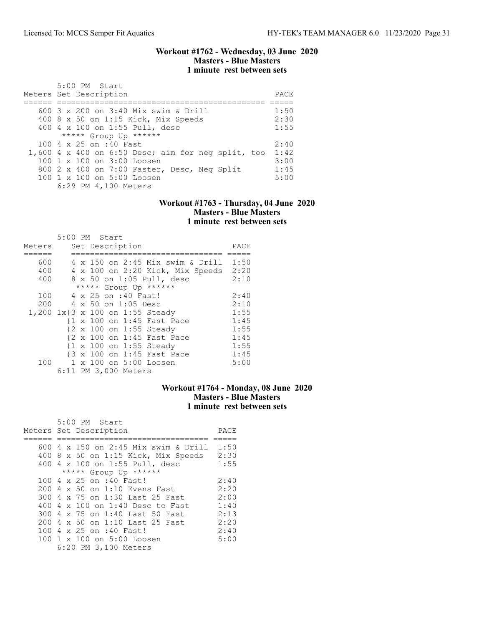### Workout #1762 - Wednesday, 03 June 2020 Masters - Blue Masters 1 minute rest between sets

| 5:00 PM Start<br>Meters Set Description            | PACE. |
|----------------------------------------------------|-------|
| 600 $3 \times 200$ on $3:40$ Mix swim & Drill      | 1:50  |
| 400 8 x 50 on 1:15 Kick, Mix Speeds                | 2:30  |
| 400 4 x 100 on 1:55 Pull, desc                     | 1:55  |
| ***** Group Up ******                              |       |
| 100 4 x 25 on :40 Fast                             | 2:40  |
| 1,600 4 x 400 on 6:50 Desc; aim for neg split, too | 1:42  |
| $100 \t1 x 100$ on $3:00$ Loosen                   | 3:00  |
| 800 2 x 400 on 7:00 Faster, Desc, Neg Split        | 1:45  |
| 100 1 x 100 on 5:00 Loosen                         | 5:00  |
| 6:29 PM 4,100 Meters                               |       |

### Workout #1763 - Thursday, 04 June 2020 Masters - Blue Masters 1 minute rest between sets

|        | 5:00 PM Start |  |                      |                                  |      |
|--------|---------------|--|----------------------|----------------------------------|------|
| Meters |               |  | Set Description      |                                  | PACE |
|        |               |  |                      |                                  |      |
| 600    |               |  |                      | 4 x 150 on 2:45 Mix swim & Drill | 1:50 |
| 400    |               |  |                      | 4 x 100 on 2:20 Kick, Mix Speeds | 2:20 |
| 400    |               |  |                      | 8 x 50 on 1:05 Pull, desc        | 2:10 |
|        |               |  |                      | ***** Group Up ******            |      |
| 100    |               |  | 4 x 25 on :40 Fast!  |                                  | 2:40 |
| 200    |               |  | 4 x 50 on 1:05 Desc  |                                  | 2:10 |
|        |               |  |                      | 1,200 1x{3 x 100 on 1:55 Steady  | 1:55 |
|        |               |  |                      | {1 x 100 on 1:45 Fast Pace       | 1:45 |
|        |               |  |                      | {2 x 100 on 1:55 Steady          | 1:55 |
|        |               |  |                      | {2 x 100 on 1:45 Fast Pace       | 1:45 |
|        |               |  |                      | {1 x 100 on 1:55 Steady          | 1:55 |
|        |               |  |                      | {3 x 100 on 1:45 Fast Pace       | 1:45 |
| 100    |               |  |                      | 1 x 100 on 5:00 Loosen           | 5:00 |
|        |               |  | 6:11 PM 3,000 Meters |                                  |      |

# Workout #1764 - Monday, 08 June 2020 Masters - Blue Masters 1 minute rest between sets

| 5:00 PM Start                         |      |
|---------------------------------------|------|
| Meters Set Description                | PACE |
|                                       |      |
| 600 4 x 150 on 2:45 Mix swim & Drill  | 1:50 |
| $400$ 8 x 50 on 1:15 Kick, Mix Speeds | 2:30 |
| 400 4 x 100 on 1:55 Pull, desc        | 1:55 |
| ***** Group Up ******                 |      |
| 100 4 x 25 on :40 Fast!               | 2:40 |
| $200.4 \times 50$ on 1:10 Evens Fast  | 2:20 |
| 300 4 x 75 on 1:30 Last 25 Fast       | 2:00 |
| 400 4 x 100 on 1:40 Desc to Fast      | 1:40 |
| 300 4 x 75 on 1:40 Last 50 Fast       | 2:13 |
| 200 4 x 50 on 1:10 Last 25 Fast       | 2:20 |
| 100 4 x 25 on :40 Fast!               | 2:40 |
| $100 \t1 x 100$ on $5:00$ Loosen      | 5:00 |
| 6:20 PM 3,100 Meters                  |      |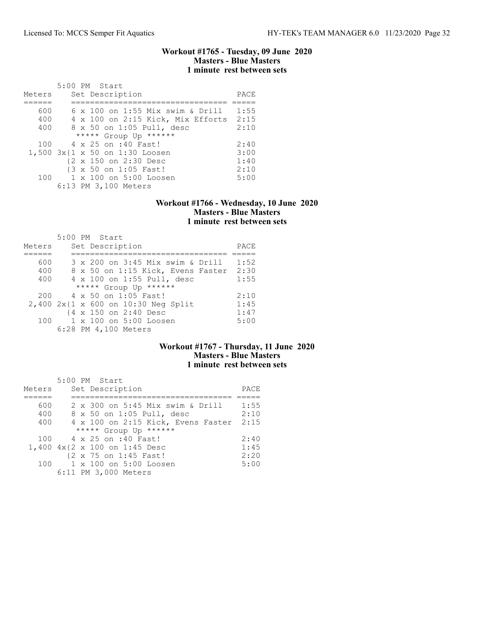### Workout #1765 - Tuesday, 09 June 2020 Masters - Blue Masters 1 minute rest between sets

|        | 5:00 PM Start                           |      |
|--------|-----------------------------------------|------|
| Meters | Set Description                         | PACE |
|        |                                         |      |
| 600    | $6 \times 100$ on 1:55 Mix swim & Drill | 1:55 |
| 400    | 4 x 100 on 2:15 Kick, Mix Efforts 2:15  |      |
| 400    | 8 x 50 on 1:05 Pull, desc               | 2:10 |
|        | ***** Group Up ******                   |      |
|        | 100 4 x 25 on :40 Fast!                 | 2:40 |
|        | 1,500 3x{1 x 50 on 1:30 Loosen          | 3:00 |
|        | {2 x 150 on 2:30 Desc                   | 1:40 |
|        | {3 x 50 on 1:05 Fast!                   | 2:10 |
|        | 100 1 x 100 on 5:00 Loosen              | 5:00 |
|        | 6:13 PM 3,100 Meters                    |      |

### Workout #1766 - Wednesday, 10 June 2020 Masters - Blue Masters 1 minute rest between sets

| Meters |  | 5:00 PM Start<br>Set Description    | PACE |
|--------|--|-------------------------------------|------|
|        |  |                                     |      |
|        |  |                                     |      |
| 600    |  | 3 x 200 on 3:45 Mix swim & Drill    | 1:52 |
| 400    |  | 8 x 50 on 1:15 Kick, Evens Faster   | 2:30 |
| 400    |  | 4 x 100 on 1:55 Pull, desc          | 1:55 |
|        |  | ***** Group Up ******               |      |
| 200    |  | 4 x 50 on 1:05 Fast!                | 2:10 |
|        |  | 2,400 2x{1 x 600 on 10:30 Neg Split | 1:45 |
|        |  | {4 x 150 on 2:40 Desc               | 1:47 |
| 100    |  | 1 x 100 on 5:00 Loosen              | 5:00 |
|        |  | 6:28 PM 4,100 Meters                |      |

# Workout #1767 - Thursday, 11 June 2020 Masters - Blue Masters 1 minute rest between sets

|        | 5:00 PM Start                      |      |
|--------|------------------------------------|------|
| Meters | Set Description                    | PACE |
|        |                                    |      |
| 600    | 2 x 300 on 5:45 Mix swim & Drill   | 1:55 |
| 400    | 8 x 50 on 1:05 Pull, desc          | 2:10 |
| 400    | 4 x 100 on 2:15 Kick, Evens Faster | 2:15 |
|        | ***** Group Up ******              |      |
|        | 100 4 x 25 on :40 Fast!            | 2:40 |
|        | 1,400 4x{2 x 100 on 1:45 Desc      | 1:45 |
|        | {2 x 75 on 1:45 Fast!              | 2:20 |
| 100    | 1 x 100 on 5:00 Loosen             | 5:00 |
|        | 6:11 PM 3,000 Meters               |      |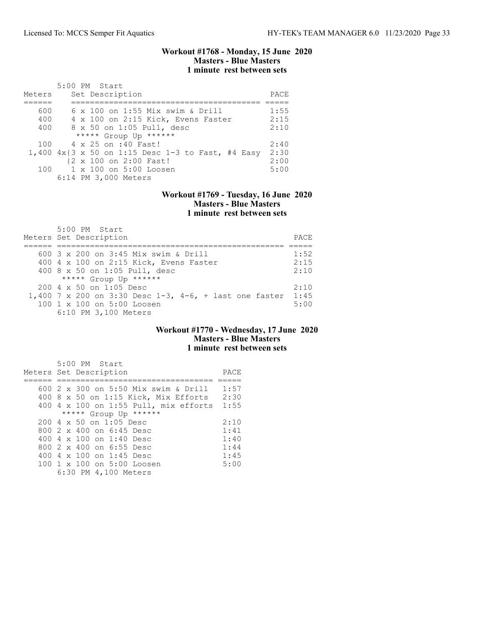### Workout #1768 - Monday, 15 June 2020 Masters - Blue Masters 1 minute rest between sets

| Meters | $5:00$ PM Start<br>Set Description                   | PACE |
|--------|------------------------------------------------------|------|
|        |                                                      |      |
|        |                                                      |      |
| 600    | 6 x 100 on 1:55 Mix swim & Drill                     | 1:55 |
| 400    | 4 x 100 on 2:15 Kick, Evens Faster                   | 2:15 |
| 400    | 8 x 50 on 1:05 Pull, desc                            | 2:10 |
|        | ***** Group Up ******                                |      |
| 100    | 4 x 25 on :40 Fast!                                  | 2:40 |
|        | 1,400 $4x$ {3 x 50 on 1:15 Desc 1-3 to Fast, #4 Easy | 2:30 |
|        | {2 x 100 on 2:00 Fast!                               | 2:00 |
|        | 100 1 x 100 on 5:00 Loosen                           | 5:00 |
|        | 6:14 PM 3,000 Meters                                 |      |

### Workout #1769 - Tuesday, 16 June 2020 Masters - Blue Masters 1 minute rest between sets

| 5:00 PM Start                                          |       |
|--------------------------------------------------------|-------|
| Meters Set Description                                 | PACE. |
|                                                        |       |
| 600 3 x 200 on 3:45 Mix swim & Drill                   | 1:52  |
| 400 4 x 100 on 2:15 Kick, Evens Faster                 | 2:15  |
| 400 8 x 50 on 1:05 Pull, desc                          | 2:10  |
| ***** Group Up ******                                  |       |
| 200 4 x 50 on 1:05 Desc                                | 2:10  |
| 1,400 7 x 200 on 3:30 Desc 1-3, 4-6, + last one faster | 1:45  |
| 100 1 x 100 on 5:00 Loosen                             | 5:00  |
| 6:10 PM 3,100 Meters                                   |       |

### Workout #1770 - Wednesday, 17 June 2020 Masters - Blue Masters 1 minute rest between sets

| 5:00 PM Start<br>Meters Set Description          | PACE |
|--------------------------------------------------|------|
| 600 2 x 300 on 5:50 Mix swim & Drill             | 1:57 |
|                                                  |      |
| 400 8 x 50 on 1:15 Kick, Mix Efforts             | 2:30 |
| 400 4 x 100 on 1:55 Pull, mix efforts            | 1:55 |
| ***** Group Up ******                            |      |
| $200 \text{ } 4 \text{ } \times 50$ on 1:05 Desc | 2:10 |
| 800 2 x 400 on 6:45 Desc                         | 1:41 |
| 400 $4 \times 100$ on 1:40 Desc                  | 1:40 |
| 800 2 x 400 on 6:55 Desc                         | 1:44 |
| 400 4 $\times$ 100 on 1:45 Desc                  | 1:45 |
| 100 1 x 100 on 5:00 Loosen                       | 5:00 |
| 6:30 PM 4,100 Meters                             |      |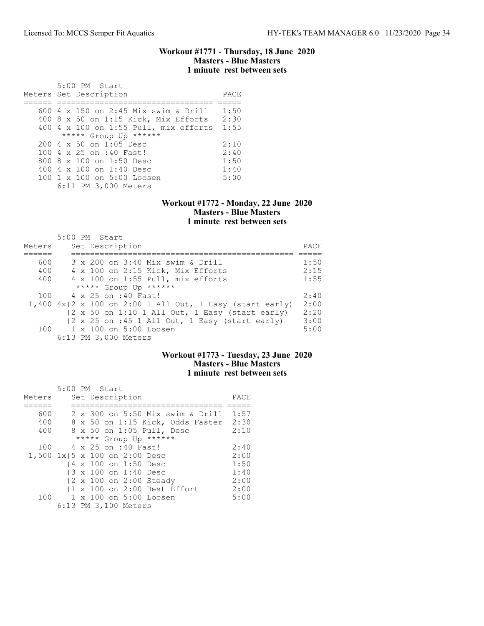### Workout #1771 - Thursday, 18 June 2020 Masters - Blue Masters 1 minute rest between sets

| 5:00 PM Start<br>Meters Set Description          | PACE |
|--------------------------------------------------|------|
| 600 4 x 150 on 2:45 Mix swim & Drill             | 1:50 |
|                                                  |      |
| $400$ 8 x 50 on 1:15 Kick, Mix Efforts           | 2:30 |
| 400 4 x 100 on 1:55 Pull, mix efforts            | 1:55 |
| ***** Group Up ******                            |      |
| $200 \text{ } 4 \text{ } \times 50$ on 1:05 Desc | 2:10 |
| 100 4 x 25 on :40 Fast!                          | 2:40 |
| 800 8 x 100 on 1:50 Desc                         | 1:50 |
| 400 4 $\times$ 100 on 1:40 Desc                  | 1:40 |
| $100 \t 1 \t x \t 100$ on $5:00$ Loosen          | 5:00 |
| 6:11 PM 3,000 Meters                             |      |

### Workout #1772 - Monday, 22 June 2020 Masters - Blue Masters 1 minute rest between sets

| Meters | $5:00$ PM Start<br>Set Description                                                  | PACE |
|--------|-------------------------------------------------------------------------------------|------|
| 600    | 3 x 200 on 3:40 Mix swim & Drill                                                    | 1:50 |
| 400    | 4 x 100 on 2:15 Kick, Mix Efforts                                                   | 2:15 |
| 400    | 4 x 100 on 1:55 Pull, mix efforts                                                   | 1:55 |
|        | ***** Group Up ******                                                               |      |
| 100    | 4 x 25 on :40 Fast!                                                                 | 2:40 |
|        | 1,400 $4x\{2 \times 100 \text{ on } 2:00 \text{ 1 All Out, } 1$ Easy (start early)  | 2:00 |
|        | $\{2 \times 50 \text{ on } 1:10 \text{ 1 All Out, } 1 \text{ Easy (start early)}\}$ | 2:20 |
|        | $\{2 \times 25 \text{ on } : 45 \text{ 1 All Out, } 1 \text{ Easy } (start early)$  | 3:00 |
|        | 100 1 x 100 on 5:00 Loosen                                                          | 5:00 |
|        | 6:13 PM 3,000 Meters                                                                |      |

# Workout #1773 - Tuesday, 23 June 2020 Masters - Blue Masters 1 minute rest between sets

| Meters                        | 5:00 PM Start |  | Set Description       |                                  | PACE |
|-------------------------------|---------------|--|-----------------------|----------------------------------|------|
|                               |               |  |                       |                                  |      |
| 600                           |               |  |                       | 2 x 300 on 5:50 Mix swim & Drill | 1:57 |
| 400                           |               |  |                       | 8 x 50 on 1:15 Kick, Odds Faster | 2:30 |
| 400                           |               |  |                       | 8 x 50 on 1:05 Pull, Desc        | 2:10 |
|                               |               |  |                       | ***** Group Up ******            |      |
| 100                           |               |  | 4 x 25 on :40 Fast!   |                                  | 2:40 |
| 1,500 1x{5 x 100 on 2:00 Desc |               |  |                       |                                  | 2:00 |
|                               |               |  | {4 x 100 on 1:50 Desc |                                  | 1:50 |
|                               |               |  | {3 x 100 on 1:40 Desc |                                  | 1:40 |
|                               |               |  |                       | {2 x 100 on 2:00 Steady          | 2:00 |
|                               |               |  |                       | {1 x 100 on 2:00 Best Effort     | 2:00 |
|                               |               |  |                       | 100 1 x 100 on 5:00 Loosen       | 5:00 |
|                               |               |  | 6:13 PM 3,100 Meters  |                                  |      |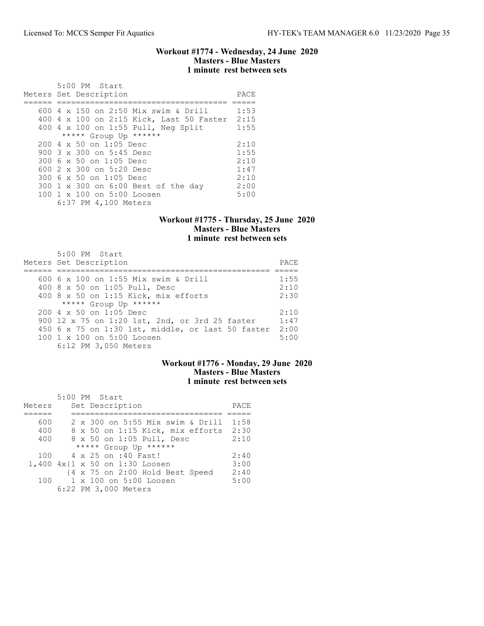### Workout #1774 - Wednesday, 24 June 2020 Masters - Blue Masters 1 minute rest between sets

| $5:00$ PM Start<br>Meters Set Description | PACE |
|-------------------------------------------|------|
|                                           |      |
| 600 4 x 150 on 2:50 Mix swim & Drill      | 1:53 |
| 400 4 x 100 on 2:15 Kick, Last 50 Faster  | 2:15 |
| 400 4 x 100 on 1:55 Pull, Neg Split       | 1:55 |
| ***** Group Up ******                     |      |
| $2004 \times 50$ on 1:05 Desc             | 2:10 |
| 900 3 x 300 on 5:45 Desc                  | 1:55 |
| 300 6 x 50 on 1:05 Desc                   | 2:10 |
| 600 2 x 300 on 5:20 Desc                  | 1:47 |
| 300 6 x 50 on 1:05 Desc                   | 2:10 |
| 300 1 x 300 on 6:00 Best of the day       | 2:00 |
| 100 1 x 100 on 5:00 Loosen                | 5:00 |
| 6:37 PM 4,100 Meters                      |      |

# Workout #1775 - Thursday, 25 June 2020 Masters - Blue Masters 1 minute rest between sets

| 5:00 PM Start<br>Meters Set Description                  | PACE |
|----------------------------------------------------------|------|
|                                                          |      |
| 600 6 x 100 on 1:55 Mix swim & Drill                     | 1:55 |
| 400 8 x 50 on 1:05 Pull, Desc                            | 2:10 |
| 400 8 x 50 on 1:15 Kick, mix efforts                     | 2:30 |
| ***** Group Up ******                                    |      |
| 200 4 x 50 on 1:05 Desc                                  | 2:10 |
| 900 12 x 75 on 1:20 1st, 2nd, or 3rd 25 faster           | 1:47 |
| 450 $6 \times 75$ on 1:30 1st, middle, or last 50 faster | 2:00 |
| 100 1 x 100 on 5:00 Loosen                               | 5:00 |
| 6:12 PM 3,050 Meters                                     |      |

# Workout #1776 - Monday, 29 June 2020 Masters - Blue Masters 1 minute rest between sets

|        | 5:00 PM Start |  |                                  |      |
|--------|---------------|--|----------------------------------|------|
| Meters |               |  | Set Description                  | PACE |
|        |               |  |                                  |      |
| 600    |               |  | 2 x 300 on 5:55 Mix swim & Drill | 1:58 |
| 400    |               |  | 8 x 50 on 1:15 Kick, mix efforts | 2:30 |
| 400    |               |  | 8 x 50 on 1:05 Pull, Desc        | 2:10 |
|        |               |  | ***** Group Up ******            |      |
| 100    |               |  | 4 x 25 on :40 Fast!              | 2:40 |
|        |               |  | 1,400 4x{1 x 50 on 1:30 Loosen   | 3:00 |
|        |               |  | {4 x 75 on 2:00 Hold Best Speed  | 2:40 |
| 100    |               |  | 1 x 100 on 5:00 Loosen           | 5:00 |
|        |               |  | 6:22 PM 3,000 Meters             |      |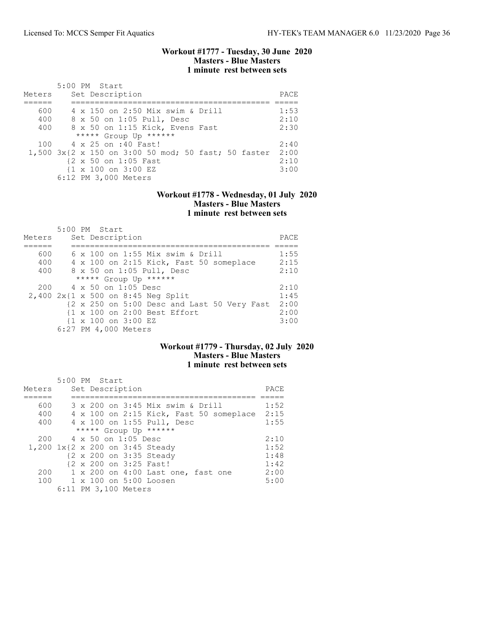### Workout #1777 - Tuesday, 30 June 2020 Masters - Blue Masters 1 minute rest between sets

| Meters | $5:00$ PM Start<br>Set Description                       | PACE. |
|--------|----------------------------------------------------------|-------|
|        |                                                          |       |
|        |                                                          |       |
| 600    | 4 x 150 on 2:50 Mix swim & Drill                         | 1:53  |
| 400    | 8 x 50 on 1:05 Pull, Desc                                | 2:10  |
| 400    | 8 x 50 on 1:15 Kick, Evens Fast                          | 2:30  |
|        | ***** Group Up ******                                    |       |
|        | 100 4 x 25 on :40 Fast!                                  | 2:40  |
|        | $1,500$ $3x$ {2 x 150 on 3:00 50 mod; 50 fast; 50 faster | 2:00  |
|        | {2 x 50 on 1:05 Fast                                     | 2:10  |
|        | {1 x 100 on 3:00 EZ                                      | 3:00  |
|        | 6:12 PM 3,000 Meters                                     |       |

### Workout #1778 - Wednesday, 01 July 2020 Masters - Blue Masters 1 minute rest between sets

|        | 5:00 PM Start                               |      |
|--------|---------------------------------------------|------|
| Meters | Set Description                             | PACE |
|        |                                             |      |
| 600    | 6 x 100 on 1:55 Mix swim & Drill            | 1:55 |
| 400    | 4 x 100 on 2:15 Kick, Fast 50 someplace     | 2:15 |
| 400    | 8 x 50 on 1:05 Pull, Desc                   | 2:10 |
|        | ***** Group Up ******                       |      |
|        | $200 \t 4 \times 50$ on 1:05 Desc           | 2:10 |
|        | 2,400 2x{1 x 500 on 8:45 Neg Split          | 1:45 |
|        | {2 x 250 on 5:00 Desc and Last 50 Very Fast | 2:00 |
|        | {1 x 100 on 2:00 Best Effort                | 2:00 |
|        | {1 x 100 on 3:00 EZ                         | 3:00 |
|        | 6:27 PM 4,000 Meters                        |      |

### Workout #1779 - Thursday, 02 July 2020 Masters - Blue Masters 1 minute rest between sets

| Meters | 5:00 PM Start<br>Set Description        | PACE |
|--------|-----------------------------------------|------|
| 600    | 3 x 200 on 3:45 Mix swim & Drill        | 1:52 |
| 400    | 4 x 100 on 2:15 Kick, Fast 50 someplace | 2:15 |
| 400    | 4 x 100 on 1:55 Pull, Desc              | 1:55 |
|        | ***** Group Up ******                   |      |
| 200    | 4 x 50 on 1:05 Desc                     | 2:10 |
|        | 1,200 1x{2 x 200 on 3:45 Steady         | 1:52 |
|        | {2 x 200 on 3:35 Steady                 | 1:48 |
|        | {2 x 200 on 3:25 Fast!                  | 1:42 |
| 200    | 1 x 200 on 4:00 Last one, fast one      | 2:00 |
|        | 100 1 x 100 on 5:00 Loosen              | 5:00 |
|        | 6:11 PM 3,100 Meters                    |      |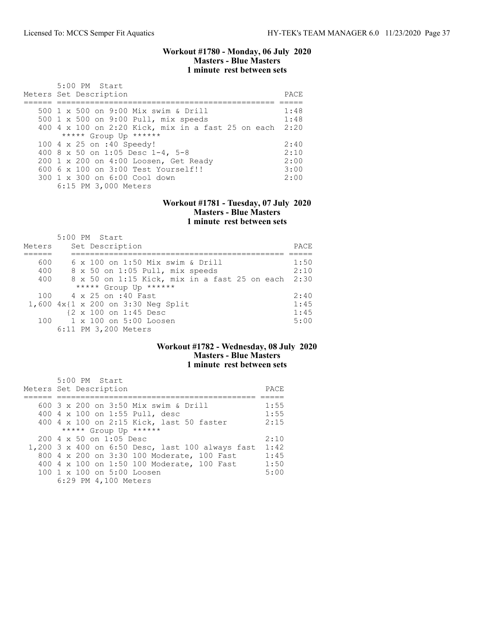### Workout #1780 - Monday, 06 July 2020 Masters - Blue Masters 1 minute rest between sets

| 5:00 PM Start<br>Meters Set Description                 | PACE |
|---------------------------------------------------------|------|
| 500 1 x 500 on 9:00 Mix swim & Drill                    | 1:48 |
| 500 1 x 500 on 9:00 Pull, mix speeds                    | 1:48 |
| 400 4 x 100 on 2:20 Kick, mix in a fast 25 on each 2:20 |      |
| ***** Group Up ******                                   |      |
| 100 4 x 25 on :40 Speedy!                               | 2:40 |
| 400 8 x 50 on 1:05 Desc 1-4, 5-8                        | 2:10 |
| 200 1 x 200 on 4:00 Loosen, Get Ready                   | 2:00 |
| $6006 \times 100$ on $3:00$ Test Yourself!!             | 3:00 |
| 300 1 x 300 on 6:00 Cool down                           | 2:00 |
| 6:15 PM 3,000 Meters                                    |      |

### Workout #1781 - Tuesday, 07 July 2020 Masters - Blue Masters 1 minute rest between sets

| Meters | 5:00 PM Start<br>Set Description              | PACE |
|--------|-----------------------------------------------|------|
|        |                                               |      |
| 600    | 6 x 100 on 1:50 Mix swim & Drill              | 1:50 |
| 400    | 8 x 50 on 1:05 Pull, mix speeds               | 2:10 |
| 400    | 8 x 50 on 1:15 Kick, mix in a fast 25 on each | 2:30 |
|        | ***** Group Up ******                         |      |
| 100    | 4 x 25 on :40 Fast                            | 2:40 |
|        | 1,600 4x{1 x 200 on 3:30 Neg Split            | 1:45 |
|        | {2 x 100 on 1:45 Desc                         | 1:45 |
|        | 100 1 x 100 on 5:00 Loosen                    | 5:00 |
|        | 6:11 PM 3,200 Meters                          |      |

# Workout #1782 - Wednesday, 08 July 2020 Masters - Blue Masters 1 minute rest between sets

| 5:00 PM Start                                    |      |
|--------------------------------------------------|------|
| Meters Set Description                           | PACE |
|                                                  |      |
| 600 3 x 200 on 3:50 Mix swim & Drill             | 1:55 |
| 400 4 x 100 on 1:55 Pull, desc                   | 1:55 |
| 400 4 x 100 on 2:15 Kick, last 50 faster         | 2:15 |
| ***** Group Up ******                            |      |
| $200 \text{ } 4 \text{ } \times 50$ on 1:05 Desc | 2:10 |
| 1,200 3 x 400 on 6:50 Desc, last 100 always fast | 1:42 |
| 800 4 x 200 on 3:30 100 Moderate, 100 Fast       | 1:45 |
| 400 4 x 100 on 1:50 100 Moderate, 100 Fast       | 1:50 |
| 100 1 x 100 on 5:00 Loosen                       | 5:00 |
| 6:29 PM 4,100 Meters                             |      |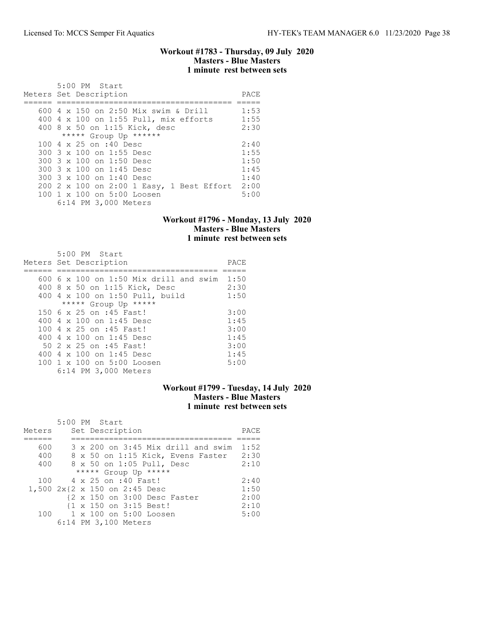### Workout #1783 - Thursday, 09 July 2020 Masters - Blue Masters 1 minute rest between sets

| $5:00$ PM Start<br>Meters Set Description | PACE |
|-------------------------------------------|------|
| 600 4 x 150 on 2:50 Mix swim & Drill      | 1:53 |
| 400 4 x 100 on 1:55 Pull, mix efforts     | 1:55 |
| 400 8 x 50 on 1:15 Kick, desc             | 2:30 |
| ***** Group Up ******                     |      |
| 100 4 x 25 on :40 Desc                    | 2:40 |
| 300 3 x 100 on 1:55 Desc                  | 1:55 |
| 300 3 x 100 on 1:50 Desc                  | 1:50 |
| 300 3 x 100 on 1:45 Desc                  | 1:45 |
| 300 3 x 100 on 1:40 Desc                  | 1:40 |
| 200 2 x 100 on 2:00 1 Easy, 1 Best Effort | 2:00 |
| 100 1 x 100 on 5:00 Loosen                | 5:00 |
| 6:14 PM 3,000 Meters                      |      |

### Workout #1796 - Monday, 13 July 2020 Masters - Blue Masters 1 minute rest between sets

| 5:00 PM Start<br>Meters Set Description                                 | PACE         |
|-------------------------------------------------------------------------|--------------|
| 600 6 x 100 on 1:50 Mix drill and swim<br>400 8 x 50 on 1:15 Kick, Desc | 1:50<br>2:30 |
| 400 4 x 100 on 1:50 Pull, build                                         | 1:50         |
| ***** Group Up *****<br>150 6 x 25 on :45 Fast!                         | 3:00         |
| 400 4 x 100 on 1:45 Desc<br>100 4 x 25 on :45 Fast!                     | 1:45<br>3:00 |
| 400 4 $\times$ 100 on 1:45 Desc<br>50 2 x 25 on :45 Fast!               | 1:45<br>3:00 |
| 400 4 x 100 on 1:45 Desc<br>100 1 x 100 on 5:00 Loosen                  | 1:45<br>5:00 |
| 6:14 PM 3,000 Meters                                                    |              |

## Workout #1799 - Tuesday, 14 July 2020 Masters - Blue Masters 1 minute rest between sets

|        | 5:00 PM Start                      |      |
|--------|------------------------------------|------|
| Meters | Set Description                    | PACE |
|        |                                    |      |
| 600    | 3 x 200 on 3:45 Mix drill and swim | 1:52 |
| 400    | 8 x 50 on 1:15 Kick, Evens Faster  | 2:30 |
| 400    | 8 x 50 on 1:05 Pull, Desc          | 2:10 |
|        | ***** Group Up *****               |      |
|        | 100 4 x 25 on :40 Fast!            | 2:40 |
|        | 1,500 2x{2 x 150 on 2:45 Desc      | 1:50 |
|        | {2 x 150 on 3:00 Desc Faster       | 2:00 |
|        | {1 x 150 on 3:15 Best!             | 2:10 |
|        | 100 1 x 100 on 5:00 Loosen         | 5:00 |
|        | 6:14 PM 3,100 Meters               |      |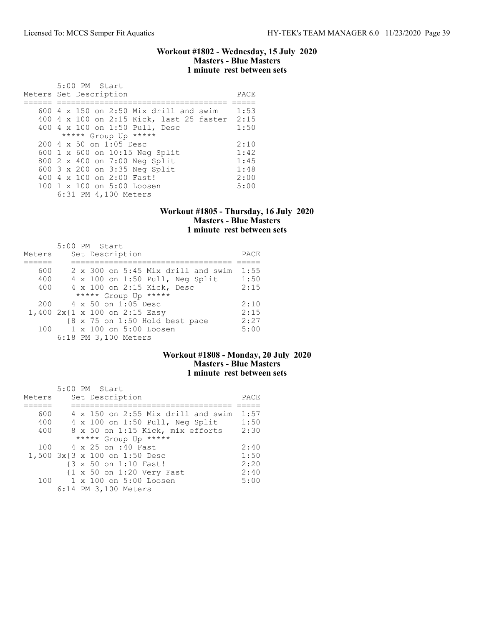### Workout #1802 - Wednesday, 15 July 2020 Masters - Blue Masters 1 minute rest between sets

| 5:00 PM Start                                    |      |
|--------------------------------------------------|------|
| Meters Set Description                           | PACE |
|                                                  |      |
| 600 4 x 150 on 2:50 Mix drill and swim           | 1:53 |
| 400 4 x 100 on 2:15 Kick, last 25 faster 2:15    |      |
| 400 4 x 100 on 1:50 Pull, Desc                   | 1:50 |
| ***** Group Up *****                             |      |
| $200 \text{ } 4 \text{ } \times 50$ on 1:05 Desc | 2:10 |
| 600 1 x 600 on 10:15 Neg Split                   | 1:42 |
| 800 2 x 400 on 7:00 Neg Split                    | 1:45 |
| 600 3 x 200 on 3:35 Neg Split                    | 1:48 |
| 400 4 x 100 on 2:00 Fast!                        | 2:00 |
| $100 \t1 x 100$ on $5:00$ Loosen                 | 5:00 |
| 6:31 PM 4,100 Meters                             |      |

## Workout #1805 - Thursday, 16 July 2020 Masters - Blue Masters 1 minute rest between sets

|        | 5:00 PM Start |                                    |      |
|--------|---------------|------------------------------------|------|
| Meters |               | Set Description                    | PACE |
|        |               |                                    |      |
| 600    |               | 2 x 300 on 5:45 Mix drill and swim | 1:55 |
| 400    |               | 4 x 100 on 1:50 Pull, Neg Split    | 1:50 |
| 400    |               | 4 x 100 on 2:15 Kick, Desc         | 2:15 |
|        |               | ***** Group Up *****               |      |
| 200    |               | 4 x 50 on 1:05 Desc                | 2:10 |
|        |               | 1,400 2x{1 x 100 on 2:15 Easy      | 2:15 |
|        |               | {8 x 75 on 1:50 Hold best pace     | 2:27 |
| 100    |               | 1 x 100 on 5:00 Loosen             | 5:00 |
|        |               | 6:18 PM 3,100 Meters               |      |

# Workout #1808 - Monday, 20 July 2020 Masters - Blue Masters 1 minute rest between sets

| Meters | $5:00$ PM Start<br>Set Description                   | PACE |
|--------|------------------------------------------------------|------|
|        |                                                      |      |
| 600    | 4 x 150 on 2:55 Mix drill and swim                   | 1:57 |
| 400    | 4 x 100 on 1:50 Pull, Neg Split                      | 1:50 |
| 400    | 8 x 50 on 1:15 Kick, mix efforts                     | 2:30 |
|        | ***** Group Up *****                                 |      |
| 100    | 4 x 25 on :40 Fast                                   | 2:40 |
|        | 1,500 3x{3 x 100 on 1:50 Desc                        | 1:50 |
|        | {3 x 50 on 1:10 Fast!                                | 2:20 |
|        | $\{1 \times 50 \text{ on } 1:20 \text{ Very Fast}\}$ | 2:40 |
|        | 100 1 x 100 on 5:00 Loosen                           | 5:00 |
|        | 6:14 PM 3,100 Meters                                 |      |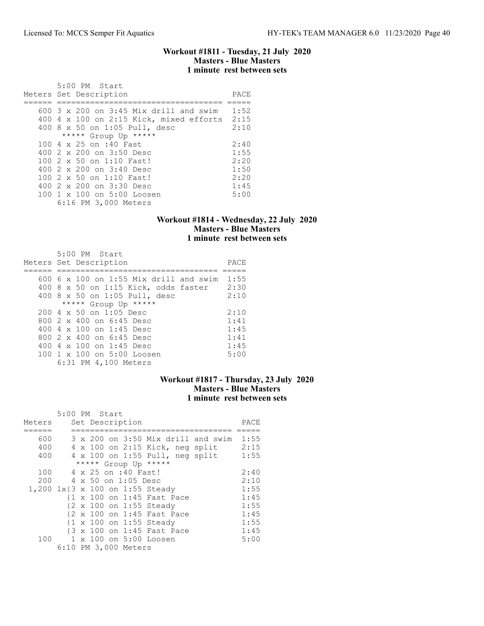### Workout #1811 - Tuesday, 21 July 2020 Masters - Blue Masters 1 minute rest between sets

|  | 5:00 PM Start                           |      |
|--|-----------------------------------------|------|
|  | Meters Set Description                  | PACE |
|  |                                         |      |
|  | 600 3 x 200 on 3:45 Mix drill and swim  | 1:52 |
|  | 400 4 x 100 on 2:15 Kick, mixed efforts | 2:15 |
|  | 400 8 x 50 on 1:05 Pull, desc           | 2:10 |
|  | ***** Group Up *****                    |      |
|  | 100 4 x 25 on :40 Fast                  | 2:40 |
|  | 400 2 x 200 on 3:50 Desc                | 1:55 |
|  | $100.2 \times 50$ on 1:10 Fast!         | 2:20 |
|  | 400 2 x 200 on 3:40 Desc                | 1:50 |
|  | 100 2 x 50 on 1:10 Fast!                | 2:20 |
|  | 400 2 x 200 on 3:30 Desc                | 1:45 |
|  | $100 \t1 x 100$ on $5:00$ Loosen        | 5:00 |
|  | 6:16 PM 3,000 Meters                    |      |

### Workout #1814 - Wednesday, 22 July 2020 Masters - Blue Masters 1 minute rest between sets

| 5:00 PM Start                          |      |
|----------------------------------------|------|
| Meters Set Description                 | PACE |
|                                        |      |
| 600 6 x 100 on 1:55 Mix drill and swim | 1:55 |
| 400 8 x 50 on 1:15 Kick, odds faster   | 2:30 |
| 400 8 x 50 on 1:05 Pull, desc          | 2:10 |
| ***** Group Up *****                   |      |
| $200.4 \times 50$ on 1:05 Desc         | 2:10 |
| 800 2 x 400 on 6:45 Desc               | 1:41 |
| 400 4 x 100 on 1:45 Desc               | 1:45 |
| 800 2 x 400 on 6:45 Desc               | 1:41 |
| 400 4 $\times$ 100 on 1:45 Desc        | 1:45 |
| 100 1 x 100 on 5:00 Loosen             | 5:00 |
| 6:31 PM 4,100 Meters                   |      |

## Workout #1817 - Thursday, 23 July 2020 Masters - Blue Masters 1 minute rest between sets

|                                 | 5:00 PM Start |  |                      |                            |                                        |      |
|---------------------------------|---------------|--|----------------------|----------------------------|----------------------------------------|------|
| Meters                          |               |  | Set Description      |                            |                                        | PACE |
|                                 |               |  |                      |                            |                                        |      |
| 600                             |               |  |                      |                            | 3 x 200 on 3:50 Mix drill and swim     | 1:55 |
| 400                             |               |  |                      |                            | 4 x 100 on 2:15 Kick, neg split        | 2:15 |
| 400                             |               |  |                      |                            | $4 \times 100$ on 1:55 Pull, neg split | 1:55 |
|                                 |               |  |                      | ***** Group Up *****       |                                        |      |
| 100                             |               |  | 4 x 25 on :40 Fast!  |                            |                                        | 2:40 |
| 200                             |               |  | 4 x 50 on 1:05 Desc  |                            |                                        | 2:10 |
| 1,200 1x{3 x 100 on 1:55 Steady |               |  |                      |                            |                                        | 1:55 |
|                                 |               |  |                      | {1 x 100 on 1:45 Fast Pace |                                        | 1:45 |
|                                 |               |  |                      | {2 x 100 on 1:55 Steady    |                                        | 1:55 |
|                                 |               |  |                      | {2 x 100 on 1:45 Fast Pace |                                        | 1:45 |
|                                 |               |  |                      | {1 x 100 on 1:55 Steady    |                                        | 1:55 |
|                                 |               |  |                      | {3 x 100 on 1:45 Fast Pace |                                        | 1:45 |
| 100                             |               |  |                      | 1 x 100 on 5:00 Loosen     |                                        | 5:00 |
|                                 |               |  | 6:10 PM 3,000 Meters |                            |                                        |      |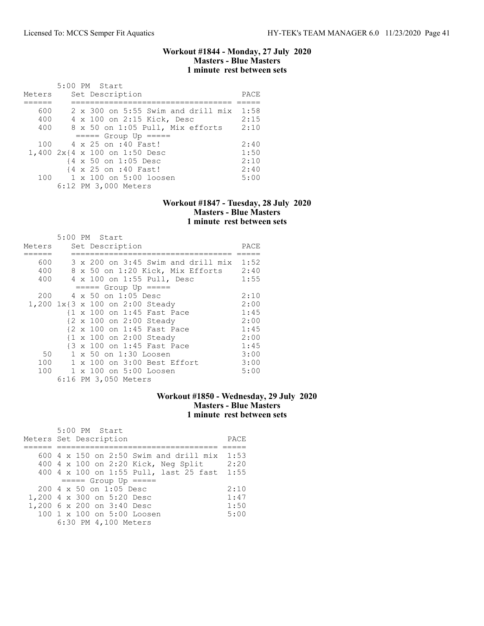### Workout #1844 - Monday, 27 July 2020 Masters - Blue Masters 1 minute rest between sets

|        |  | 5:00 PM Start                                    |      |
|--------|--|--------------------------------------------------|------|
| Meters |  | Set Description                                  | PACE |
|        |  |                                                  |      |
| 600    |  | $2 \times 300$ on 5:55 Swim and drill mix $1:58$ |      |
| 400    |  | 4 x 100 on 2:15 Kick, Desc                       | 2:15 |
| 400    |  | 8 x 50 on 1:05 Pull, Mix efforts                 | 2:10 |
|        |  | $====$ Group Up $====$                           |      |
| 100    |  | 4 x 25 on :40 Fast!                              | 2:40 |
|        |  | 1,400 2x{4 x 100 on 1:50 Desc                    | 1:50 |
|        |  | {4 x 50 on 1:05 Desc                             | 2:10 |
|        |  | {4 x 25 on :40 Fast!                             | 2:40 |
|        |  | 100 1 x 100 on 5:00 loosen                       | 5:00 |
|        |  | 6:12 PM 3,000 Meters                             |      |

### Workout #1847 - Tuesday, 28 July 2020 Masters - Blue Masters 1 minute rest between sets

|        |  | 5:00 PM Start                           |      |
|--------|--|-----------------------------------------|------|
| Meters |  | Set Description                         | PACE |
|        |  |                                         |      |
| 600    |  | 3 x 200 on 3:45 Swim and drill mix 1:52 |      |
| 400    |  | 8 x 50 on 1:20 Kick, Mix Efforts        | 2:40 |
| 400    |  | 4 x 100 on 1:55 Pull, Desc              | 1:55 |
|        |  | $====$ Group Up $====$                  |      |
| 200    |  | 4 x 50 on 1:05 Desc                     | 2:10 |
|        |  | 1,200 1x{3 x 100 on 2:00 Steady         | 2:00 |
|        |  | {1 x 100 on 1:45 Fast Pace              | 1:45 |
|        |  | {2 x 100 on 2:00 Steady                 | 2:00 |
|        |  | {2 x 100 on 1:45 Fast Pace              | 1:45 |
|        |  | {1 x 100 on 2:00 Steady                 | 2:00 |
|        |  | {3 x 100 on 1:45 Fast Pace              | 1:45 |
| 50     |  | 1 x 50 on 1:30 Loosen                   | 3:00 |
| 100    |  | 1 x 100 on 3:00 Best Effort             | 3:00 |
| 100    |  | 1 x 100 on 5:00 Loosen                  | 5:00 |
|        |  | 6:16 PM 3,050 Meters                    |      |

## Workout #1850 - Wednesday, 29 July 2020 Masters - Blue Masters 1 minute rest between sets

| 5:00 PM Start                                 |      |
|-----------------------------------------------|------|
| Meters Set Description                        | PACE |
|                                               |      |
| 600 $4 \times 150$ on 2:50 Swim and drill mix | 1:53 |
| 400 4 x 100 on 2:20 Kick, Neg Split           | 2:20 |
| 400 4 x 100 on 1:55 Pull, last 25 fast        | 1:55 |
| $====$ Group Up $====$                        |      |
| 200 4 x 50 on 1:05 Desc                       | 2:10 |
| 1,200 4 x 300 on 5:20 Desc                    | 1:47 |
| 1,200 6 x 200 on 3:40 Desc                    | 1:50 |
| 100 1 x 100 on 5:00 Loosen                    | 5:00 |
| 6:30 PM 4,100 Meters                          |      |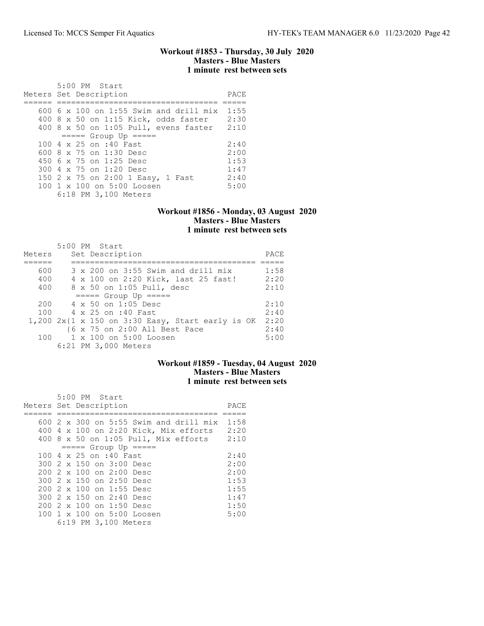### Workout #1853 - Thursday, 30 July 2020 Masters - Blue Masters 1 minute rest between sets

| 5:00 PM Start<br>Meters Set Description    | PACE |
|--------------------------------------------|------|
|                                            |      |
| $600\,$ 6 x 100 on 1:55 Swim and drill mix | 1:55 |
| 400 8 x 50 on 1:15 Kick, odds faster       | 2:30 |
| 400 8 x 50 on 1:05 Pull, evens faster      | 2:10 |
| $====$ Group Up $====$                     |      |
| 100 4 x 25 on :40 Fast                     | 2:40 |
| 600 $8 \times 75$ on 1:30 Desc             | 2:00 |
| 450 6 x 75 on 1:25 Desc                    | 1:53 |
| 300 4 x 75 on 1:20 Desc                    | 1:47 |
| 150 2 x 75 on 2:00 1 Easy, 1 Fast          | 2:40 |
| 100 1 x 100 on 5:00 Loosen                 | 5:00 |
| 6:18 PM 3,100 Meters                       |      |

### Workout #1856 - Monday, 03 August 2020 Masters - Blue Masters 1 minute rest between sets

| Meters | $5:00$ PM Start<br>Set Description               | PACE |
|--------|--------------------------------------------------|------|
| 600    | $3 \times 200$ on $3:55$ Swim and drill mix      | 1:58 |
| 400    | 4 x 100 on 2:20 Kick, last 25 fast!              | 2:20 |
| 400    | 8 x 50 on 1:05 Pull, desc                        | 2:10 |
|        | $====$ Group Up $====$                           |      |
| 200    | $4 \times 50$ on 1:05 Desc                       | 2:10 |
| 100    | 4 x 25 on :40 Fast                               | 2:40 |
|        | 1,200 2x{1 x 150 on 3:30 Easy, Start early is OK | 2:20 |
|        | {6 x 75 on 2:00 All Best Pace                    | 2:40 |
| 100    | $1 \times 100$ on $5:00$ Loosen                  | 5:00 |
|        | 6:21 PM 3,000 Meters                             |      |

### Workout #1859 - Tuesday, 04 August 2020 Masters - Blue Masters 1 minute rest between sets

|                        |  | 5:00 PM Start |                                  |                                               |      |
|------------------------|--|---------------|----------------------------------|-----------------------------------------------|------|
| Meters Set Description |  |               |                                  |                                               | PACE |
|                        |  |               |                                  |                                               |      |
|                        |  |               |                                  | 600 $2 \times 300$ on 5:55 Swim and drill mix | 1:58 |
|                        |  |               |                                  | 400 4 x 100 on 2:20 Kick, Mix efforts         | 2:20 |
|                        |  |               |                                  | $400$ 8 x 50 on 1:05 Pull, Mix efforts        | 2:10 |
|                        |  |               |                                  | $== == $ Group Up $== == $                    |      |
|                        |  |               | 100 4 x 25 on :40 Fast           |                                               | 2:40 |
|                        |  |               | 300 2 x 150 on 3:00 Desc         |                                               | 2:00 |
|                        |  |               | $2002 \times 100$ on $2:00$ Desc |                                               | 2:00 |
|                        |  |               | 300 2 x 150 on 2:50 Desc         |                                               | 1:53 |
|                        |  |               | 200 2 x 100 on 1:55 Desc         |                                               | 1:55 |
|                        |  |               | 300 2 x 150 on 2:40 Desc         |                                               | 1:47 |
|                        |  |               | $2002 \times 100$ on 1:50 Desc   |                                               | 1:50 |
|                        |  |               |                                  | 100 1 x 100 on 5:00 Loosen                    | 5:00 |
|                        |  |               | 6:19 PM 3,100 Meters             |                                               |      |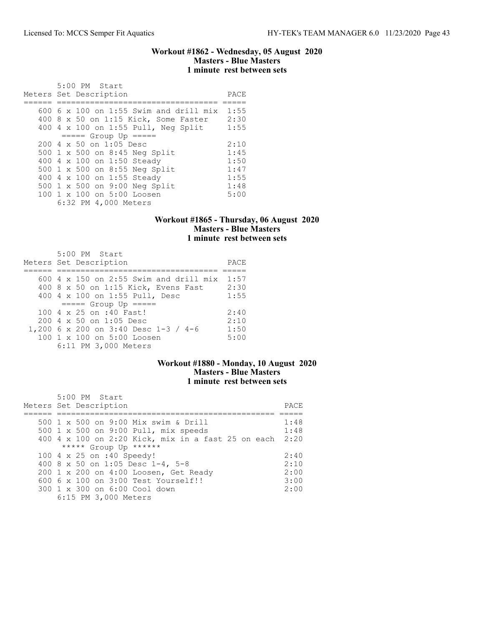### Workout #1862 - Wednesday, 05 August 2020 Masters - Blue Masters 1 minute rest between sets

| 5:00 PM Start<br>Meters Set Description          | PACE |
|--------------------------------------------------|------|
| 600 6 x 100 on 1:55 Swim and drill mix           | 1:55 |
| 400 8 x 50 on 1:15 Kick, Some Faster             | 2:30 |
| 400 4 x 100 on 1:55 Pull, Neg Split              | 1:55 |
| $== == $ Group Up =====                          |      |
| $200 \text{ } 4 \text{ } \times 50$ on 1:05 Desc | 2:10 |
| 500 1 x 500 on 8:45 Neg Split                    | 1:45 |
| 400 4 x 100 on 1:50 Steady                       | 1:50 |
| 500 1 x 500 on 8:55 Neg Split                    | 1:47 |
| 400 4 x 100 on 1:55 Steady                       | 1:55 |
| 500 1 x 500 on 9:00 Neg Split                    | 1:48 |
| 100 1 x 100 on 5:00 Loosen                       | 5:00 |
| 6:32 PM 4,000 Meters                             |      |

# Workout #1865 - Thursday, 06 August 2020 Masters - Blue Masters 1 minute rest between sets

| 5:00 PM Start<br>Meters Set Description          | PACE |
|--------------------------------------------------|------|
|                                                  |      |
| $600$ 4 x 150 on 2:55 Swim and drill mix         | 1:57 |
| 400 8 x 50 on 1:15 Kick, Evens Fast              | 2:30 |
| 400 4 x 100 on 1:55 Pull, Desc                   | 1:55 |
| $====$ Group Up $====$                           |      |
| $100.4 \times 25$ on :40 Fast!                   | 2:40 |
| $200 \text{ } 4 \text{ } \times 50$ on 1:05 Desc | 2:10 |
| 1,200 6 x 200 on 3:40 Desc 1-3 / 4-6             | 1:50 |
| 100 1 x 100 on 5:00 Loosen                       | 5:00 |
| 6:11 PM 3,000 Meters                             |      |

# Workout #1880 - Monday, 10 August 2020 Masters - Blue Masters 1 minute rest between sets

| 5:00 PM Start                                           |      |
|---------------------------------------------------------|------|
| Meters Set Description                                  | PACE |
|                                                         |      |
| 500 1 x 500 on 9:00 Mix swim & Drill                    | 1:48 |
| 500 1 x 500 on 9:00 Pull, mix speeds                    | 1:48 |
| 400 4 x 100 on 2:20 Kick, mix in a fast 25 on each 2:20 |      |
| ***** Group Up ******                                   |      |
| 100 4 x 25 on :40 Speedy!                               | 2:40 |
| 400 8 x 50 on 1:05 Desc 1-4, 5-8                        | 2:10 |
| 200 1 x 200 on 4:00 Loosen, Get Ready                   | 2:00 |
| $6006 \times 100$ on $3:00$ Test Yourself!!             | 3:00 |
| 300 1 x 300 on 6:00 Cool down                           | 2:00 |
| 6:15 PM 3,000 Meters                                    |      |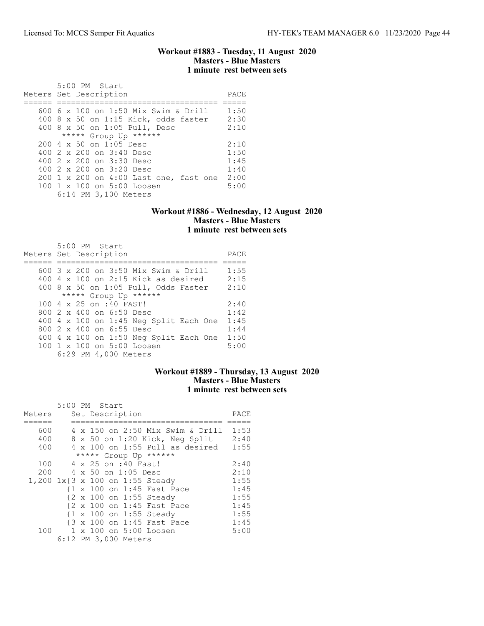### Workout #1883 - Tuesday, 11 August 2020 Masters - Blue Masters 1 minute rest between sets

| 5:00 PM Start<br>Meters Set Description                                                                                                                                                                                    | PACE                                         |
|----------------------------------------------------------------------------------------------------------------------------------------------------------------------------------------------------------------------------|----------------------------------------------|
| 600 6 x 100 on 1:50 Mix Swim & Drill<br>400 8 x 50 on 1:15 Kick, odds faster<br>400 8 x 50 on 1:05 Pull, Desc<br>***** Group Up ******                                                                                     | 1:50<br>2:30<br>2:10                         |
| $2004 \times 50$ on 1:05 Desc<br>400 2 x 200 on 3:40 Desc<br>400 $2 \times 200$ on $3:30$ Desc<br>400 2 x 200 on 3:20 Desc<br>200 1 x 200 on 4:00 Last one, fast one<br>100 1 x 100 on 5:00 Loosen<br>6:14 PM 3,100 Meters | 2:10<br>1:50<br>1:45<br>1:40<br>2:00<br>5:00 |

# Workout #1886 - Wednesday, 12 August 2020 Masters - Blue Masters 1 minute rest between sets

| 5:00 PM Start<br>Meters Set Description      | PACE |
|----------------------------------------------|------|
| 600 3 x 200 on 3:50 Mix Swim & Drill         | 1:55 |
| $400\,4\,$ x $100\,$ on 2:15 Kick as desired | 2:15 |
| 400 8 x 50 on 1:05 Pull, Odds Faster         | 2:10 |
| ***** Group Up ******                        |      |
| 100 4 x 25 on :40 FAST!                      | 2:40 |
| 800 2 x 400 on 6:50 Desc                     | 1:42 |
| 400 4 x 100 on 1:45 Neg Split Each One       | 1:45 |
| 800 2 x 400 on 6:55 Desc                     | 1:44 |
| 400 4 x 100 on 1:50 Neg Split Each One       | 1:50 |
| 100 1 x 100 on 5:00 Loosen                   | 5:00 |
| 6:29 PM 4,000 Meters                         |      |

### Workout #1889 - Thursday, 13 August 2020 Masters - Blue Masters 1 minute rest between sets

|        | 5:00 PM Start             |  |                            |                                        |      |
|--------|---------------------------|--|----------------------------|----------------------------------------|------|
| Meters |                           |  | Set Description            |                                        | PACE |
|        |                           |  |                            |                                        |      |
| 600    |                           |  |                            | 4 x 150 on 2:50 Mix Swim & Drill       | 1:53 |
| 400    |                           |  |                            | 8 x 50 on 1:20 Kick, Neg Split         | 2:40 |
| 400    |                           |  |                            | $4 \times 100$ on 1:55 Pull as desired | 1:55 |
|        |                           |  | ***** Group Up ******      |                                        |      |
| 100    |                           |  | 4 x 25 on :40 Fast!        |                                        | 2:40 |
| 200    |                           |  | 4 x 50 on 1:05 Desc        |                                        | 2:10 |
| 1,200  | 1x{3 x 100 on 1:55 Steady |  |                            |                                        | 1:55 |
|        |                           |  | {1 x 100 on 1:45 Fast Pace |                                        | 1:45 |
|        |                           |  | {2 x 100 on 1:55 Steady    |                                        | 1:55 |
|        |                           |  | {2 x 100 on 1:45 Fast Pace |                                        | 1:45 |
|        |                           |  | {1 x 100 on 1:55 Steady    |                                        | 1:55 |
|        |                           |  | {3 x 100 on 1:45 Fast Pace |                                        | 1:45 |
| 100    |                           |  | 1 x 100 on 5:00 Loosen     |                                        | 5:00 |
|        |                           |  | 6:12 PM 3,000 Meters       |                                        |      |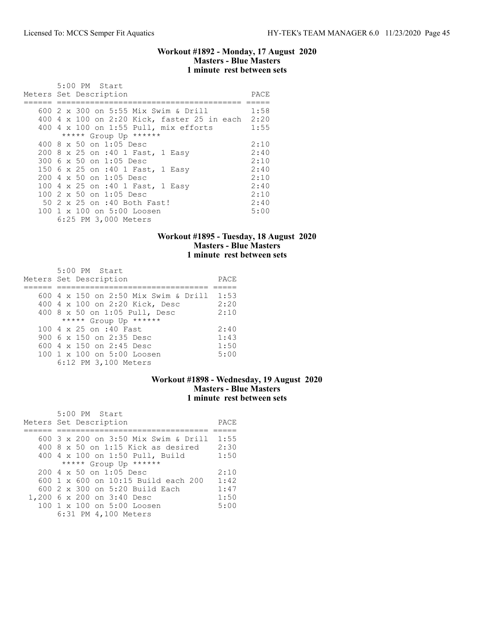### Workout #1892 - Monday, 17 August 2020 Masters - Blue Masters 1 minute rest between sets

| 5:00 PM Start<br>Meters Set Description          | PACE |
|--------------------------------------------------|------|
|                                                  |      |
| 600 2 x 300 on 5:55 Mix Swim & Drill             | 1:58 |
| 400 4 x 100 on 2:20 Kick, faster 25 in each 2:20 |      |
| 400 4 x 100 on 1:55 Pull, mix efforts            | 1:55 |
| ***** Group Up ******                            |      |
| 400 8 x 50 on 1:05 Desc                          | 2:10 |
| 200 8 x 25 on :40 1 Fast, 1 Easy                 | 2:40 |
| 300 6 x 50 on 1:05 Desc                          | 2:10 |
| 150 6 x 25 on :40 1 Fast, 1 Easy                 | 2:40 |
| $200 \text{ } 4 \text{ } \times 50$ on 1:05 Desc | 2:10 |
| 100 4 x 25 on :40 1 Fast, 1 Easy                 | 2:40 |
| 100 2 x 50 on 1:05 Desc                          | 2:10 |
| 50 2 x 25 on :40 Both Fast!                      | 2:40 |
| $100 \t1 x 100$ on $5:00$ Loosen                 | 5:00 |
| 6:25 PM 3,000 Meters                             |      |

## Workout #1895 - Tuesday, 18 August 2020 Masters - Blue Masters 1 minute rest between sets

| 5:00 PM Start                        |      |
|--------------------------------------|------|
| Meters Set Description               | PACE |
|                                      |      |
| 600 4 x 150 on 2:50 Mix Swim & Drill | 1:53 |
| 400 4 x 100 on 2:20 Kick, Desc       | 2:20 |
| 400 8 x 50 on 1:05 Pull, Desc        | 2:10 |
| ***** Group Up ******                |      |
| 100 4 x 25 on :40 Fast               | 2:40 |
| 900 $6 \times 150$ on 2:35 Desc      | 1:43 |
| 600 $4 \times 150$ on 2:45 Desc      | 1:50 |
| 100 1 x 100 on 5:00 Loosen           | 5:00 |
| 6:12 PM 3,100 Meters                 |      |

### Workout #1898 - Wednesday, 19 August 2020 Masters - Blue Masters 1 minute rest between sets

| 5:00 PM Start                        |      |
|--------------------------------------|------|
| Meters Set Description               | PACE |
|                                      |      |
| 600 3 x 200 on 3:50 Mix Swim & Drill | 1:55 |
| $400$ 8 x 50 on 1:15 Kick as desired | 2:30 |
| 400 4 x 100 on 1:50 Pull, Build      | 1:50 |
| ***** Group Up ******                |      |
| $2004 \times 50$ on 1:05 Desc        | 2:10 |
| 600 1 x 600 on 10:15 Build each 200  | 1:42 |
| $600$ 2 x 300 on 5:20 Build Each     | 1:47 |
| 1,200 6 x 200 on 3:40 Desc           | 1:50 |
| 100 1 x 100 on 5:00 Loosen           | 5:00 |
| 6:31 PM 4,100 Meters                 |      |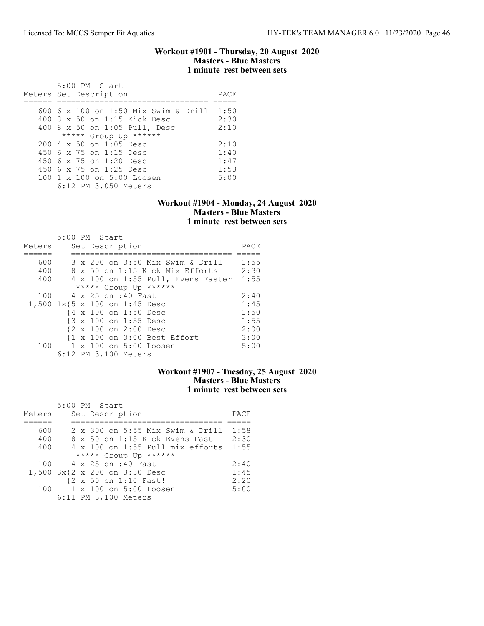### Workout #1901 - Thursday, 20 August 2020 Masters - Blue Masters 1 minute rest between sets

| 5:00 PM Start                                    |      |
|--------------------------------------------------|------|
| Meters Set Description                           | PACE |
|                                                  |      |
| 600 6 x 100 on 1:50 Mix Swim & Drill 1:50        |      |
| 400 8 x 50 on 1:15 Kick Desc                     | 2:30 |
| 400 8 x 50 on 1:05 Pull, Desc                    | 2:10 |
| ***** Group Up ******                            |      |
| $200 \text{ } 4 \text{ } \times 50$ on 1:05 Desc | 2:10 |
| 450 6 x 75 on 1:15 Desc                          | 1:40 |
| 450 6 x 75 on 1:20 Desc                          | 1:47 |
| 450 6 x 75 on 1:25 Desc                          | 1:53 |
| 100 1 x 100 on 5:00 Loosen                       | 5:00 |
| 6:12 PM 3,050 Meters                             |      |

### Workout #1904 - Monday, 24 August 2020 Masters - Blue Masters 1 minute rest between sets

|        | 5:00 PM Start                      |      |
|--------|------------------------------------|------|
| Meters | Set Description                    | PACE |
|        |                                    |      |
| 600    | 3 x 200 on 3:50 Mix Swim & Drill   | 1:55 |
| 400    | 8 x 50 on 1:15 Kick Mix Efforts    | 2:30 |
| 400    | 4 x 100 on 1:55 Pull, Evens Faster | 1:55 |
|        | ***** Group Up ******              |      |
| 100    | 4 x 25 on :40 Fast                 | 2:40 |
|        | 1,500 1x{5 x 100 on 1:45 Desc      | 1:45 |
|        | {4 x 100 on 1:50 Desc              | 1:50 |
|        | {3 x 100 on 1:55 Desc              | 1:55 |
|        | {2 x 100 on 2:00 Desc              | 2:00 |
|        | {1 x 100 on 3:00 Best Effort       | 3:00 |
|        | 100 1 x 100 on 5:00 Loosen         | 5:00 |
|        | 6:12 PM 3,100 Meters               |      |

## Workout #1907 - Tuesday, 25 August 2020 Masters - Blue Masters 1 minute rest between sets

|        |  | 5:00 PM Start                         |      |
|--------|--|---------------------------------------|------|
| Meters |  | Set Description                       | PACE |
|        |  |                                       |      |
| 600    |  | 2 x 300 on 5:55 Mix Swim & Drill 1:58 |      |
| 400    |  | 8 x 50 on 1:15 Kick Evens Fast        | 2:30 |
| 400    |  | 4 x 100 on 1:55 Pull mix efforts      | 1:55 |
|        |  | ***** Group Up ******                 |      |
| 100    |  | 4 x 25 on :40 Fast                    | 2:40 |
|        |  | 1,500 3x{2 x 200 on 3:30 Desc         | 1:45 |
|        |  | {2 x 50 on 1:10 Fast!                 | 2:20 |
| 100    |  | 1 x 100 on 5:00 Loosen                | 5:00 |
|        |  | 6:11 PM 3,100 Meters                  |      |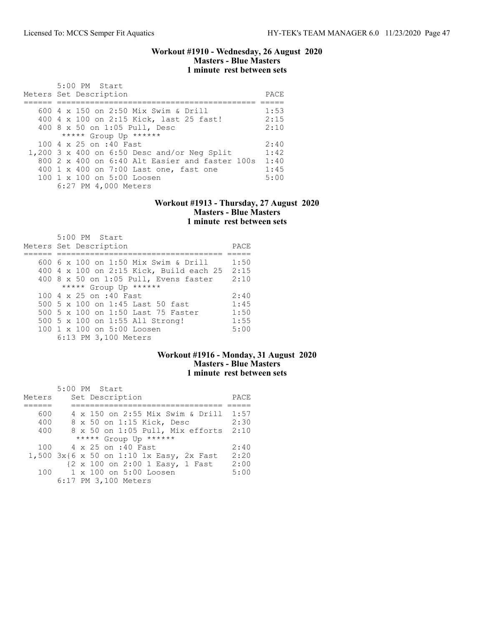### Workout #1910 - Wednesday, 26 August 2020 Masters - Blue Masters 1 minute rest between sets

| $5:00$ PM Start<br>Meters Set Description             | PACE |
|-------------------------------------------------------|------|
| 600 4 x 150 on 2:50 Mix Swim & Drill                  | 1:53 |
| 400 4 x 100 on 2:15 Kick, last 25 fast!               | 2:15 |
| 400 8 x 50 on 1:05 Pull, Desc                         | 2:10 |
| ***** Group Up ******                                 |      |
| 100 4 x 25 on :40 Fast                                | 2:40 |
| 1,200 3 x 400 on $6:50$ Desc and/or Neq Split         | 1:42 |
| $800\,2\,x\,400$ on $6:40$ Alt Easier and faster 100s | 1:40 |
| 400 1 x 400 on 7:00 Last one, fast one                | 1:45 |
| 100 1 x 100 on 5:00 Loosen                            | 5:00 |
| 6:27 PM 4,000 Meters                                  |      |

#### Workout #1913 - Thursday, 27 August 2020 Masters - Blue Masters 1 minute rest between sets

|  | $5:00$ PM Start<br>Meters Set Description | PACE |
|--|-------------------------------------------|------|
|  | 600 6 x 100 on 1:50 Mix Swim & Drill      | 1:50 |
|  | 400 4 x 100 on 2:15 Kick, Build each 25   | 2:15 |
|  | 400 8 x 50 on 1:05 Pull, Evens faster     | 2:10 |
|  | ***** Group Up ******                     |      |
|  | 100 4 x 25 on :40 Fast                    | 2:40 |
|  | 500 5 x 100 on 1:45 Last 50 fast          | 1:45 |
|  | 500 5 x 100 on 1:50 Last 75 Faster        | 1:50 |
|  | 500 5 x 100 on 1:55 All Strong!           | 1:55 |
|  | 100 1 x 100 on 5:00 Loosen                | 5:00 |
|  | 6:13 PM 3,100 Meters                      |      |

# Workout #1916 - Monday, 31 August 2020 Masters - Blue Masters 1 minute rest between sets

|        |  | 5:00 PM Start                            |      |
|--------|--|------------------------------------------|------|
| Meters |  | Set Description                          | PACE |
|        |  |                                          |      |
| 600    |  | 4 x 150 on 2:55 Mix Swim & Drill 1:57    |      |
| 400    |  | 8 x 50 on 1:15 Kick, Desc                | 2:30 |
| 400    |  | 8 x 50 on 1:05 Pull, Mix efforts 2:10    |      |
|        |  | ***** Group Up ******                    |      |
|        |  | 100 4 x 25 on :40 Fast                   | 2:40 |
|        |  | 1,500 3x{6 x 50 on 1:10 1x Easy, 2x Fast | 2:20 |
|        |  | {2 x 100 on 2:00 1 Easy, 1 Fast          | 2:00 |
| 100    |  | 1 x 100 on 5:00 Loosen                   | 5:00 |
|        |  | 6:17 PM 3,100 Meters                     |      |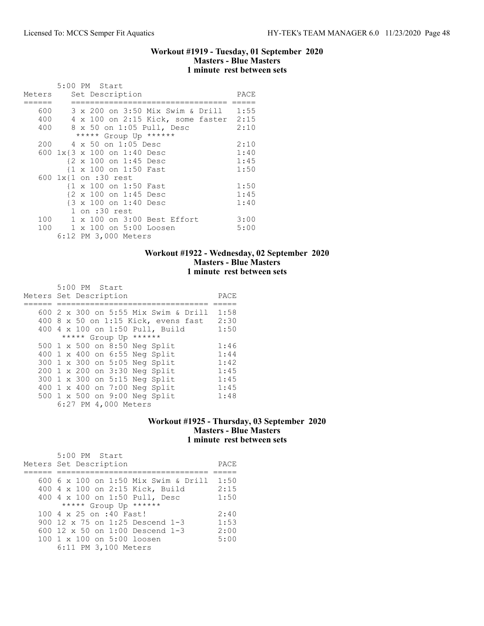### Workout #1919 - Tuesday, 01 September 2020 Masters - Blue Masters 1 minute rest between sets

|        | 5:00 PM Start                          |      |
|--------|----------------------------------------|------|
| Meters | Set Description                        | PACE |
|        |                                        |      |
| 600    | 3 x 200 on 3:50 Mix Swim & Drill 1:55  |      |
| 400    | 4 x 100 on 2:15 Kick, some faster 2:15 |      |
| 400    | 8 x 50 on 1:05 Pull, Desc              | 2:10 |
|        | ***** Group Up ******                  |      |
| 200    | 4 x 50 on 1:05 Desc                    | 2:10 |
|        | 600 1x{3 x 100 on 1:40 Desc            | 1:40 |
|        | {2 x 100 on 1:45 Desc                  | 1:45 |
|        | {1 x 100 on 1:50 Fast                  | 1:50 |
|        | 600 1x{1 on :30 rest                   |      |
|        | {1 x 100 on 1:50 Fast                  | 1:50 |
|        | {2 x 100 on 1:45 Desc                  | 1:45 |
|        | {3 x 100 on 1:40 Desc                  | 1:40 |
|        | $1$ on $:30$ rest                      |      |
| 100    | 1 x 100 on 3:00 Best Effort            | 3:00 |
| 100    | 1 x 100 on 5:00 Loosen                 | 5:00 |
|        | 6:12 PM 3,000 Meters                   |      |

# Workout #1922 - Wednesday, 02 September 2020 Masters - Blue Masters 1 minute rest between sets

| 5:00 PM Start<br>Meters Set Description | PACE |
|-----------------------------------------|------|
| 600 2 x 300 on 5:55 Mix Swim & Drill    | 1:58 |
| 400 8 x 50 on 1:15 Kick, evens fast     | 2:30 |
| 400 4 x 100 on 1:50 Pull, Build         | 1:50 |
| ***** Group Up ******                   |      |
| 500 1 x 500 on 8:50 Neg Split           | 1:46 |
| 400 1 x 400 on 6:55 Neg Split           | 1:44 |
| 300 1 x 300 on 5:05 Neg Split           | 1:42 |
| 200 1 x 200 on 3:30 Neg Split           | 1:45 |
| 300 1 x 300 on 5:15 Neg Split           | 1:45 |
| 400 1 x 400 on 7:00 Neg Split           | 1:45 |
| 500 1 x 500 on 9:00 Neg Split           | 1:48 |
| 6:27 PM 4,000 Meters                    |      |

# Workout #1925 - Thursday, 03 September 2020 Masters - Blue Masters 1 minute rest between sets

| 5:00 PM Start                          |      |
|----------------------------------------|------|
| Meters Set Description                 | PACE |
|                                        |      |
| 600 6 x 100 on 1:50 Mix Swim & Drill   | 1:50 |
| 400 4 x 100 on 2:15 Kick, Build        | 2:15 |
| 400 4 x 100 on 1:50 Pull, Desc         | 1:50 |
| ***** Group Up ******                  |      |
| 100 4 x 25 on :40 Fast!                | 2:40 |
| 900 12 $\times$ 75 on 1:25 Descend 1-3 | 1:53 |
| 600 12 $\times$ 50 on 1:00 Descend 1-3 | 2:00 |
| $100 \t1 x 100$ on $5:00$ loosen       | 5:00 |
| 6:11 PM 3,100 Meters                   |      |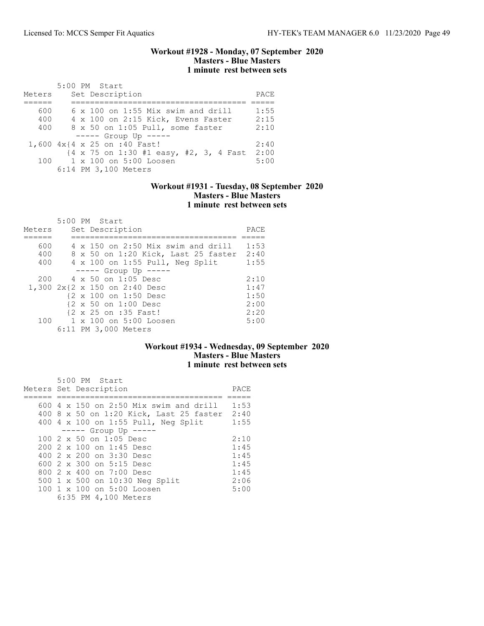### Workout #1928 - Monday, 07 September 2020 Masters - Blue Masters 1 minute rest between sets

|        | 5:00 PM Start                                                     |      |
|--------|-------------------------------------------------------------------|------|
| Meters | Set Description                                                   | PACE |
|        |                                                                   |      |
| 600    | $6 \times 100$ on 1:55 Mix swim and drill                         | 1:55 |
| 400    | 4 x 100 on 2:15 Kick, Evens Faster                                | 2:15 |
| 400    | 8 x 50 on 1:05 Pull, some faster                                  | 2:10 |
|        | $--- -$ Group Up $--- -$                                          |      |
|        | 1,600 4x{4 x 25 on :40 Fast!                                      | 2:40 |
|        | $\{4 \times 75 \text{ on } 1:30 \text{ #1 easy, #2, 3, 4 Fast}\}$ | 2:00 |
| 100    | 1 x 100 on 5:00 Loosen                                            | 5:00 |
|        | 6:14 PM 3,100 Meters                                              |      |

### Workout #1931 - Tuesday, 08 September 2020 Masters - Blue Masters 1 minute rest between sets

|        | 5:00 PM Start                       |      |
|--------|-------------------------------------|------|
| Meters | Set Description                     | PACE |
|        |                                     |      |
| 600    | 4 x 150 on 2:50 Mix swim and drill  | 1:53 |
| 400    | 8 x 50 on 1:20 Kick, Last 25 faster | 2:40 |
| 400    | 4 x 100 on 1:55 Pull, Neg Split     | 1:55 |
|        | $--- -$ Group Up $--- -$            |      |
| 200    | 4 x 50 on 1:05 Desc                 | 2:10 |
|        | 1,300 2x{2 x 150 on 2:40 Desc       | 1:47 |
|        | {2 x 100 on 1:50 Desc               | 1:50 |
|        | {2 x 50 on 1:00 Desc                | 2:00 |
|        | {2 x 25 on :35 Fast!                | 2:20 |
| 100    | 1 x 100 on 5:00 Loosen              | 5:00 |
|        | 6:11 PM 3,000 Meters                |      |

# Workout #1934 - Wednesday, 09 September 2020 Masters - Blue Masters 1 minute rest between sets

|  | 5:00 PM Start                                 |      |
|--|-----------------------------------------------|------|
|  | Meters Set Description                        | PACE |
|  |                                               |      |
|  | 600 $4 \times 150$ on 2:50 Mix swim and drill | 1:53 |
|  | 400 8 x 50 on 1:20 Kick, Last 25 faster       | 2:40 |
|  | 400 4 x 100 on 1:55 Pull, Neg Split           | 1:55 |
|  | $--- $ Group Up $---$                         |      |
|  | $100.2 \times 50$ on 1:05 Desc                | 2:10 |
|  | 200 2 x 100 on 1:45 Desc                      | 1:45 |
|  | 400 2 x 200 on 3:30 Desc                      | 1:45 |
|  | 600 2 x 300 on 5:15 Desc                      | 1:45 |
|  | 800 2 x 400 on 7:00 Desc                      | 1:45 |
|  | 500 1 x 500 on 10:30 Neg Split                | 2:06 |
|  | 100 1 x 100 on 5:00 Loosen                    | 5:00 |
|  | 6:35 PM 4,100 Meters                          |      |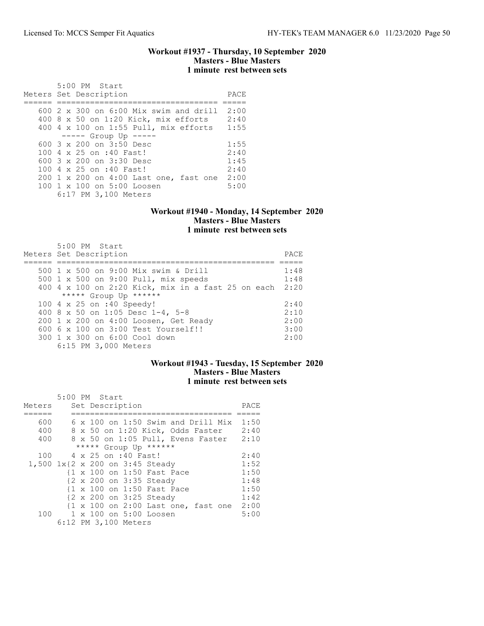## Workout #1937 - Thursday, 10 September 2020 Masters - Blue Masters 1 minute rest between sets

 5:00 PM Start Meters Set Description PACE ====== ================================== ===== 600 2 x 300 on 6:00 Mix swim and drill 2:00 400 8 x 50 on 1:20 Kick, mix efforts 2:40 400 4 x 100 on 1:55 Pull, mix efforts 1:55 ----- Group Up ----- 600 3 x 200 on 3:50 Desc 1:55<br>100 4 x 25 on :40 Fast! 2:40 100 4 x 25 on :40 Fast! 2:40 600 3 x 200 on 3:30 Desc 1:45 100 4 x 25 on :40 Fast! 2:40 200 1 x 200 on 4:00 Last one, fast one 2:00<br>100 1 x 100 on 5:00 Loosen 5:00 100 1 x 100 on 5:00 Loosen 6:17 PM 3,100 Meters

### Workout #1940 - Monday, 14 September 2020 Masters - Blue Masters 1 minute rest between sets

| 5:00 PM Start<br>Meters Set Description                 | PACE |
|---------------------------------------------------------|------|
| 500 1 x 500 on 9:00 Mix swim & Drill                    | 1:48 |
| 500 1 x 500 on 9:00 Pull, mix speeds                    | 1:48 |
| 400 4 x 100 on 2:20 Kick, mix in a fast 25 on each 2:20 |      |
| ***** Group Up ******                                   |      |
| 100 4 x 25 on :40 Speedy!                               | 2:40 |
| 400 8 x 50 on 1:05 Desc 1-4, 5-8                        | 2:10 |
| 200 1 x 200 on 4:00 Loosen, Get Ready                   | 2:00 |
| 600 6 x 100 on 3:00 Test Yourself!!                     | 3:00 |
| 300 1 x 300 on 6:00 Cool down                           | 2:00 |
| 6:15 PM 3,000 Meters                                    |      |

## Workout #1943 - Tuesday, 15 September 2020 Masters - Blue Masters 1 minute rest between sets

|        |  | 5:00 PM Start                                                         |      |
|--------|--|-----------------------------------------------------------------------|------|
| Meters |  | Set Description                                                       | PACE |
|        |  |                                                                       |      |
| 600    |  | $6 \times 100$ on 1:50 Swim and Drill Mix                             | 1:50 |
| 400    |  | 8 x 50 on 1:20 Kick, Odds Faster                                      | 2:40 |
| 400    |  | 8 x 50 on 1:05 Pull, Evens Faster                                     | 2:10 |
|        |  | ***** Group Up ******                                                 |      |
| 100    |  | 4 x 25 on :40 Fast!                                                   | 2:40 |
|        |  | 1,500 1x{2 x 200 on 3:45 Steady                                       | 1:52 |
|        |  | {1 x 100 on 1:50 Fast Pace                                            | 1:50 |
|        |  | {2 x 200 on 3:35 Steady                                               | 1:48 |
|        |  | {1 x 100 on 1:50 Fast Pace                                            | 1:50 |
|        |  | {2 x 200 on 3:25 Steady                                               | 1:42 |
|        |  | $\{1 \times 100 \text{ on } 2:00 \text{ Last one}, \text{fast one}\}$ | 2:00 |
|        |  | 100 1 x 100 on 5:00 Loosen                                            | 5:00 |
|        |  | 6:12 PM 3,100 Meters                                                  |      |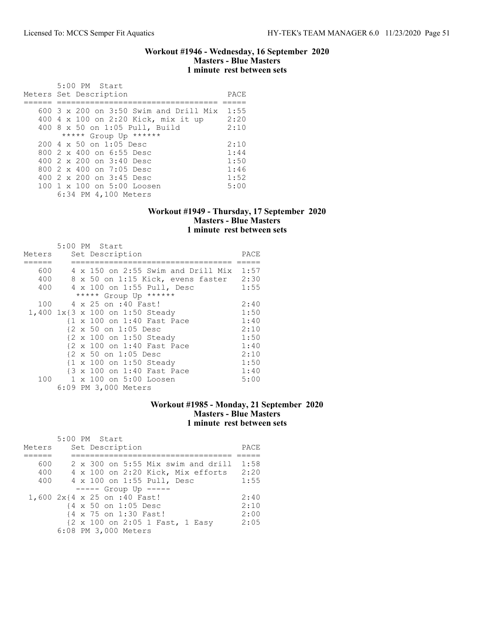### Workout #1946 - Wednesday, 16 September 2020 Masters - Blue Masters 1 minute rest between sets

| $5:00$ PM Start<br>Meters Set Description        | PACE |
|--------------------------------------------------|------|
| $600$ 3 x 200 on 3:50 Swim and Drill Mix         | 1:55 |
| 400 4 x 100 on 2:20 Kick, mix it up              | 2:20 |
| 400 8 x 50 on 1:05 Pull, Build                   | 2:10 |
| ***** Group Up ******                            |      |
| $200 \text{ } 4 \text{ } \times 50$ on 1:05 Desc | 2:10 |
| 800 2 x 400 on 6:55 Desc                         | 1:44 |
| 400 2 x 200 on 3:40 Desc                         | 1:50 |
| 800 2 x 400 on 7:05 Desc                         | 1:46 |
| 400 2 x 200 on 3:45 Desc                         | 1:52 |
| 100 1 x 100 on 5:00 Loosen                       | 5:00 |
| 6:34 PM 4,100 Meters                             |      |

### Workout #1949 - Thursday, 17 September 2020 Masters - Blue Masters 1 minute rest between sets

| Meters |  | 5:00 PM Start<br>Set Description                   | PACE |
|--------|--|----------------------------------------------------|------|
| 600    |  | 4 x 150 on 2:55 Swim and Drill Mix 1:57            |      |
| 400    |  | 8 x 50 on 1:15 Kick, evens faster 2:30             |      |
| 400    |  | 4 x 100 on 1:55 Pull, Desc                         | 1:55 |
|        |  | ***** Group Up ******                              |      |
| 100    |  | 4 x 25 on :40 Fast!                                | 2:40 |
|        |  | 1,400 1x{3 x 100 on 1:50 Steady                    | 1:50 |
|        |  | {1 x 100 on 1:40 Fast Pace                         | 1:40 |
|        |  | {2 x 50 on 1:05 Desc                               | 2:10 |
|        |  | {2 x 100 on 1:50 Steady                            | 1:50 |
|        |  | {2 x 100 on 1:40 Fast Pace                         | 1:40 |
|        |  | {2 x 50 on 1:05 Desc                               | 2:10 |
|        |  | $\{1 \times 100 \text{ on } 1:50 \text{ Steady}\}$ | 1:50 |
|        |  | {3 x 100 on 1:40 Fast Pace                         | 1:40 |
| 100    |  | 1 x 100 on 5:00 Loosen                             | 5:00 |
|        |  | 6:09 PM 3,000 Meters                               |      |

## Workout #1985 - Monday, 21 September 2020 Masters - Blue Masters 1 minute rest between sets

| Meters |  | $5:00$ PM Start<br>Set Description |                            |                                    | PACE |
|--------|--|------------------------------------|----------------------------|------------------------------------|------|
|        |  |                                    |                            |                                    |      |
| 600    |  |                                    |                            | 2 x 300 on 5:55 Mix swim and drill | 1:58 |
| 400    |  |                                    |                            | 4 x 100 on 2:20 Kick, Mix efforts  | 2:20 |
| 400    |  |                                    | 4 x 100 on 1:55 Pull, Desc |                                    | 1:55 |
|        |  | $--- $ Group Up $---$              |                            |                                    |      |
|        |  | 1,600 2x{4 x 25 on :40 Fast!       |                            |                                    | 2:40 |
|        |  | {4 x 50 on 1:05 Desc               |                            |                                    | 2:10 |
|        |  | {4 x 75 on 1:30 Fast!              |                            |                                    | 2:00 |
|        |  |                                    |                            | {2 x 100 on 2:05 1 Fast, 1 Easy    | 2:05 |
|        |  | 6:08 PM 3,000 Meters               |                            |                                    |      |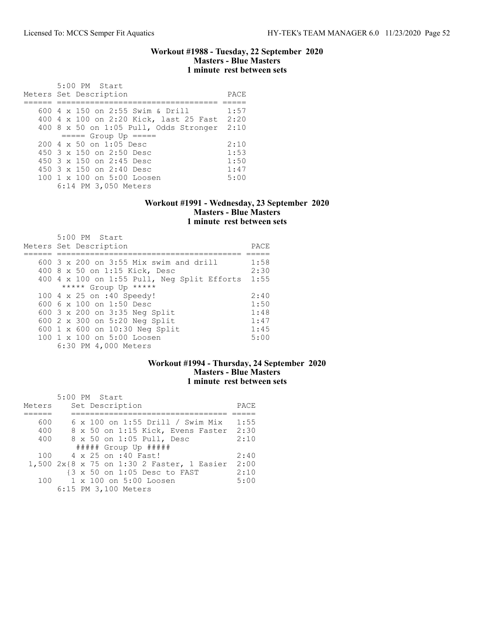### Workout #1988 - Tuesday, 22 September 2020 Masters - Blue Masters 1 minute rest between sets

| $5:00$ PM Start<br>Meters Set Description        | PACE |
|--------------------------------------------------|------|
| 600 4 x 150 on 2:55 Swim & Drill                 | 1:57 |
| 400 4 x 100 on 2:20 Kick, last 25 Fast           | 2:20 |
| 400 8 x 50 on 1:05 Pull, Odds Stronger           | 2:10 |
| $====$ Group Up $====$                           |      |
| $200 \text{ } 4 \text{ } \times 50$ on 1:05 Desc | 2:10 |
| 450 $3 \times 150$ on 2:50 Desc                  | 1:53 |
| 450 3 x 150 on 2:45 Desc                         | 1:50 |
| 450 $3 \times 150$ on 2:40 Desc                  | 1:47 |
| $100 \t 1 \t x \t 100$ on $5:00$ Loosen          | 5:00 |
| 6:14 PM 3,050 Meters                             |      |

### Workout #1991 - Wednesday, 23 September 2020 Masters - Blue Masters 1 minute rest between sets

| $5:00$ PM Start                             |      |
|---------------------------------------------|------|
| Meters Set Description                      | PACE |
|                                             |      |
| 600 3 x 200 on 3:55 Mix swim and drill      | 1:58 |
| 400 8 x 50 on 1:15 Kick, Desc               | 2:30 |
| 400 4 x 100 on 1:55 Pull, Neg Split Efforts | 1:55 |
| ***** Group Up *****                        |      |
| 100 4 x 25 on :40 Speedy!                   | 2:40 |
| 600 6 $\times$ 100 on 1:50 Desc             | 1:50 |
| 600 3 x 200 on 3:35 Neg Split               | 1:48 |
| 600 2 x 300 on 5:20 Neg Split               | 1:47 |
| 600 1 x 600 on 10:30 Neg Split              | 1:45 |
| 100 1 x 100 on 5:00 Loosen                  | 5:00 |
| 6:30 PM 4,000 Meters                        |      |

# Workout #1994 - Thursday, 24 September 2020 Masters - Blue Masters 1 minute rest between sets

|        | 5:00 PM Start                              |      |
|--------|--------------------------------------------|------|
| Meters | Set Description                            | PACE |
|        |                                            |      |
| 600    | 6 x 100 on 1:55 Drill / Swim Mix           | 1:55 |
| 400    | 8 x 50 on 1:15 Kick, Evens Faster          | 2:30 |
| 400    | 8 x 50 on 1:05 Pull, Desc                  | 2:10 |
|        | $\#$ #### Group Up $\#$ ####               |      |
| 100    | 4 x 25 on :40 Fast!                        | 2:40 |
|        | 1,500 2x{8 x 75 on 1:30 2 Faster, 1 Easier | 2:00 |
|        | {3 x 50 on 1:05 Desc to FAST               | 2:10 |
| 100    | 1 x 100 on 5:00 Loosen                     | 5:00 |
|        | 6:15 PM 3,100 Meters                       |      |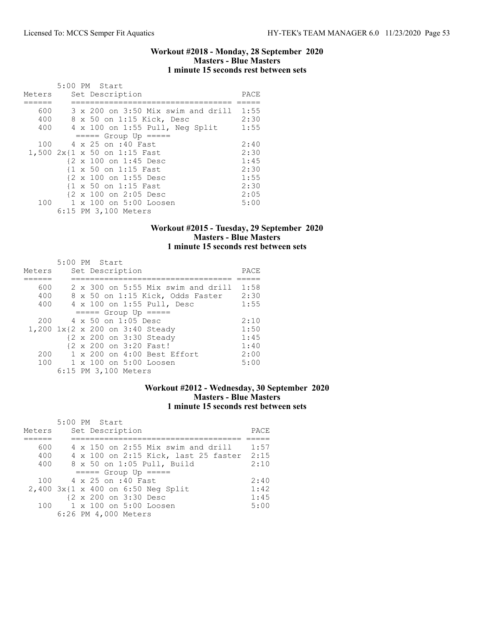### Workout #2018 - Monday, 28 September 2020 Masters - Blue Masters 1 minute 15 seconds rest between sets

|        |  | 5:00 PM Start                      |      |
|--------|--|------------------------------------|------|
| Meters |  | Set Description                    | PACE |
|        |  |                                    |      |
| 600    |  | 3 x 200 on 3:50 Mix swim and drill | 1:55 |
| 400    |  | 8 x 50 on 1:15 Kick, Desc          | 2:30 |
| 400    |  | 4 x 100 on 1:55 Pull, Neg Split    | 1:55 |
|        |  | $====$ Group Up $====$             |      |
| 100    |  | 4 x 25 on :40 Fast                 | 2:40 |
|        |  | 1,500 2x{1 x 50 on 1:15 Fast       | 2:30 |
|        |  | {2 x 100 on 1:45 Desc              | 1:45 |
|        |  | {1 x 50 on 1:15 Fast               | 2:30 |
|        |  | {2 x 100 on 1:55 Desc              | 1:55 |
|        |  | {1 x 50 on 1:15 Fast               | 2:30 |
|        |  | {2 x 100 on 2:05 Desc              | 2:05 |
|        |  | 100 1 x 100 on 5:00 Loosen         | 5:00 |
|        |  | 6:15 PM 3,100 Meters               |      |

## Workout #2015 - Tuesday, 29 September 2020 Masters - Blue Masters 1 minute 15 seconds rest between sets

| Meters                          | 5:00 PM Start |  | Set Description            |                                      | PACE |
|---------------------------------|---------------|--|----------------------------|--------------------------------------|------|
|                                 |               |  |                            |                                      |      |
| 600                             |               |  |                            | 2 x 300 on 5:55 Mix swim and drill   | 1:58 |
| 400                             |               |  |                            | 8 x 50 on 1:15 Kick, Odds Faster     | 2:30 |
| 400                             |               |  |                            | 4 x 100 on 1:55 Pull, Desc           | 1:55 |
|                                 |               |  | $== == $ Group Up $== == $ |                                      |      |
| 200                             |               |  | 4 x 50 on 1:05 Desc        |                                      | 2:10 |
| 1,200 1x{2 x 200 on 3:40 Steady |               |  |                            |                                      | 1:50 |
|                                 |               |  | {2 x 200 on 3:30 Steady    |                                      | 1:45 |
|                                 |               |  | {2 x 200 on 3:20 Fast!     |                                      | 1:40 |
| 200                             |               |  |                            | $1 \times 200$ on $4:00$ Best Effort | 2:00 |
| 100                             |               |  | 1 x 100 on 5:00 Loosen     |                                      | 5:00 |
|                                 |               |  | 6:15 PM 3,100 Meters       |                                      |      |

# Workout #2012 - Wednesday, 30 September 2020 Masters - Blue Masters 1 minute 15 seconds rest between sets

|        | 5:00 PM Start                             |      |
|--------|-------------------------------------------|------|
| Meters | Set Description                           | PACE |
|        |                                           |      |
| 600    | $4 \times 150$ on 2:55 Mix swim and drill | 1:57 |
| 400    | 4 x 100 on 2:15 Kick, last 25 faster      | 2:15 |
| 400    | 8 x 50 on 1:05 Pull, Build                | 2:10 |
|        | $====$ Group Up $====$                    |      |
| 100    | 4 x 25 on :40 Fast                        | 2:40 |
|        | $2,400$ $3x$ {1 x 400 on 6:50 Neq Split   | 1:42 |
|        | {2 x 200 on 3:30 Desc                     | 1:45 |
| 100    | 1 x 100 on 5:00 Loosen                    | 5:00 |
|        | 6:26 PM 4,000 Meters                      |      |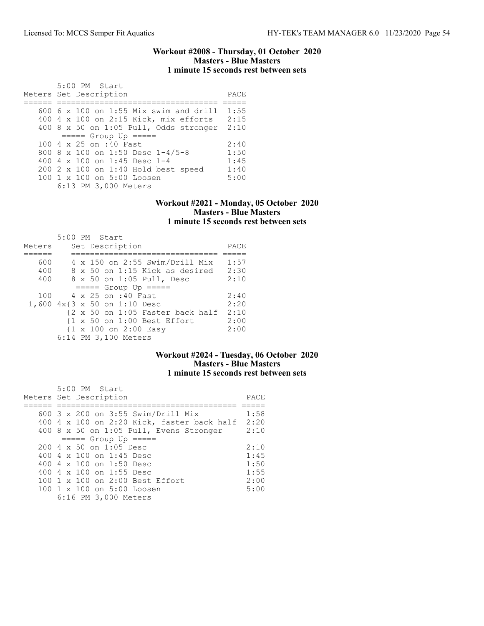### Workout #2008 - Thursday, 01 October 2020 Masters - Blue Masters 1 minute 15 seconds rest between sets

| 5:00 PM Start<br>Meters Set Description    | PACE |
|--------------------------------------------|------|
|                                            |      |
| $600\,$ 6 x 100 on 1:55 Mix swim and drill | 1:55 |
| 400 4 x 100 on 2:15 Kick, mix efforts      | 2:15 |
| 400 8 $x$ 50 on 1:05 Pull, Odds stronger   | 2:10 |
| $====$ Group Up $====$                     |      |
| 100 4 x 25 on :40 Fast                     | 2:40 |
| 800 8 x 100 on 1:50 Desc $1-4/5-8$         | 1:50 |
| 400 4 $\times$ 100 on 1:45 Desc 1-4        | 1:45 |
| 200 2 x 100 on 1:40 Hold best speed        | 1:40 |
| 100 1 x 100 on 5:00 Loosen                 | 5:00 |
| 6:13 PM 3,000 Meters                       |      |

### Workout #2021 - Monday, 05 October 2020 Masters - Blue Masters 1 minute 15 seconds rest between sets

|        |  | 5:00 PM Start                                    |      |
|--------|--|--------------------------------------------------|------|
| Meters |  | Set Description                                  | PACE |
|        |  |                                                  |      |
| 600    |  | 4 x 150 on 2:55 Swim/Drill Mix                   | 1:57 |
| 400    |  | 8 x 50 on 1:15 Kick as desired                   | 2:30 |
| 400    |  | 8 x 50 on 1:05 Pull, Desc                        | 2:10 |
|        |  | $====$ Group Up $====$                           |      |
| 100    |  | 4 x 25 on :40 Fast                               | 2:40 |
|        |  | 1,600 4x{3 x 50 on 1:10 Desc                     | 2:20 |
|        |  | {2 x 50 on 1:05 Faster back half                 | 2:10 |
|        |  | $\{1 \times 50$ on $1:00$ Best Effort            | 2:00 |
|        |  | $\{1 \times 100 \text{ on } 2:00 \text{ Easy}\}$ | 2:00 |
|        |  | 6:14 PM 3,100 Meters                             |      |

# Workout #2024 - Tuesday, 06 October 2020 Masters - Blue Masters 1 minute 15 seconds rest between sets

| 5:00 PM Start                              |      |
|--------------------------------------------|------|
| Meters Set Description                     | PACE |
|                                            |      |
| 600 3 x 200 on 3:55 Swim/Drill Mix         | 1:58 |
| 400 4 x 100 on 2:20 Kick, faster back half | 2:20 |
| 400 8 x 50 on 1:05 Pull, Evens Stronger    | 2:10 |
| $====$ Group Up $====$                     |      |
| $200.4 \times 50$ on 1:05 Desc             | 2:10 |
| 400 4 $\times$ 100 on 1:45 Desc            | 1:45 |
| 400 $4 \times 100$ on 1:50 Desc            | 1:50 |
| 400 4 x 100 on 1:55 Desc                   | 1:55 |
| 100 1 x 100 on 2:00 Best Effort            | 2:00 |
| 100 1 x 100 on 5:00 Loosen                 | 5:00 |
| 6:16 PM 3,000 Meters                       |      |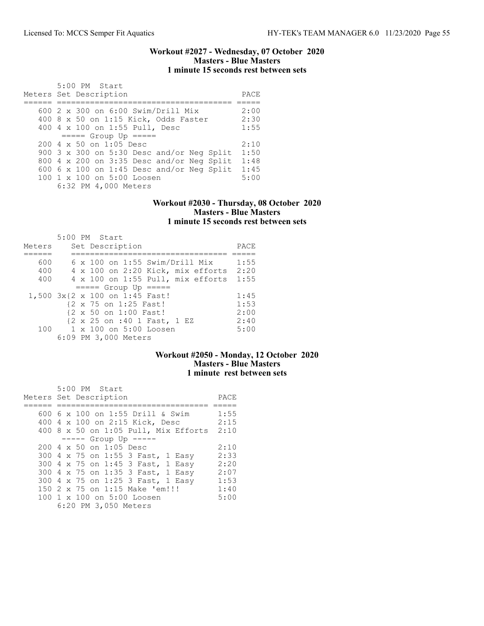### Workout #2027 - Wednesday, 07 October 2020 Masters - Blue Masters 1 minute 15 seconds rest between sets

| 5:00 PM Start<br>Meters Set Description          | PACE |
|--------------------------------------------------|------|
|                                                  |      |
| 600 2 x 300 on 6:00 Swim/Drill Mix               | 2:00 |
| 400 8 x 50 on 1:15 Kick, Odds Faster             | 2:30 |
| 400 4 x 100 on 1:55 Pull, Desc                   | 1:55 |
| $====$ Group Up $====$                           |      |
| $200 \text{ } 4 \text{ } \times 50$ on 1:05 Desc | 2:10 |
| 900 3 x 300 on 5:30 Desc and/or Neg Split        | 1:50 |
| 800 4 x 200 on 3:35 Desc and/or Neg Split        | 1:48 |
| 600 $6 \times 100$ on 1:45 Desc and/or Neg Split | 1:45 |
| $100 \t1 x 100$ on $5:00$ Loosen                 | 5:00 |
| 6:32 PM 4,000 Meters                             |      |

## Workout #2030 - Thursday, 08 October 2020 Masters - Blue Masters 1 minute 15 seconds rest between sets

|                                | 5:00 PM Start |  |                       |                                       |                                            |      |
|--------------------------------|---------------|--|-----------------------|---------------------------------------|--------------------------------------------|------|
| Meters                         |               |  | Set Description       |                                       |                                            | PACE |
|                                |               |  |                       |                                       |                                            |      |
| 600                            |               |  |                       | $6 \times 100$ on 1:55 Swim/Drill Mix |                                            | 1:55 |
| 400                            |               |  |                       |                                       | 4 x 100 on 2:20 Kick, mix efforts          | 2:20 |
| 400                            |               |  |                       |                                       | $4 \times 100$ on $1:55$ Pull, mix efforts | 1:55 |
|                                |               |  |                       | $====$ Group Up $====$                |                                            |      |
| 1,500 3x{2 x 100 on 1:45 Fast! |               |  |                       |                                       |                                            | 1:45 |
|                                |               |  | {2 x 75 on 1:25 Fast! |                                       |                                            | 1:53 |
|                                |               |  | {2 x 50 on 1:00 Fast! |                                       |                                            | 2:00 |
|                                |               |  |                       | {2 x 25 on :40 1 Fast, 1 EZ           |                                            | 2:40 |
| 100                            |               |  |                       | 1 x 100 on 5:00 Loosen                |                                            | 5:00 |
|                                |               |  | 6:09 PM 3,000 Meters  |                                       |                                            |      |

# Workout #2050 - Monday, 12 October 2020 Masters - Blue Masters 1 minute rest between sets

| $5:00$ PM Start<br>Meters Set Description        | PACE |
|--------------------------------------------------|------|
| 600 6 x 100 on 1:55 Drill & Swim                 | 1:55 |
| 400 4 x 100 on 2:15 Kick, Desc                   | 2:15 |
| 400 8 x 50 on 1:05 Pull, Mix Efforts             | 2:10 |
| $--- $ Group Up $---$                            |      |
| $200 \text{ } 4 \text{ } \times 50$ on 1:05 Desc | 2:10 |
| 300 4 x 75 on 1:55 3 Fast, 1 Easy                | 2:33 |
| 300 4 x 75 on 1:45 3 Fast, 1 Easy                | 2:20 |
| 300 4 x 75 on 1:35 3 Fast, 1 Easy                | 2:07 |
| 300 4 x 75 on 1:25 3 Fast, 1 Easy                | 1:53 |
| 150 2 x 75 on 1:15 Make 'em!!!                   | 1:40 |
| 100 1 x 100 on 5:00 Loosen                       | 5:00 |
| 6:20 PM 3,050 Meters                             |      |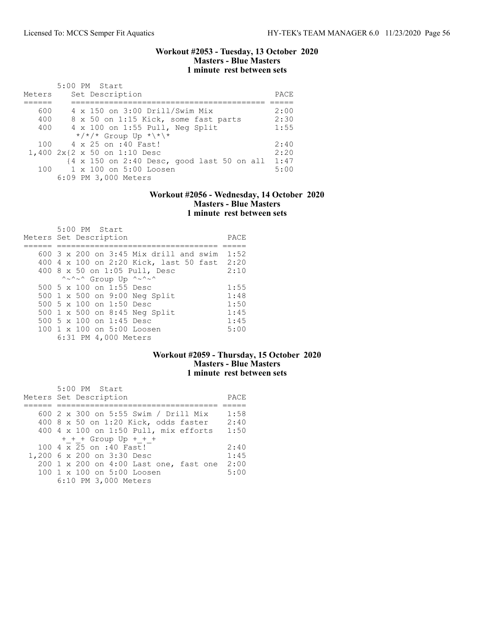### Workout #2053 - Tuesday, 13 October 2020 Masters - Blue Masters 1 minute rest between sets

| Meters | 5:00 PM Start<br>Set Description                                                         | PACE |
|--------|------------------------------------------------------------------------------------------|------|
| 600    | 4 x 150 on 3:00 Drill/Swim Mix                                                           | 2:00 |
|        |                                                                                          |      |
| 400    | 8 x 50 on 1:15 Kick, some fast parts                                                     | 2:30 |
| 400    | 4 x 100 on 1:55 Pull, Neg Split                                                          | 1:55 |
|        | */*/* Group Up *\*\*                                                                     |      |
| 100    | 4 x 25 on :40 Fast!                                                                      | 2:40 |
|        | $1,400$ $2x\{2 \times 50 \text{ on } 1:10 \text{ Desc}$                                  | 2:20 |
|        | $\{4 \times 150 \text{ on } 2:40 \text{ Desc}, \text{good last } 50 \text{ on all } 1\}$ | 1:47 |
| 100    | $1 \times 100$ on $5:00$ Loosen                                                          | 5:00 |
|        | 6:09 PM 3,000 Meters                                                                     |      |

## Workout #2056 - Wednesday, 14 October 2020 Masters - Blue Masters 1 minute rest between sets

| Meters Set Description | 5:00 PM Start |                          |                                               | PACE |
|------------------------|---------------|--------------------------|-----------------------------------------------|------|
|                        |               |                          | $600.3 \times 200$ on 3:45 Mix drill and swim | 1:52 |
|                        |               |                          | 400 4 x 100 on 2:20 Kick, last 50 fast 2:20   |      |
|                        |               |                          | 400 8 x 50 on 1:05 Pull, Desc                 | 2:10 |
|                        |               |                          | ^~^~^ Group Up ^~^~^                          |      |
|                        |               | 500 5 x 100 on 1:55 Desc |                                               | 1:55 |
|                        |               |                          | 500 1 x 500 on 9:00 Neg Split                 | 1:48 |
|                        |               | 500 5 x 100 on 1:50 Desc |                                               | 1:50 |
|                        |               |                          | 500 1 x 500 on 8:45 Neg Split                 | 1:45 |
|                        |               | 500 5 x 100 on 1:45 Desc |                                               | 1:45 |
|                        |               |                          | $100 \t 1 \t x \t 100$ on $5:00$ Loosen       | 5:00 |
|                        |               | 6:31 PM 4,000 Meters     |                                               |      |

# Workout #2059 - Thursday, 15 October 2020 Masters - Blue Masters 1 minute rest between sets

| 5:00 PM Start<br>Meters Set Description                                                                                                                                         | PACE                         |
|---------------------------------------------------------------------------------------------------------------------------------------------------------------------------------|------------------------------|
| 600 2 x 300 on 5:55 Swim / Drill Mix                                                                                                                                            | 1:58                         |
| 400 8 x 50 on 1:20 Kick, odds faster<br>400 4 x 100 on 1:50 Pull, mix efforts 1:50                                                                                              | 2:40                         |
| $+$ + + Group Up + + +<br>100 4 x 25 on :40 Fast!<br>1,200 6 x 200 on 3:30 Desc<br>200 1 x 200 on 4:00 Last one, fast one<br>100 1 x 100 on 5:00 Loosen<br>6:10 PM 3,000 Meters | 2:40<br>1:45<br>2:00<br>5:00 |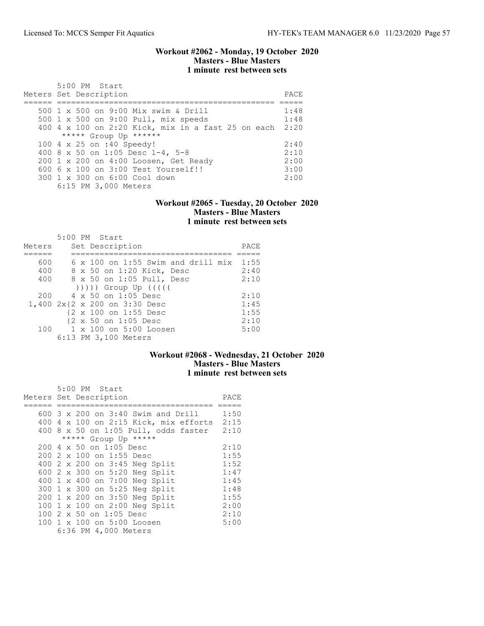### Workout #2062 - Monday, 19 October 2020 Masters - Blue Masters 1 minute rest between sets

| $5:00$ PM Start<br>Meters Set Description               | PACE. |
|---------------------------------------------------------|-------|
| 500 1 x 500 on 9:00 Mix swim & Drill                    | 1:48  |
| 500 1 x 500 on 9:00 Pull, mix speeds                    | 1:48  |
| 400 4 x 100 on 2:20 Kick, mix in a fast 25 on each 2:20 |       |
| ***** Group Up ******                                   |       |
| 100 4 x 25 on :40 Speedy!                               | 2:40  |
| 400 8 x 50 on 1:05 Desc 1-4, 5-8                        | 2:10  |
| 200 1 x 200 on 4:00 Loosen, Get Ready                   | 2:00  |
| 600 6 x 100 on 3:00 Test Yourself!!                     | 3:00  |
| 300 1 x 300 on 6:00 Cool down                           | 2:00  |
| 6:15 PM 3,000 Meters                                    |       |

### Workout #2065 - Tuesday, 20 October 2020 Masters - Blue Masters 1 minute rest between sets

| Meters | 5:00 PM Start<br>Set Description                                                                                                                                                                                             | PACE |
|--------|------------------------------------------------------------------------------------------------------------------------------------------------------------------------------------------------------------------------------|------|
|        |                                                                                                                                                                                                                              |      |
| 600    | $6 \times 100$ on 1:55 Swim and drill mix                                                                                                                                                                                    | 1:55 |
| 400    | 8 x 50 on 1:20 Kick, Desc                                                                                                                                                                                                    | 2:40 |
| 400    | 8 x 50 on 1:05 Pull, Desc                                                                                                                                                                                                    | 2:10 |
|        | $($ $($ $($ $($ $($ $($ $))$ $)$ $)$ $($ $)$ $($ $)$ $($ $)$ $($ $)$ $($ $)$ $($ $)$ $($ $)$ $($ $)$ $($ $)$ $($ $)$ $($ $)$ $($ $)$ $($ $)$ $($ $)$ $($ $)$ $($ $)$ $($ $)$ $($ $)$ $($ $)$ $($ $)$ $($ $)$ $($ $)$ $($ $)$ |      |
| 200    | $4 \times 50$ on 1:05 Desc                                                                                                                                                                                                   | 2:10 |
|        | 1,400 2x{2 x 200 on 3:30 Desc                                                                                                                                                                                                | 1:45 |
|        | {2 x 100 on 1:55 Desc                                                                                                                                                                                                        | 1:55 |
|        | {2 x 50 on 1:05 Desc                                                                                                                                                                                                         | 2:10 |
| 100    | 1 x 100 on 5:00 Loosen                                                                                                                                                                                                       | 5:00 |
|        | 6:13 PM 3,100 Meters                                                                                                                                                                                                         |      |

# Workout #2068 - Wednesday, 21 October 2020 Masters - Blue Masters 1 minute rest between sets

| 5:00 PM Start                               |      |
|---------------------------------------------|------|
| Meters Set Description                      | PACE |
|                                             |      |
| 600 $3 \times 200$ on $3:40$ Swim and Drill | 1:50 |
| $400$ 4 x 100 on 2:15 Kick, mix efforts     | 2:15 |
| $400$ 8 x 50 on 1:05 Pull, odds faster      | 2:10 |
| ***** Group Up *****                        |      |
| 200 4 x 50 on 1:05 Desc                     | 2:10 |
| 200 2 x 100 on 1:55 Desc                    | 1:55 |
| 400 2 x 200 on 3:45 Neg Split               | 1:52 |
| 600 2 x 300 on 5:20 Neg Split               | 1:47 |
| 400 1 x 400 on 7:00 Neg Split               | 1:45 |
| 300 1 x 300 on 5:25 Neg Split               | 1:48 |
| 200 1 x 200 on 3:50 Neg Split               | 1:55 |
| 100 1 x 100 on 2:00 Neg Split               | 2:00 |
| 100 2 x 50 on 1:05 Desc                     | 2:10 |
| 100 1 x 100 on 5:00 Loosen                  | 5:00 |
| 6:36 PM 4,000 Meters                        |      |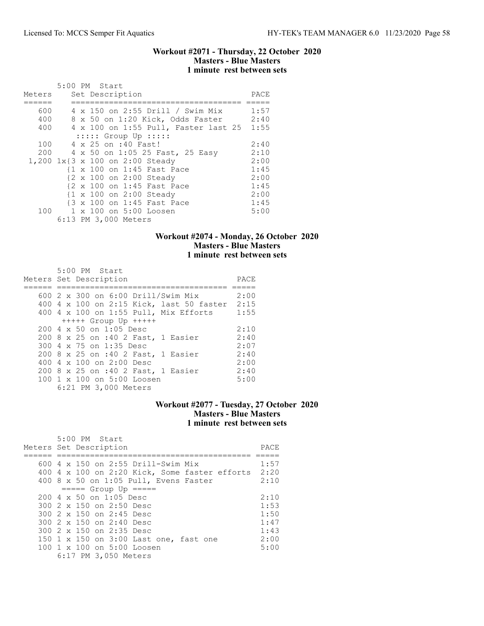### Workout #2071 - Thursday, 22 October 2020 Masters - Blue Masters 1 minute rest between sets

|        | 5:00 PM Start                        |      |
|--------|--------------------------------------|------|
| Meters | Set Description                      | PACE |
| 600    | 4 x 150 on 2:55 Drill / Swim Mix     | 1:57 |
| 400    | 8 x 50 on 1:20 Kick, Odds Faster     | 2:40 |
| 400    | 4 x 100 on 1:55 Pull, Faster last 25 | 1:55 |
|        | $:::::$ Group Up $:::::$             |      |
| 100    | 4 x 25 on :40 Fast!                  | 2:40 |
| 200    | 4 x 50 on 1:05 25 Fast, 25 Easy      | 2:10 |
|        | 1,200 1x{3 x 100 on 2:00 Steady      | 2:00 |
|        | {1 x 100 on 1:45 Fast Pace           | 1:45 |
|        | {2 x 100 on 2:00 Steady              | 2:00 |
|        | {2 x 100 on 1:45 Fast Pace           | 1:45 |
|        | {1 x 100 on 2:00 Steady              | 2:00 |
|        | {3 x 100 on 1:45 Fast Pace           | 1:45 |
|        | 100 1 x 100 on 5:00 Loosen           | 5:00 |
|        | 6:13 PM 3,000 Meters                 |      |

## Workout #2074 - Monday, 26 October 2020 Masters - Blue Masters 1 minute rest between sets

| 5:00 PM Start                                                                            |              |
|------------------------------------------------------------------------------------------|--------------|
| Meters Set Description                                                                   | PACE         |
| 600 $2 \times 300$ on 6:00 Drill/Swim Mix<br>400 4 x 100 on 2:15 Kick, last 50 faster    | 2:00<br>2:15 |
| 400 4 x 100 on 1:55 Pull, Mix Efforts<br>$++++$ Group Up $++++$                          | 1:55         |
| $200 \text{ } 4 \text{ } \times 50$ on 1:05 Desc<br>200 8 x 25 on :40 2 Fast, 1 Easier   | 2:10<br>2:40 |
| 300 4 x 75 on 1:35 Desc                                                                  | 2:07<br>2:40 |
| 200 8 x 25 on :40 2 Fast, 1 Easier<br>400 4 x 100 on 2:00 Desc                           | 2:00         |
| 200 8 x 25 on :40 2 Fast, 1 Easier<br>100 1 x 100 on 5:00 Loosen<br>6:21 PM 3,000 Meters | 2:40<br>5:00 |

## Workout #2077 - Tuesday, 27 October 2020 Masters - Blue Masters 1 minute rest between sets

| 5:00 PM Start<br>Meters Set Description          | PACE |
|--------------------------------------------------|------|
|                                                  |      |
| 600 $4 \times 150$ on 2:55 Drill-Swim Mix        | 1:57 |
| 400 4 x 100 on 2:20 Kick, Some faster efforts    | 2:20 |
| 400 8 x 50 on 1:05 Pull, Evens Faster            | 2:10 |
| $====$ Group Up $====$                           |      |
| $200 \text{ } 4 \text{ } \times 50$ on 1:05 Desc | 2:10 |
| 300 2 x 150 on 2:50 Desc                         | 1:53 |
| 300 2 x 150 on 2:45 Desc                         | 1:50 |
| 300 2 x 150 on 2:40 Desc                         | 1:47 |
| 300 2 x 150 on 2:35 Desc                         | 1:43 |
| 150 1 x 150 on 3:00 Last one, fast one           | 2:00 |
| $100 \t1 x 100$ on $5:00$ Loosen                 | 5:00 |
| 6:17 PM 3,050 Meters                             |      |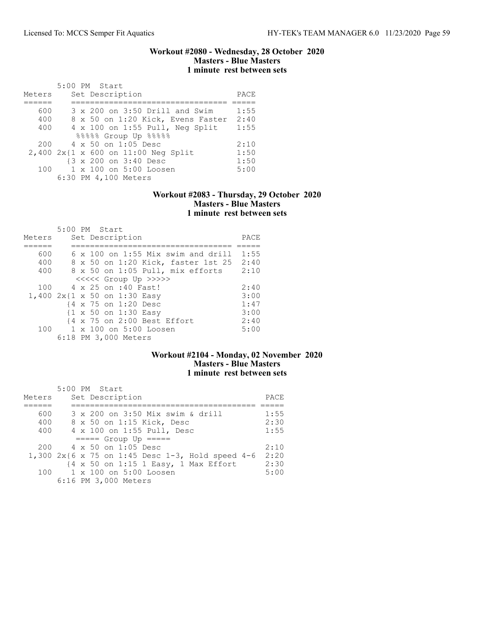### Workout #2080 - Wednesday, 28 October 2020 Masters - Blue Masters 1 minute rest between sets

|        | 5:00 PM Start                                                  |      |
|--------|----------------------------------------------------------------|------|
| Meters | Set Description                                                | PACE |
|        |                                                                |      |
| 600    | 3 x 200 on 3:50 Drill and Swim                                 | 1:55 |
| 400    | 8 x 50 on 1:20 Kick, Evens Faster                              | 2:40 |
| 400    | $4 \times 100$ on 1:55 Pull, Neq Split                         | 1:55 |
|        | 88888 Group Up 88888                                           |      |
| 200    | 4 x 50 on 1:05 Desc                                            | 2:10 |
|        | $2,400$ $2x\{1 \times 600 \text{ on } 11:00 \text{ Neg Split}$ | 1:50 |
|        | {3 x 200 on 3:40 Desc                                          | 1:50 |
| 100    | 1 x 100 on 5:00 Loosen                                         | 5:00 |
|        | 6:30 PM 4,100 Meters                                           |      |

### Workout #2083 - Thursday, 29 October 2020 Masters - Blue Masters 1 minute rest between sets

|        | 5:00 PM Start                             |      |
|--------|-------------------------------------------|------|
| Meters | Set Description                           | PACE |
|        |                                           |      |
| 600    | $6 \times 100$ on 1:55 Mix swim and drill | 1:55 |
| 400    | 8 x 50 on 1:20 Kick, faster 1st 25        | 2:40 |
| 400    | 8 x 50 on 1:05 Pull, mix efforts          | 2:10 |
|        | <<<<<< Group Up >>>>>                     |      |
| 100    | 4 x 25 on :40 Fast!                       | 2:40 |
|        | 1,400 2x{1 x 50 on 1:30 Easy              | 3:00 |
|        | {4 x 75 on 1:20 Desc                      | 1:47 |
|        | {1 x 50 on 1:30 Easy                      | 3:00 |
|        | {4 x 75 on 2:00 Best Effort               | 2:40 |
| 100    | $1 \times 100$ on $5:00$ Loosen           | 5:00 |
|        | 6:18 PM 3,000 Meters                      |      |

# Workout #2104 - Monday, 02 November 2020 Masters - Blue Masters 1 minute rest between sets

| Meters | $5:00$ PM Start<br>Set Description                  | PACE |
|--------|-----------------------------------------------------|------|
| 600    | 3 x 200 on 3:50 Mix swim & drill                    | 1:55 |
| 400    | 8 x 50 on 1:15 Kick, Desc                           | 2:30 |
| 400    | 4 x 100 on 1:55 Pull, Desc                          | 1:55 |
|        | $====$ Group Up $====$                              |      |
|        | $200 \t 4 \times 50$ on 1:05 Desc                   | 2:10 |
|        | 1,300 $2x$ {6 x 75 on 1:45 Desc 1-3, Hold speed 4-6 | 2:20 |
|        | {4 x 50 on 1:15 1 Easy, 1 Max Effort                | 2:30 |
|        | 100 1 x 100 on 5:00 Loosen                          | 5:00 |
|        | 6:16 PM 3,000 Meters                                |      |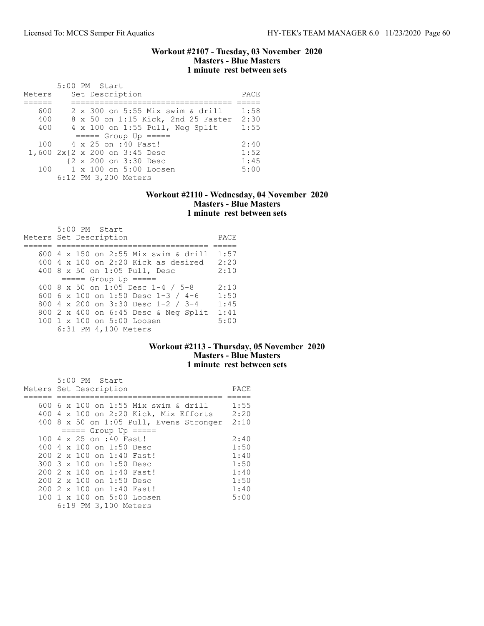### Workout #2107 - Tuesday, 03 November 2020 Masters - Blue Masters 1 minute rest between sets

| Meters |  | $5:00$ PM Start<br>Set Description | PACE |
|--------|--|------------------------------------|------|
|        |  |                                    |      |
| 600    |  | 2 x 300 on 5:55 Mix swim & drill   | 1:58 |
| 400    |  | 8 x 50 on 1:15 Kick, 2nd 25 Faster | 2:30 |
| 400    |  | 4 x 100 on 1:55 Pull, Neg Split    | 1:55 |
|        |  | $====$ Group Up $====$             |      |
| 100    |  | 4 x 25 on :40 Fast!                | 2:40 |
|        |  | 1,600 2x{2 x 200 on 3:45 Desc      | 1:52 |
|        |  | {2 x 200 on 3:30 Desc              | 1:45 |
| 100    |  | 1 x 100 on 5:00 Loosen             | 5:00 |
|        |  | 6:12 PM 3,200 Meters               |      |

## Workout #2110 - Wednesday, 04 November 2020 Masters - Blue Masters 1 minute rest between sets

| 5:00 PM Start<br>Meters Set Description      | PACE  |
|----------------------------------------------|-------|
| 600 4 x 150 on 2:55 Mix swim & drill         | 1:57  |
|                                              |       |
| $400\,4\,$ x $100\,$ on 2:20 Kick as desired | 2:20  |
| 400 8 x 50 on 1:05 Pull, Desc                | 2:10  |
| $== == $ Group Up $== == $                   |       |
| 400 8 $\times$ 50 on 1:05 Desc 1-4 / 5-8     | 2:10  |
| 600 6 x 100 on 1:50 Desc 1-3 / 4-6           | 1:50  |
| 800 4 x 200 on 3:30 Desc 1-2 / 3-4           | 1:4.5 |
| 800 2 x 400 on 6:45 Desc & Neg Split         | 1:41  |
| 100 1 x 100 on 5:00 Loosen                   | 5:00  |
| 6:31 PM 4,100 Meters                         |       |

# Workout #2113 - Thursday, 05 November 2020 Masters - Blue Masters 1 minute rest between sets

|                        |  |  | 5:00 PM Start                   |                                         |      |
|------------------------|--|--|---------------------------------|-----------------------------------------|------|
| Meters Set Description |  |  |                                 |                                         | PACE |
|                        |  |  |                                 |                                         |      |
|                        |  |  |                                 | 600 6 x 100 on 1:55 Mix swim & drill    | 1:55 |
| 400                    |  |  |                                 | 4 x 100 on 2:20 Kick, Mix Efforts       | 2:20 |
|                        |  |  |                                 | 400 8 x 50 on 1:05 Pull, Evens Stronger | 2:10 |
|                        |  |  |                                 | $====$ Group Up $====$                  |      |
|                        |  |  | 100 4 x 25 on :40 Fast!         |                                         | 2:40 |
|                        |  |  | 400 $4 \times 100$ on 1:50 Desc |                                         | 1:50 |
|                        |  |  |                                 | 200 2 x 100 on 1:40 Fast!               | 1:40 |
|                        |  |  | 300 3 x 100 on 1:50 Desc        |                                         | 1:50 |
|                        |  |  |                                 | 200 2 x 100 on 1:40 Fast!               | 1:40 |
| 200                    |  |  | 2 x 100 on 1:50 Desc            |                                         | 1:50 |
|                        |  |  |                                 | 200 2 x 100 on 1:40 Fast!               | 1:40 |
|                        |  |  |                                 | 100 1 x 100 on 5:00 Loosen              | 5:00 |
|                        |  |  | 6:19 PM 3,100 Meters            |                                         |      |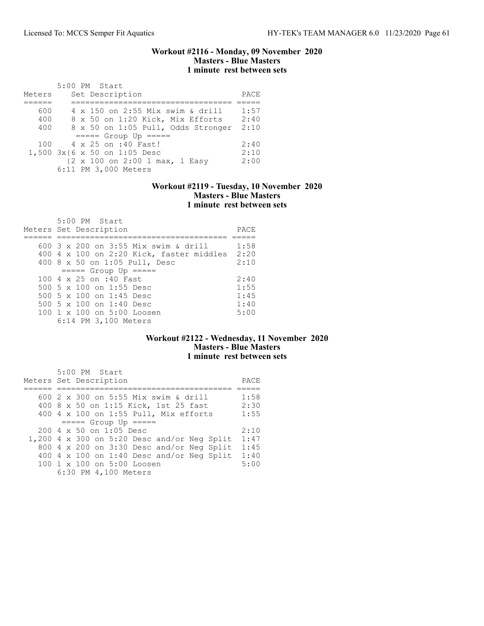### Workout #2116 - Monday, 09 November 2020 Masters - Blue Masters 1 minute rest between sets

|        | 5:00 PM Start                      |      |
|--------|------------------------------------|------|
| Meters | Set Description                    | PACE |
|        |                                    |      |
| 600    | 4 x 150 on 2:55 Mix swim & drill   | 1:57 |
| 400    | 8 x 50 on 1:20 Kick, Mix Efforts   | 2:40 |
| 400    | 8 x 50 on 1:05 Pull, Odds Stronger | 2:10 |
|        | $====$ Group Up $====$             |      |
| 100    | 4 x 25 on :40 Fast!                | 2:40 |
|        | $1,500$ $3x$ {6 x 50 on 1:05 Desc  | 2:10 |
|        | {2 x 100 on 2:00 1 max, 1 Easy     | 2:00 |
|        | 6:11 PM 3,000 Meters               |      |

### Workout #2119 - Tuesday, 10 November 2020 Masters - Blue Masters 1 minute rest between sets

| 5:00 PM Start<br>Meters Set Description  | PACE |
|------------------------------------------|------|
| 600 3 x 200 on 3:55 Mix swim & drill     | 1:58 |
|                                          |      |
| 400 4 x 100 on 2:20 Kick, faster middles | 2:20 |
| 400 8 x 50 on 1:05 Pull, Desc            | 2:10 |
| $====$ Group Up $====$                   |      |
| 100 4 x 25 on :40 Fast                   | 2:40 |
| 500 5 x 100 on 1:55 Desc                 | 1:55 |
| 500 5 x 100 on 1:45 Desc                 | 1:45 |
| 500 5 $\times$ 100 on 1:40 Desc          | 1:40 |
| 100 1 x 100 on 5:00 Loosen               | 5:00 |
| 6:14 PM 3,100 Meters                     |      |

# Workout #2122 - Wednesday, 11 November 2020 Masters - Blue Masters 1 minute rest between sets

| 5:00 PM Start<br>Meters Set Description       | PACE |
|-----------------------------------------------|------|
|                                               |      |
| 600 2 x 300 on 5:55 Mix swim & drill          | 1:58 |
| 400 8 x 50 on 1:15 Kick, 1st 25 fast          | 2:30 |
| 400 4 x 100 on 1:55 Pull, Mix efforts         | 1:55 |
| $== == $ Group Up $== == $                    |      |
| 200 4 x 50 on 1:05 Desc                       | 2:10 |
| $1,200$ 4 x 300 on 5:20 Desc and/or Neg Split | 1:47 |
| 800 4 x 200 on 3:30 Desc and/or Neg Split     | 1:45 |
| 400 4 x 100 on 1:40 Desc and/or Neg Split     | 1:40 |
| 100 1 x 100 on 5:00 Loosen                    | 5:00 |
| 6:30 PM 4,100 Meters                          |      |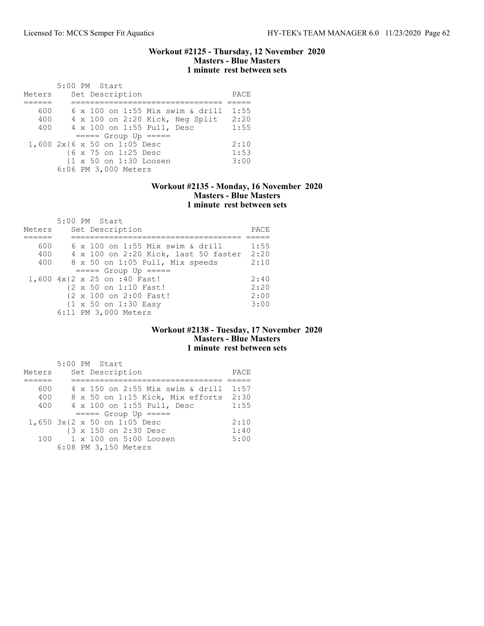### Workout #2125 - Thursday, 12 November 2020 Masters - Blue Masters 1 minute rest between sets

|                              | 5:00 PM Start        |  |                      |                        |                                         |      |
|------------------------------|----------------------|--|----------------------|------------------------|-----------------------------------------|------|
| Meters                       |                      |  | Set Description      |                        |                                         | PACE |
|                              |                      |  |                      |                        |                                         |      |
| 600                          |                      |  |                      |                        | $6 \times 100$ on 1:55 Mix swim & drill | 1:55 |
| 400                          |                      |  |                      |                        | 4 x 100 on 2:20 Kick, Neg Split         | 2:20 |
| 400                          |                      |  |                      |                        | 4 x 100 on 1:55 Pull, Desc              | 1:55 |
|                              |                      |  |                      | $====$ Group Up $====$ |                                         |      |
| 1,600 2x{6 x 50 on 1:05 Desc |                      |  |                      |                        |                                         | 2:10 |
|                              |                      |  | {6 x 75 on 1:25 Desc |                        |                                         | 1:53 |
|                              |                      |  |                      | {1 x 50 on 1:30 Loosen |                                         | 3:00 |
|                              | 6:06 PM 3,000 Meters |  |                      |                        |                                         |      |

## Workout #2135 - Monday, 16 November 2020 Masters - Blue Masters 1 minute rest between sets

|        |  | 5:00 PM Start                        |      |
|--------|--|--------------------------------------|------|
| Meters |  | Set Description                      | PACE |
|        |  |                                      |      |
| 600    |  | 6 x 100 on 1:55 Mix swim & drill     | 1:55 |
| 400    |  | 4 x 100 on 2:20 Kick, last 50 faster | 2:20 |
| 400    |  | 8 x 50 on 1:05 Pull, Mix speeds      | 2:10 |
|        |  | $====$ Group Up $====$               |      |
|        |  | 1,600 4x{2 x 25 on :40 Fast!         | 2:40 |
|        |  | {2 x 50 on 1:10 Fast!                | 2:20 |
|        |  | {2 x 100 on 2:00 Fast!               | 2:00 |
|        |  | {1 x 50 on 1:30 Easy                 | 3:00 |
|        |  | 6:11 PM 3,000 Meters                 |      |

### Workout #2138 - Tuesday, 17 November 2020 Masters - Blue Masters 1 minute rest between sets

|        |  | 5:00 PM Start                    |      |
|--------|--|----------------------------------|------|
| Meters |  | Set Description                  | PACE |
|        |  |                                  |      |
| 600    |  | 4 x 150 on 2:55 Mix swim & drill | 1:57 |
| 400    |  | 8 x 50 on 1:15 Kick, Mix efforts | 2:30 |
| 400    |  | 4 x 100 on 1:55 Pull, Desc       | 1:55 |
|        |  | $====$ Group Up $====$           |      |
|        |  | 1,650 3x{2 x 50 on 1:05 Desc     | 2:10 |
|        |  | {3 x 150 on 2:30 Desc            | 1:40 |
| 100    |  | 1 x 100 on 5:00 Loosen           | 5:00 |
|        |  | 6:08 PM 3,150 Meters             |      |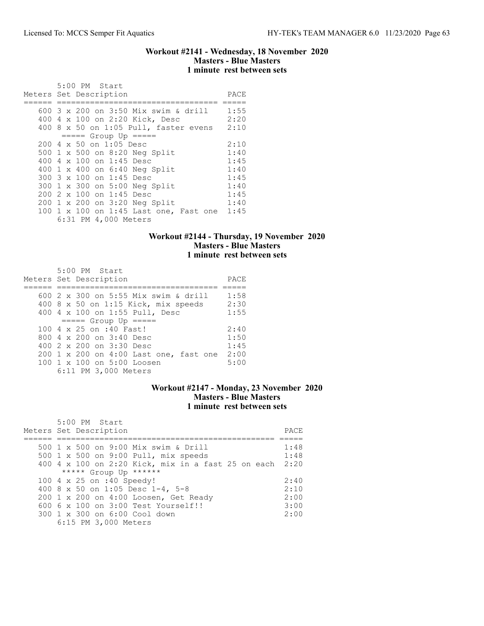### Workout #2141 - Wednesday, 18 November 2020 Masters - Blue Masters 1 minute rest between sets

|  | 5:00 PM Start<br>Meters Set Description |                                        | PACE |
|--|-----------------------------------------|----------------------------------------|------|
|  |                                         | 600 3 x 200 on 3:50 Mix swim & drill   | 1:55 |
|  |                                         | 400 4 x 100 on 2:20 Kick, Desc         | 2:20 |
|  |                                         | 400 8 x 50 on 1:05 Pull, faster evens  | 2:10 |
|  | $== == $ Group Up $== == $              |                                        |      |
|  | 200 4 x 50 on 1:05 Desc                 |                                        | 2:10 |
|  |                                         | 500 1 x 500 on 8:20 Neg Split          | 1:40 |
|  | 400 4 x 100 on 1:45 Desc                |                                        | 1:45 |
|  |                                         | 400 1 x 400 on 6:40 Neg Split          | 1:40 |
|  | 300 3 x 100 on 1:45 Desc                |                                        | 1:45 |
|  |                                         | 300 1 x 300 on 5:00 Neg Split          | 1:40 |
|  | 200 2 x 100 on 1:45 Desc                |                                        | 1:45 |
|  |                                         | 200 1 x 200 on 3:20 Neg Split          | 1:40 |
|  |                                         | 100 1 x 100 on 1:45 Last one, Fast one | 1:45 |
|  | 6:31 PM 4,000 Meters                    |                                        |      |

## Workout #2144 - Thursday, 19 November 2020 Masters - Blue Masters 1 minute rest between sets

| 5:00 PM Start<br>Meters Set Description | PACE |
|-----------------------------------------|------|
|                                         |      |
| 600 2 x 300 on 5:55 Mix swim & drill    | 1:58 |
| 400 8 x 50 on 1:15 Kick, mix speeds     | 2:30 |
| 400 4 x 100 on 1:55 Pull, Desc          | 1:55 |
| $====$ Group Up $====$                  |      |
| 100 4 x 25 on :40 Fast!                 | 2:40 |
| 800 $4 \times 200$ on $3:40$ Desc       | 1:50 |
| 400 2 x 200 on 3:30 Desc                | 1:45 |
| 200 1 x 200 on 4:00 Last one, fast one  | 2:00 |
| 100 1 x 100 on 5:00 Loosen              | 5:00 |
| 6:11 PM 3,000 Meters                    |      |

# Workout #2147 - Monday, 23 November 2020 Masters - Blue Masters 1 minute rest between sets

| $5:00$ PM Start<br>Meters Set Description          | PACE |
|----------------------------------------------------|------|
|                                                    |      |
| 500 1 x 500 on 9:00 Mix swim & Drill               | 1:48 |
| 500 1 x 500 on 9:00 Pull, mix speeds               | 1:48 |
| 400 4 x 100 on 2:20 Kick, mix in a fast 25 on each | 2:20 |
| ***** Group Up ******                              |      |
| 100 4 x 25 on :40 Speedy!                          | 2:40 |
| 400 8 x 50 on 1:05 Desc 1-4, 5-8                   | 2:10 |
| 200 1 x 200 on 4:00 Loosen, Get Ready              | 2:00 |
| $6006 \times 100$ on $3:00$ Test Yourself!!        | 3:00 |
| 300 1 x 300 on 6:00 Cool down                      | 2:00 |
| 6:15 PM 3,000 Meters                               |      |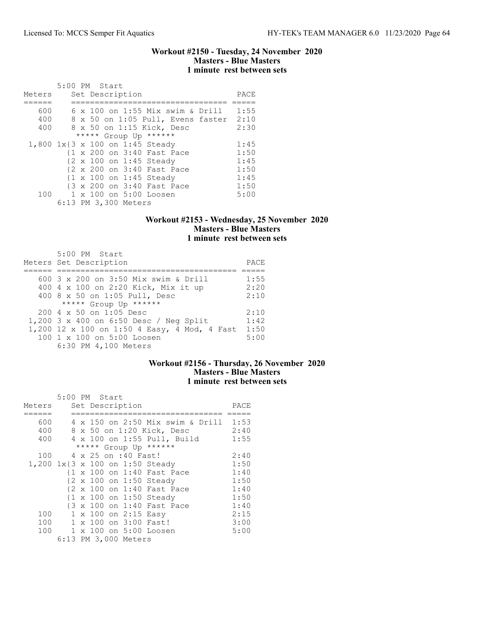### Workout #2150 - Tuesday, 24 November 2020 Masters - Blue Masters 1 minute rest between sets

|                                 | 5:00 PM Start |  |                            |                           |                                   |      |
|---------------------------------|---------------|--|----------------------------|---------------------------|-----------------------------------|------|
| Meters                          |               |  | Set Description            |                           |                                   | PACE |
|                                 |               |  |                            |                           |                                   |      |
| 600                             |               |  |                            |                           | 6 x 100 on 1:55 Mix swim & Drill  | 1:55 |
| 400                             |               |  |                            |                           | 8 x 50 on 1:05 Pull, Evens faster | 2:10 |
| 400                             |               |  |                            | 8 x 50 on 1:15 Kick, Desc |                                   | 2:30 |
|                                 |               |  | ***** Group Up ******      |                           |                                   |      |
| 1,800 1x{3 x 100 on 1:45 Steady |               |  |                            |                           |                                   | 1:45 |
|                                 |               |  | {1 x 200 on 3:40 Fast Pace |                           |                                   | 1:50 |
|                                 |               |  | {2 x 100 on 1:45 Steady    |                           |                                   | 1:45 |
|                                 |               |  | {2 x 200 on 3:40 Fast Pace |                           |                                   | 1:50 |
|                                 |               |  | {1 x 100 on 1:45 Steady    |                           |                                   | 1:45 |
|                                 |               |  | {3 x 200 on 3:40 Fast Pace |                           |                                   | 1:50 |
| 100                             |               |  | 1 x 100 on 5:00 Loosen     |                           |                                   | 5:00 |
|                                 |               |  | 6:13 PM 3,300 Meters       |                           |                                   |      |

## Workout #2153 - Wednesday, 25 November 2020 Masters - Blue Masters 1 minute rest between sets

| 5:00 PM Start<br>Meters Set Description          | PACE |
|--------------------------------------------------|------|
|                                                  |      |
| 600 3 x 200 on 3:50 Mix swim & Drill             | 1:55 |
| 400 4 x 100 on 2:20 Kick, Mix it up              | 2:20 |
| 400 8 x 50 on 1:05 Pull, Desc                    | 2:10 |
| ***** Group Up ******                            |      |
| $200 \text{ } 4 \text{ } \times 50$ on 1:05 Desc | 2:10 |
| 1,200 3 x 400 on 6:50 Desc / Neg Split           | 1:42 |
| 1,200 12 x 100 on 1:50 4 Easy, 4 Mod, 4 Fast     | 1:50 |
| 100 1 x 100 on 5:00 Loosen                       | 5:00 |
| 6:30 PM 4,100 Meters                             |      |

## Workout #2156 - Thursday, 26 November 2020 Masters - Blue Masters 1 minute rest between sets

|        | 5:00 PM Start |  |                      |                                       |      |
|--------|---------------|--|----------------------|---------------------------------------|------|
| Meters |               |  | Set Description      |                                       | PACE |
|        |               |  |                      |                                       |      |
| 600    |               |  |                      | 4 x 150 on 2:50 Mix swim & Drill 1:53 |      |
| 400    |               |  |                      | 8 x 50 on 1:20 Kick, Desc             | 2:40 |
| 400    |               |  |                      | 4 x 100 on 1:55 Pull, Build           | 1:55 |
|        |               |  |                      | ***** Group Up ******                 |      |
| 100    |               |  | 4 x 25 on :40 Fast!  |                                       | 2:40 |
|        |               |  |                      | 1,200 1x{3 x 100 on 1:50 Steady       | 1:50 |
|        |               |  |                      | {1 x 100 on 1:40 Fast Pace            | 1:40 |
|        |               |  |                      | {2 x 100 on 1:50 Steady               | 1:50 |
|        |               |  |                      | {2 x 100 on 1:40 Fast Pace            | 1:40 |
|        |               |  |                      | {1 x 100 on 1:50 Steady               | 1:50 |
|        |               |  |                      | {3 x 100 on 1:40 Fast Pace            | 1:40 |
| 100    |               |  | 1 x 100 on 2:15 Easy |                                       | 2:15 |
| 100    |               |  |                      | 1 x 100 on 3:00 Fast!                 | 3:00 |
| 100    |               |  |                      | 1 x 100 on 5:00 Loosen                | 5:00 |
|        |               |  | 6:13 PM 3,000 Meters |                                       |      |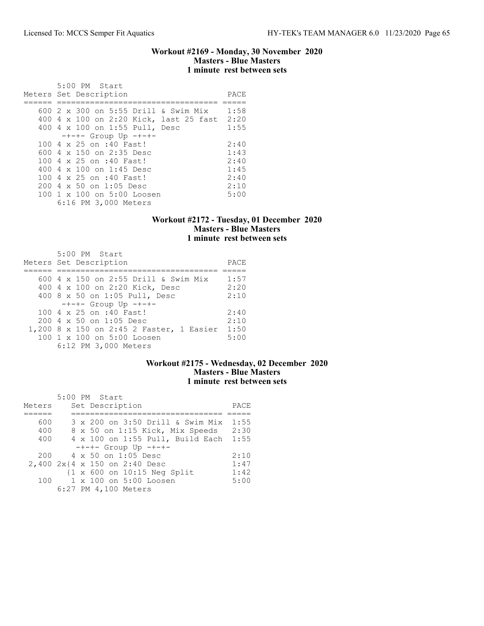### Workout #2169 - Monday, 30 November 2020 Masters - Blue Masters 1 minute rest between sets

|     | 5:00 PM Start<br>Meters Set Description | PACE |
|-----|-----------------------------------------|------|
|     |                                         |      |
|     | 600 2 x 300 on 5:55 Drill & Swim Mix    | 1:58 |
|     | 400 4 x 100 on 2:20 Kick, last 25 fast  | 2:20 |
|     | 400 4 x 100 on 1:55 Pull, Desc          | 1:55 |
|     | $-+--$ Group Up $-+-+-$                 |      |
|     | 100 4 x 25 on :40 Fast!                 | 2:40 |
|     | 600 $4 \times 150$ on 2:35 Desc         | 1:43 |
|     | 100 4 x 25 on :40 Fast!                 | 2:40 |
|     | 400 4 $\times$ 100 on 1:45 Desc         | 1:45 |
|     | 100 4 x 25 on :40 Fast!                 | 2:40 |
| 200 | 4 x 50 on 1:05 Desc                     | 2:10 |
|     | 100 1 x 100 on 5:00 Loosen              | 5:00 |
|     | 6:16 PM 3,000 Meters                    |      |

# Workout #2172 - Tuesday, 01 December 2020 Masters - Blue Masters 1 minute rest between sets

| 5:00 PM Start                                    |      |
|--------------------------------------------------|------|
| Meters Set Description                           | PACE |
|                                                  |      |
| 600 4 x 150 on 2:55 Drill & Swim Mix             | 1:57 |
| 400 4 x 100 on 2:20 Kick, Desc                   | 2:20 |
| 400 8 x 50 on 1:05 Pull, Desc                    | 2:10 |
| $-+--$ Group Up $-+-+-$                          |      |
| 100 4 x 25 on :40 Fast!                          | 2:40 |
| $200 \text{ } 4 \text{ } \times 50$ on 1:05 Desc | 2:10 |
| 1,200 8 x 150 on 2:45 2 Faster, 1 Easier         | 1:50 |
| 100 1 x 100 on 5:00 Loosen                       | 5:00 |
| 6:12 PM 3,000 Meters                             |      |

# Workout #2175 - Wednesday, 02 December 2020 Masters - Blue Masters 1 minute rest between sets

|        |  | 5:00 PM Start                         |      |
|--------|--|---------------------------------------|------|
| Meters |  | Set Description                       | PACE |
|        |  |                                       |      |
| 600    |  | 3 x 200 on 3:50 Drill & Swim Mix      | 1:55 |
| 400    |  | 8 x 50 on 1:15 Kick, Mix Speeds       | 2:30 |
| 400    |  | 4 x 100 on 1:55 Pull, Build Each      | 1:55 |
|        |  | $-+--$ Group Up $-+-+-$               |      |
| 200    |  | 4 x 50 on 1:05 Desc                   | 2:10 |
|        |  | 2,400 2x{4 x 150 on 2:40 Desc         | 1:47 |
|        |  | $\{1 \times 600$ on $10:15$ Neq Split | 1:42 |
| 100    |  | 1 x 100 on 5:00 Loosen                | 5:00 |
|        |  | 6:27 PM 4,100 Meters                  |      |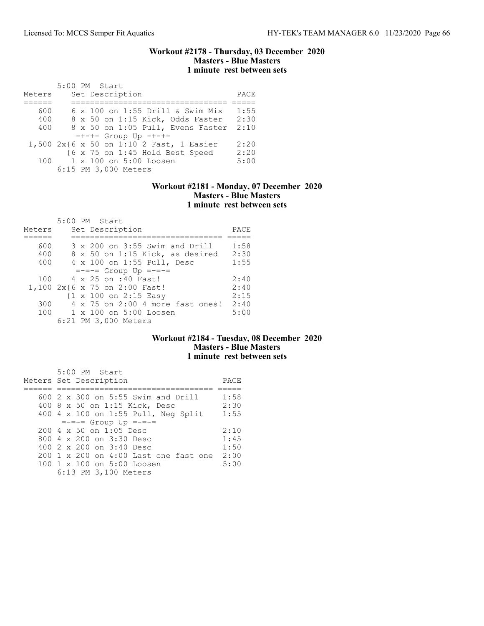### Workout #2178 - Thursday, 03 December 2020 Masters - Blue Masters 1 minute rest between sets

|        | 5:00 PM Start                            |      |
|--------|------------------------------------------|------|
| Meters | Set Description                          | PACE |
|        |                                          |      |
| 600    | 6 x 100 on 1:55 Drill & Swim Mix         | 1:55 |
| 400    | 8 x 50 on 1:15 Kick, Odds Faster         | 2:30 |
| 400    | 8 x 50 on 1:05 Pull, Evens Faster        | 2:10 |
|        | $-+--$ Group Up $-+-+-$                  |      |
|        | 1,500 2x{6 x 50 on 1:10 2 Fast, 1 Easier | 2:20 |
|        | {6 x 75 on 1:45 Hold Best Speed          | 2:20 |
| 100    | 1 x 100 on 5:00 Loosen                   | 5:00 |
|        | 6:15 PM 3,000 Meters                     |      |

### Workout #2181 - Monday, 07 December 2020 Masters - Blue Masters 1 minute rest between sets

| Meters | 5:00 PM Start<br>Set Description                 | PACE |
|--------|--------------------------------------------------|------|
|        |                                                  |      |
| 600    | 3 x 200 on 3:55 Swim and Drill                   | 1:58 |
| 400    | 8 x 50 on 1:15 Kick, as desired                  | 2:30 |
| 400    | 4 x 100 on 1:55 Pull, Desc                       | 1:55 |
|        | $=-=-5$ Group Up $=-=-5$                         |      |
| 100    | 4 x 25 on :40 Fast!                              | 2:40 |
|        | 1,100 2x{6 x 75 on 2:00 Fast!                    | 2:40 |
|        | $\{1 \times 100 \text{ on } 2:15 \text{ Easy}\}$ | 2:15 |
| 300    | 4 x 75 on 2:00 4 more fast ones!                 | 2:40 |
| 100    | $1 \times 100$ on $5:00$ Loosen                  | 5:00 |
|        | 6:21 PM 3,000 Meters                             |      |

# Workout #2184 - Tuesday, 08 December 2020 Masters - Blue Masters 1 minute rest between sets

| 5:00 PM Start<br>Meters Set Description                                                                             | PACE                 |
|---------------------------------------------------------------------------------------------------------------------|----------------------|
| 600 $2 \times 300$ on 5:55 Swim and Drill<br>400 8 x 50 on 1:15 Kick, Desc                                          | 1:58<br>2:30         |
| 400 4 x 100 on 1:55 Pull, Neg Split<br>$=-=-5$ Group Up $=-=-5$<br>$200 \text{ } 4 \text{ } \times 50$ on 1:05 Desc | 1:55<br>2:10         |
| 800 $4 \times 200$ on $3:30$ Desc<br>400 2 x 200 on 3:40 Desc<br>200 1 x 200 on 4:00 Last one fast one              | 1:45<br>1:50<br>2:00 |
| 100 1 x 100 on 5:00 Loosen<br>6:13 PM 3,100 Meters                                                                  | 5:00                 |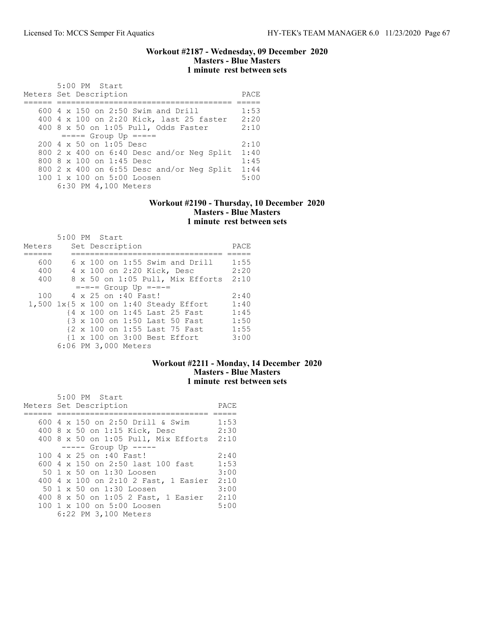### Workout #2187 - Wednesday, 09 December 2020 Masters - Blue Masters 1 minute rest between sets

| 5:00 PM Start<br>Meters Set Description          | PACE |
|--------------------------------------------------|------|
|                                                  |      |
| $600$ 4 x 150 on 2:50 Swim and Drill             | 1:53 |
| 400 4 x 100 on 2:20 Kick, last 25 faster         | 2:20 |
| 400 8 x 50 on 1:05 Pull, Odds Faster             | 2:10 |
| $=-=-5$ Group Up $=-=-5$                         |      |
| $200 \text{ } 4 \text{ } \times 50$ on 1:05 Desc | 2:10 |
| 800 2 x 400 on 6:40 Desc and/or Neg Split        | 1:40 |
| 800 8 x 100 on 1:45 Desc                         | 1:45 |
| 800 2 x 400 on $6:55$ Desc and/or Neq Split      | 1:44 |
| 100 1 x 100 on 5:00 Loosen                       | 5:00 |
| 6:30 PM 4,100 Meters                             |      |

### Workout #2190 - Thursday, 10 December 2020 Masters - Blue Masters 1 minute rest between sets

|        | $5:00$ PM Start                        |      |
|--------|----------------------------------------|------|
| Meters | Set Description                        | PACE |
|        |                                        |      |
| 600    | $6 \times 100$ on 1:55 Swim and Drill  | 1:55 |
| 400    | 4 x 100 on 2:20 Kick, Desc             | 2:20 |
| 400    | 8 x 50 on 1:05 Pull, Mix Efforts       | 2:10 |
|        | $=-=-5$ Group Up $=-=-5$               |      |
| 100    | 4 x 25 on :40 Fast!                    | 2:40 |
|        | 1,500 1x{5 x 100 on 1:40 Steady Effort | 1:40 |
|        | {4 x 100 on 1:45 Last 25 Fast          | 1:45 |
|        | {3 x 100 on 1:50 Last 50 Fast          | 1:50 |
|        | {2 x 100 on 1:55 Last 75 Fast          | 1:55 |
|        | {1 x 100 on 3:00 Best Effort           | 3:00 |
|        | 6:06 PM 3,000 Meters                   |      |

# Workout #2211 - Monday, 14 December 2020 Masters - Blue Masters 1 minute rest between sets

| 5:00 PM Start                             |      |
|-------------------------------------------|------|
| Meters Set Description                    | PACE |
| 600 4 x 150 on 2:50 Drill & Swim          | 1:53 |
| 400 8 x 50 on 1:15 Kick, Desc             | 2:30 |
| 400 8 x 50 on 1:05 Pull, Mix Efforts 2:10 |      |
| $--- -$ Group Up $---$                    |      |
| 100 4 x 25 on :40 Fast!                   | 2:40 |
| 600 4 x 150 on 2:50 last 100 fast         | 1:53 |
| 50 1 x 50 on 1:30 Loosen                  | 3:00 |
| 400 4 x 100 on 2:10 2 Fast, 1 Easier      | 2:10 |
| 50 1 x 50 on 1:30 Loosen                  | 3:00 |
| 400 8 x 50 on 1:05 2 Fast, 1 Easier       | 2:10 |
| 100 1 x 100 on 5:00 Loosen                | 5:00 |
| 6:22 PM 3,100 Meters                      |      |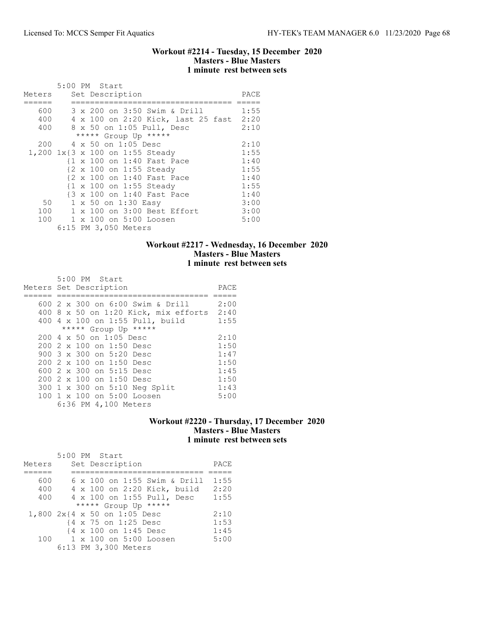### Workout #2214 - Tuesday, 15 December 2020 Masters - Blue Masters 1 minute rest between sets

|        |  | 5:00 PM Start                           |      |
|--------|--|-----------------------------------------|------|
| Meters |  | Set Description                         | PACE |
|        |  |                                         |      |
| 600    |  | 3 x 200 on 3:50 Swim & Drill            | 1:55 |
| 400    |  | 4 x 100 on 2:20 Kick, last 25 fast 2:20 |      |
| 400    |  | 8 x 50 on 1:05 Pull, Desc               | 2:10 |
|        |  | ***** Group Up *****                    |      |
| 200    |  | 4 x 50 on 1:05 Desc                     | 2:10 |
|        |  | 1,200 1x{3 x 100 on 1:55 Steady         | 1:55 |
|        |  | {1 x 100 on 1:40 Fast Pace              | 1:40 |
|        |  | {2 x 100 on 1:55 Steady                 | 1:55 |
|        |  | {2 x 100 on 1:40 Fast Pace              | 1:40 |
|        |  | {1 x 100 on 1:55 Steady                 | 1:55 |
|        |  | {3 x 100 on 1:40 Fast Pace              | 1:40 |
| 50     |  | 1 x 50 on 1:30 Easy                     | 3:00 |
| 100    |  | 1 x 100 on 3:00 Best Effort             | 3:00 |
| 100    |  | 1 x 100 on 5:00 Loosen                  | 5:00 |
|        |  | 6:15 PM 3,050 Meters                    |      |

## Workout #2217 - Wednesday, 16 December 2020 Masters - Blue Masters 1 minute rest between sets

| 5:00 PM Start<br>Meters Set Description                                                                                                                                                                                                                             | PACE                                                         |
|---------------------------------------------------------------------------------------------------------------------------------------------------------------------------------------------------------------------------------------------------------------------|--------------------------------------------------------------|
| 600 2 x 300 on 6:00 Swim & Drill<br>400 8 x 50 on 1:20 Kick, mix efforts 2:40<br>400 4 x 100 on 1:55 Pull, build<br>***** Group Up *****                                                                                                                            | 2:00<br>1:55                                                 |
| 200 4 x 50 on 1:05 Desc<br>200 2 x 100 on 1:50 Desc<br>900 3 x 300 on 5:20 Desc<br>200 2 x 100 on 1:50 Desc<br>600 $2 \times 300$ on $5:15$ Desc<br>200 2 x 100 on 1:50 Desc<br>300 1 x 300 on 5:10 Neg Split<br>100 1 x 100 on 5:00 Loosen<br>6:36 PM 4,100 Meters | 2:10<br>1:50<br>1:47<br>1:50<br>1:45<br>1:50<br>1:43<br>5:00 |

# Workout #2220 - Thursday, 17 December 2020 Masters - Blue Masters 1 minute rest between sets

|        | 5:00 PM Start                |      |
|--------|------------------------------|------|
| Meters | Set Description              | PACE |
|        |                              |      |
| 600    | 6 x 100 on 1:55 Swim & Drill | 1:55 |
| 400    | 4 x 100 on 2:20 Kick, build  | 2:20 |
| 400    | 4 x 100 on 1:55 Pull, Desc   | 1:55 |
|        | ***** Group Up *****         |      |
|        | 1,800 2x{4 x 50 on 1:05 Desc | 2:10 |
|        | {4 x 75 on 1:25 Desc         | 1:53 |
|        | {4 x 100 on 1:45 Desc        | 1:45 |
|        | 100 1 x 100 on 5:00 Loosen   | 5:00 |
|        | 6:13 PM 3,300 Meters         |      |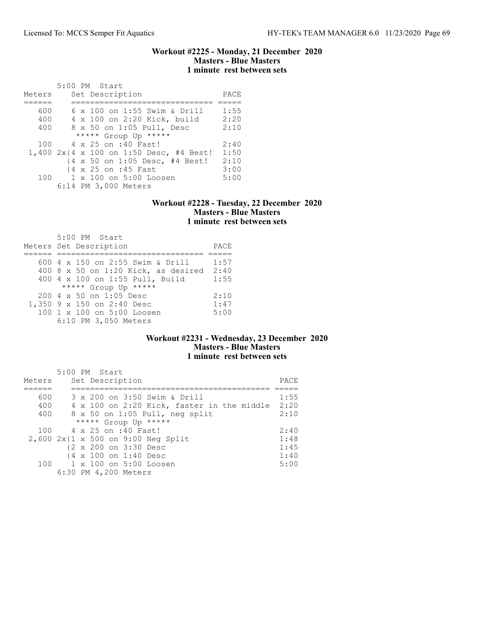### Workout #2225 - Monday, 21 December 2020 Masters - Blue Masters 1 minute rest between sets

|        | 5:00 PM Start                           |      |
|--------|-----------------------------------------|------|
| Meters | Set Description                         | PACE |
|        |                                         |      |
| 600    | 6 x 100 on 1:55 Swim & Drill            | 1:55 |
| 400    | 4 x 100 on 2:20 Kick, build             | 2:20 |
| 400    | 8 x 50 on 1:05 Pull, Desc               | 2:10 |
|        | ***** Group Up *****                    |      |
| 100    | 4 x 25 on :40 Fast!                     | 2:40 |
|        | 1,400 2x{4 x 100 on 1:50 Desc, #4 Best! | 1:50 |
|        | {4 x 50 on 1:05 Desc, #4 Best!          | 2:10 |
|        | {4 x 25 on :45 Fast                     | 3:00 |
| 100    | 1 x 100 on 5:00 Loosen                  | 5:00 |
|        | 6:14 PM 3,000 Meters                    |      |

### Workout #2228 - Tuesday, 22 December 2020 Masters - Blue Masters 1 minute rest between sets

| 5:00 PM Start                         |      |
|---------------------------------------|------|
| Meters Set Description                | PACE |
|                                       |      |
| 600 4 x 150 on 2:55 Swim & Drill      | 1:57 |
| $400$ 8 x 50 on 1:20 Kick, as desired | 2:40 |
| 400 4 x 100 on 1:55 Pull, Build       | 1:55 |
| ***** Group Up *****                  |      |
| 200 4 x 50 on 1:05 Desc               | 2:10 |
| 1,350 9 x 150 on 2:40 Desc            | 1:47 |
| 100 1 x 100 on 5:00 Loosen            | 5:00 |
| 6:10 PM 3,050 Meters                  |      |

## Workout #2231 - Wednesday, 23 December 2020 Masters - Blue Masters 1 minute rest between sets

| Meters | 5:00 PM Start<br>Set Description           | PACE |
|--------|--------------------------------------------|------|
| 600    | 3 x 200 on 3:50 Swim & Drill               | 1:55 |
| 400    | 4 x 100 on 2:20 Kick, faster in the middle | 2:20 |
| 400    | 8 x 50 on 1:05 Pull, neg split             | 2:10 |
|        | ***** Group Up *****                       |      |
| 100    | 4 x 25 on :40 Fast!                        | 2:40 |
|        | 2,600 2x{1 x 500 on 9:00 Neg Split         | 1:48 |
|        | {2 x 200 on 3:30 Desc                      | 1:45 |
|        | {4 x 100 on 1:40 Desc                      | 1:40 |
|        | 100 1 x 100 on 5:00 Loosen                 | 5:00 |
|        | 6:30 PM 4,200 Meters                       |      |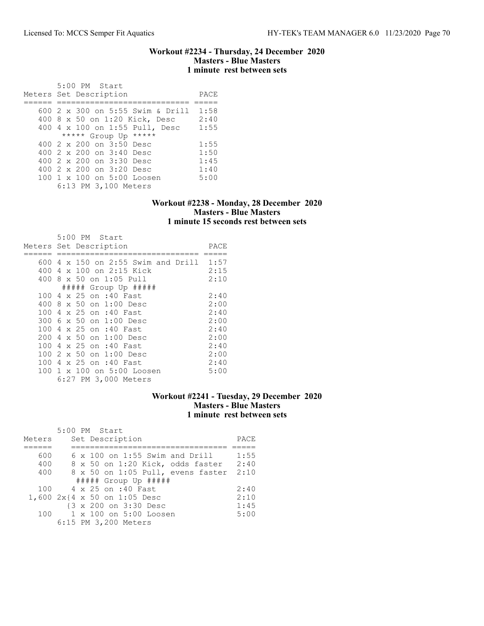### Workout #2234 - Thursday, 24 December 2020 Masters - Blue Masters 1 minute rest between sets

 5:00 PM Start Meters Set Description PACE ====== ============================ ===== 600 2 x 300 on 5:55 Swim & Drill 1:58 400 8 x 50 on 1:20 Kick, Desc 2:40 400 4 x 100 on 1:55 Pull, Desc 1:55 \*\*\*\*\* Group Up \*\*\*\*\* 400 2 x 200 on 3:50 Desc 1:55<br>400 2 x 200 on 3:40 Desc 1:50 400 2 x 200 on 3:40 Desc 1:50 400 2 x 200 on 3:30 Desc 1:45 400 2 x 200 on 3:20 Desc 1:40<br>100 1 x 100 on 5:00 Loosen 5:00 100 1 x 100 on 5:00 Loosen 6:13 PM 3,100 Meters

### Workout #2238 - Monday, 28 December 2020 Masters - Blue Masters 1 minute 15 seconds rest between sets

| Meters Set Description |  |  | 5:00 PM Start           |                            |                                         | PACE |
|------------------------|--|--|-------------------------|----------------------------|-----------------------------------------|------|
|                        |  |  |                         |                            |                                         |      |
|                        |  |  |                         |                            | 600 4 x 150 on 2:55 Swim and Drill 1:57 |      |
| 400                    |  |  |                         | 4 x 100 on 2:15 Kick       |                                         | 2:15 |
|                        |  |  | 400 8 x 50 on 1:05 Pull |                            |                                         | 2:10 |
|                        |  |  |                         | ##### Group Up #####       |                                         |      |
|                        |  |  | 100 4 x 25 on :40 Fast  |                            |                                         | 2:40 |
| 400                    |  |  | 8 x 50 on 1:00 Desc     |                            |                                         | 2:00 |
| 100                    |  |  | 4 x 25 on :40 Fast      |                            |                                         | 2:40 |
|                        |  |  | 300 6 x 50 on 1:00 Desc |                            |                                         | 2:00 |
|                        |  |  | 100 4 x 25 on :40 Fast  |                            |                                         | 2:40 |
| 200                    |  |  | 4 x 50 on 1:00 Desc     |                            |                                         | 2:00 |
| 100                    |  |  | 4 x 25 on :40 Fast      |                            |                                         | 2:40 |
| 100                    |  |  | 2 x 50 on 1:00 Desc     |                            |                                         | 2:00 |
| 100                    |  |  | 4 x 25 on :40 Fast      |                            |                                         | 2:40 |
|                        |  |  |                         | 100 1 x 100 on 5:00 Loosen |                                         | 5:00 |
|                        |  |  |                         | 6:27 PM 3,000 Meters       |                                         |      |

### Workout #2241 - Tuesday, 29 December 2020 Masters - Blue Masters 1 minute rest between sets

|        | 5:00 PM Start                         |      |
|--------|---------------------------------------|------|
| Meters | Set Description                       | PACE |
|        |                                       |      |
| 600    | $6 \times 100$ on 1:55 Swim and Drill | 1:55 |
| 400    | 8 x 50 on 1:20 Kick, odds faster      | 2:40 |
| 400    | 8 x 50 on 1:05 Pull, evens faster     | 2:10 |
|        | $\#$ #### Group Up #####              |      |
|        | 100 4 x 25 on :40 Fast                | 2:40 |
|        | 1,600 2x{4 x 50 on 1:05 Desc          | 2:10 |
|        | {3 x 200 on 3:30 Desc                 | 1:45 |
| 100    | 1 x 100 on 5:00 Loosen                | 5:00 |
|        | 6:15 PM 3,200 Meters                  |      |